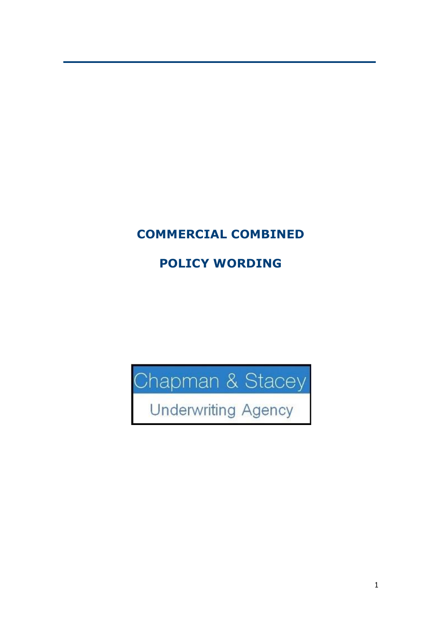# **COMMERCIAL COMBINED**

# **POLICY WORDING**

Chapman & Stacey<br>Underwriting Agency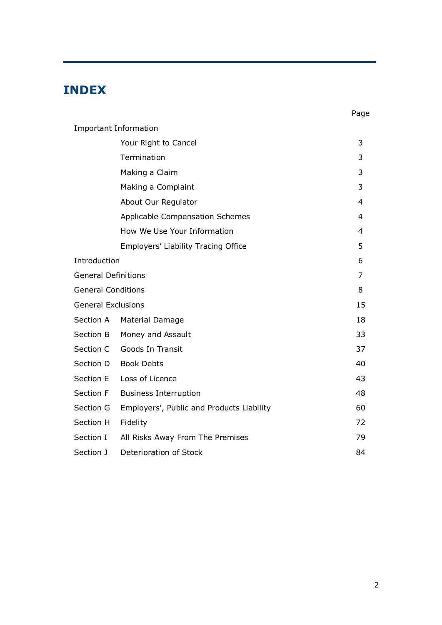# **INDEX**

|                            |                                           | Page           |
|----------------------------|-------------------------------------------|----------------|
|                            | <b>Important Information</b>              |                |
|                            | Your Right to Cancel                      | 3              |
|                            | Termination                               | 3              |
|                            | Making a Claim                            | 3              |
|                            | Making a Complaint                        | 3              |
|                            | About Our Regulator                       | $\overline{4}$ |
|                            | Applicable Compensation Schemes           | 4              |
|                            | How We Use Your Information               | 4              |
|                            | Employers' Liability Tracing Office       | 5              |
| Introduction               |                                           | 6              |
| <b>General Definitions</b> |                                           | 7              |
| <b>General Conditions</b>  |                                           | 8              |
| <b>General Exclusions</b>  |                                           | 15             |
| Section A                  | Material Damage                           | 18             |
| Section B                  | Money and Assault                         | 33             |
| Section C                  | Goods In Transit                          | 37             |
| Section D                  | <b>Book Debts</b>                         | 40             |
| Section E                  | Loss of Licence                           | 43             |
| Section F                  | <b>Business Interruption</b>              | 48             |
| Section G                  | Employers', Public and Products Liability | 60             |
| Section H                  | Fidelity                                  | 72             |
| Section I                  | All Risks Away From The Premises          | 79             |
| Section J                  | Deterioration of Stock                    | 84             |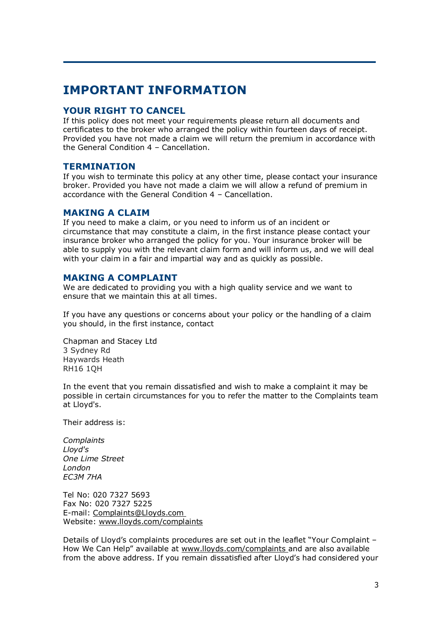# **IMPORTANT INFORMATION**

## **YOUR RIGHT TO CANCEL**

If this policy does not meet your requirements please return all documents and certificates to the broker who arranged the policy within fourteen days of receipt. Provided you have not made a claim we will return the premium in accordance with the General Condition 4 – Cancellation.

## **TERMINATION**

If you wish to terminate this policy at any other time, please contact your insurance broker. Provided you have not made a claim we will allow a refund of premium in accordance with the General Condition 4 – Cancellation.

## **MAKING A CLAIM**

If you need to make a claim, or you need to inform us of an incident or circumstance that may constitute a claim, in the first instance please contact your insurance broker who arranged the policy for you. Your insurance broker will be able to supply you with the relevant claim form and will inform us, and we will deal with your claim in a fair and impartial way and as quickly as possible.

## **MAKING A COMPLAINT**

We are dedicated to providing you with a high quality service and we want to ensure that we maintain this at all times.

If you have any questions or concerns about your policy or the handling of a claim you should, in the first instance, contact

Chapman and Stacey Ltd 3 Sydney Rd Haywards Heath RH16 1QH

In the event that you remain dissatisfied and wish to make a complaint it may be possible in certain circumstances for you to refer the matter to the Complaints team at Lloyd's.

Their address is:

*Complaints Lloyd's One Lime Street London EC3M 7HA*

Tel No: 020 7327 5693 Fax No: 020 7327 5225 E-mail: [Complaints@Lloyds.com](mailto:Complaints@Lloyds.com)  Website: [www.lloyds.com/complaints](http://www.lloyds.com/complaints)

Details of Lloyd's complaints procedures are set out in the leaflet "Your Complaint – How We Can Help" available at [www.lloyds.com/complaints a](http://www.lloyds.com/complaints)nd are also available from the above address. If you remain dissatisfied after Lloyd's had considered your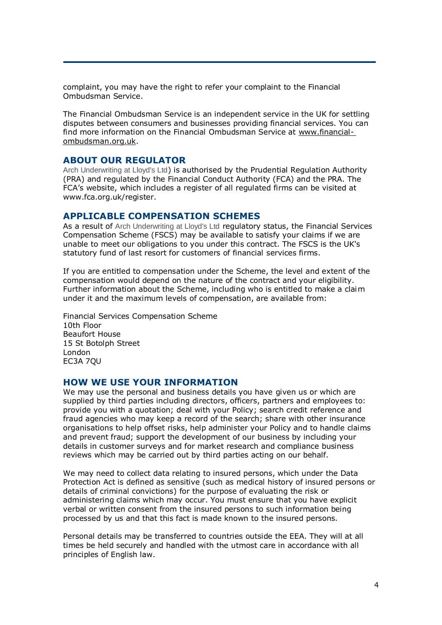complaint, you may have the right to refer your complaint to the Financial Ombudsman Service.

The Financial Ombudsman Service is an independent service in the UK for settling disputes between consumers and businesses providing financial services. You can find more information on the Financial Ombudsman Service at [www.financial](http://www.financial-ombudsman.org.uk/)[ombudsman.org.uk.](http://www.financial-ombudsman.org.uk/)

## **ABOUT OUR REGULATOR**

Arch Underwriting at Lloyd's Ltd) is authorised by the Prudential Regulation Authority (PRA) and regulated by the Financial Conduct Authority (FCA) and the PRA. The FCA's website, which includes a register of all regulated firms can be visited at [www.fca.org.uk/register.](http://www.fca.org.uk/register)

### **APPLICABLE COMPENSATION SCHEMES**

As a result of Arch Underwriting at Lloyd's Ltd regulatory status, the Financial Services Compensation Scheme (FSCS) may be available to satisfy your claims if we are unable to meet our obligations to you under this contract. The FSCS is the UK's statutory fund of last resort for customers of financial services firms.

If you are entitled to compensation under the Scheme, the level and extent of the compensation would depend on the nature of the contract and your eligibility. Further information about the Scheme, including who is entitled to make a claim under it and the maximum levels of compensation, are available from:

Financial Services Compensation Scheme 10th Floor Beaufort House 15 St Botolph Street London EC3A 7QU

#### **HOW WE USE YOUR INFORMATION**

We may use the personal and business details you have given us or which are supplied by third parties including directors, officers, partners and employees to: provide you with a quotation; deal with your Policy; search credit reference and fraud agencies who may keep a record of the search; share with other insurance organisations to help offset risks, help administer your Policy and to handle claims and prevent fraud; support the development of our business by including your details in customer surveys and for market research and compliance business reviews which may be carried out by third parties acting on our behalf.

We may need to collect data relating to insured persons, which under the Data Protection Act is defined as sensitive (such as medical history of insured persons or details of criminal convictions) for the purpose of evaluating the risk or administering claims which may occur. You must ensure that you have explicit verbal or written consent from the insured persons to such information being processed by us and that this fact is made known to the insured persons.

Personal details may be transferred to countries outside the EEA. They will at all times be held securely and handled with the utmost care in accordance with all principles of English law.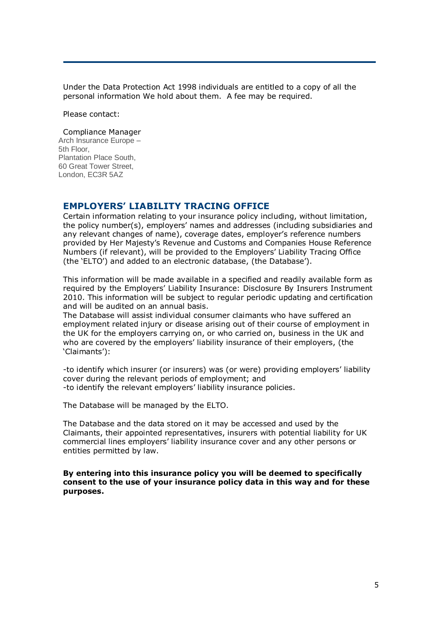Under the Data Protection Act 1998 individuals are entitled to a copy of all the personal information We hold about them. A fee may be required.

Please contact:

#### Compliance Manager

Arch Insurance Europe – 5th Floor, Plantation Place South, 60 Great Tower Street, London, EC3R 5AZ

## **EMPLOYERS' LIABILITY TRACING OFFICE**

Certain information relating to your insurance policy including, without limitation, the policy number(s), employers' names and addresses (including subsidiaries and any relevant changes of name), coverage dates, employer's reference numbers provided by Her Majesty's Revenue and Customs and Companies House Reference Numbers (if relevant), will be provided to the Employers' Liability Tracing Office (the 'ELTO') and added to an electronic database, (the Database').

This information will be made available in a specified and readily available form as required by the Employers' Liability Insurance: Disclosure By Insurers Instrument 2010. This information will be subject to regular periodic updating and certification and will be audited on an annual basis.

The Database will assist individual consumer claimants who have suffered an employment related injury or disease arising out of their course of employment in the UK for the employers carrying on, or who carried on, business in the UK and who are covered by the employers' liability insurance of their employers, (the 'Claimants'):

-to identify which insurer (or insurers) was (or were) providing employers' liability cover during the relevant periods of employment; and -to identify the relevant employers' liability insurance policies.

The Database will be managed by the ELTO.

The Database and the data stored on it may be accessed and used by the Claimants, their appointed representatives, insurers with potential liability for UK commercial lines employers' liability insurance cover and any other persons or entities permitted by law.

**By entering into this insurance policy you will be deemed to specifically consent to the use of your insurance policy data in this way and for these purposes.**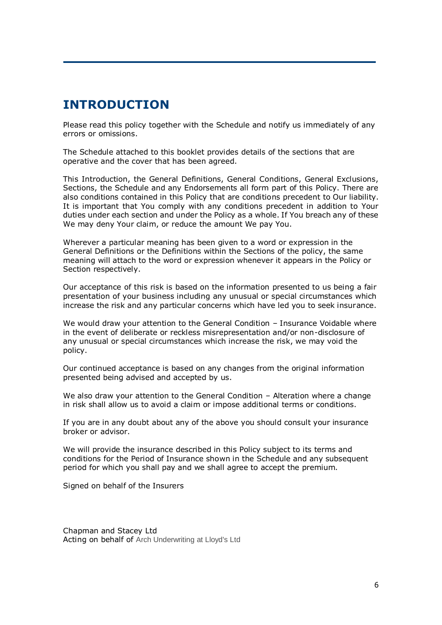# **INTRODUCTION**

Please read this policy together with the Schedule and notify us immediately of any errors or omissions.

The Schedule attached to this booklet provides details of the sections that are operative and the cover that has been agreed.

This Introduction, the General Definitions, General Conditions, General Exclusions, Sections, the Schedule and any Endorsements all form part of this Policy. There are also conditions contained in this Policy that are conditions precedent to Our liability. It is important that You comply with any conditions precedent in addition to Your duties under each section and under the Policy as a whole. If You breach any of these We may deny Your claim, or reduce the amount We pay You.

Wherever a particular meaning has been given to a word or expression in the General Definitions or the Definitions within the Sections of the policy, the same meaning will attach to the word or expression whenever it appears in the Policy or Section respectively.

Our acceptance of this risk is based on the information presented to us being a fair presentation of your business including any unusual or special circumstances which increase the risk and any particular concerns which have led you to seek insurance.

We would draw your attention to the General Condition - Insurance Voidable where in the event of deliberate or reckless misrepresentation and/or non-disclosure of any unusual or special circumstances which increase the risk, we may void the policy.

Our continued acceptance is based on any changes from the original information presented being advised and accepted by us.

We also draw your attention to the General Condition - Alteration where a change in risk shall allow us to avoid a claim or impose additional terms or conditions.

If you are in any doubt about any of the above you should consult your insurance broker or advisor.

We will provide the insurance described in this Policy subject to its terms and conditions for the Period of Insurance shown in the Schedule and any subsequent period for which you shall pay and we shall agree to accept the premium.

Signed on behalf of the Insurers

Chapman and Stacey Ltd Acting on behalf of Arch Underwriting at Lloyd's Ltd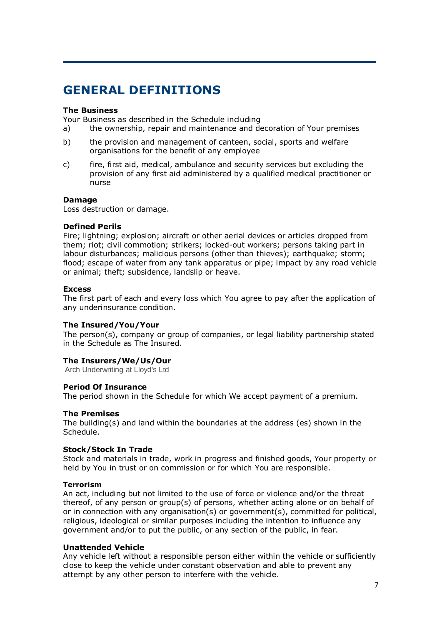# **GENERAL DEFINITIONS**

#### **The Business**

Your Business as described in the Schedule including

- a) the ownership, repair and maintenance and decoration of Your premises
- b) the provision and management of canteen, social, sports and welfare organisations for the benefit of any employee
- c) fire, first aid, medical, ambulance and security services but excluding the provision of any first aid administered by a qualified medical practitioner or nurse

#### **Damage**

Loss destruction or damage.

#### **Defined Perils**

Fire; lightning; explosion; aircraft or other aerial devices or articles dropped from them; riot; civil commotion; strikers; locked-out workers; persons taking part in labour disturbances; malicious persons (other than thieves); earthquake; storm; flood; escape of water from any tank apparatus or pipe; impact by any road vehicle or animal; theft; subsidence, landslip or heave.

#### **Excess**

The first part of each and every loss which You agree to pay after the application of any underinsurance condition.

#### **The Insured/You/Your**

The person(s), company or group of companies, or legal liability partnership stated in the Schedule as The Insured.

### **The Insurers/We/Us/Our**

Arch Underwriting at Lloyd's Ltd

#### **Period Of Insurance**

The period shown in the Schedule for which We accept payment of a premium.

#### **The Premises**

The building(s) and land within the boundaries at the address (es) shown in the Schedule.

#### **Stock/Stock In Trade**

Stock and materials in trade, work in progress and finished goods, Your property or held by You in trust or on commission or for which You are responsible.

#### **Terrorism**

An act, including but not limited to the use of force or violence and/or the threat thereof, of any person or group(s) of persons, whether acting alone or on behalf of or in connection with any organisation(s) or government(s), committed for political, religious, ideological or similar purposes including the intention to influence any government and/or to put the public, or any section of the public, in fear.

#### **Unattended Vehicle**

Any vehicle left without a responsible person either within the vehicle or sufficiently close to keep the vehicle under constant observation and able to prevent any attempt by any other person to interfere with the vehicle.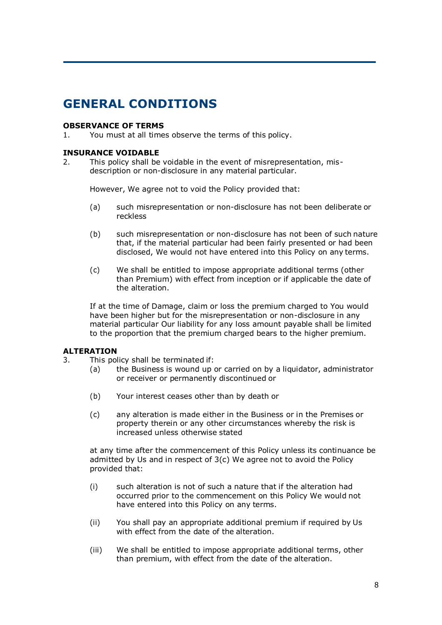# **GENERAL CONDITIONS**

#### **OBSERVANCE OF TERMS**

1. You must at all times observe the terms of this policy.

#### **INSURANCE VOIDABLE**

2. This policy shall be voidable in the event of misrepresentation, misdescription or non-disclosure in any material particular.

However, We agree not to void the Policy provided that:

- (a) such misrepresentation or non-disclosure has not been deliberate or reckless
- (b) such misrepresentation or non-disclosure has not been of such nature that, if the material particular had been fairly presented or had been disclosed, We would not have entered into this Policy on any terms.
- (c) We shall be entitled to impose appropriate additional terms (other than Premium) with effect from inception or if applicable the date of the alteration.

If at the time of Damage, claim or loss the premium charged to You would have been higher but for the misrepresentation or non-disclosure in any material particular Our liability for any loss amount payable shall be limited to the proportion that the premium charged bears to the higher premium.

#### **ALTERATION**

- 3. This policy shall be terminated if:
	- (a) the Business is wound up or carried on by a liquidator, administrator or receiver or permanently discontinued or
	- (b) Your interest ceases other than by death or
	- (c) any alteration is made either in the Business or in the Premises or property therein or any other circumstances whereby the risk is increased unless otherwise stated

at any time after the commencement of this Policy unless its continuance be admitted by Us and in respect of 3(c) We agree not to avoid the Policy provided that:

- (i) such alteration is not of such a nature that if the alteration had occurred prior to the commencement on this Policy We would not have entered into this Policy on any terms.
- (ii) You shall pay an appropriate additional premium if required by Us with effect from the date of the alteration.
- (iii) We shall be entitled to impose appropriate additional terms, other than premium, with effect from the date of the alteration.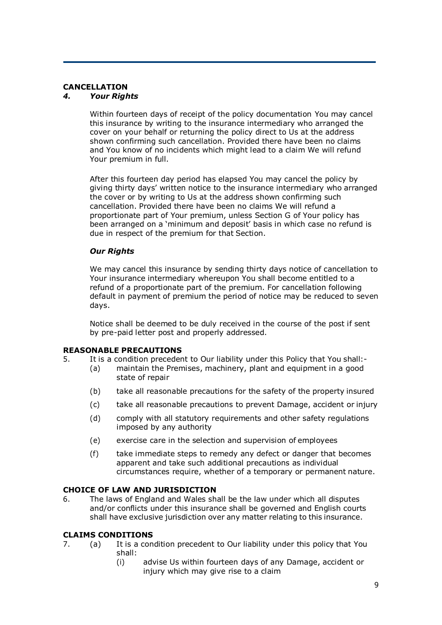## **CANCELLATION**

### *4. Your Rights*

Within fourteen days of receipt of the policy documentation You may cancel this insurance by writing to the insurance intermediary who arranged the cover on your behalf or returning the policy direct to Us at the address shown confirming such cancellation. Provided there have been no claims and You know of no incidents which might lead to a claim We will refund Your premium in full.

After this fourteen day period has elapsed You may cancel the policy by giving thirty days' written notice to the insurance intermediary who arranged the cover or by writing to Us at the address shown confirming such cancellation. Provided there have been no claims We will refund a proportionate part of Your premium, unless Section G of Your policy has been arranged on a 'minimum and deposit' basis in which case no refund is due in respect of the premium for that Section.

### *Our Rights*

We may cancel this insurance by sending thirty days notice of cancellation to Your insurance intermediary whereupon You shall become entitled to a refund of a proportionate part of the premium. For cancellation following default in payment of premium the period of notice may be reduced to seven days.

Notice shall be deemed to be duly received in the course of the post if sent by pre-paid letter post and properly addressed.

#### **REASONABLE PRECAUTIONS**

- 5. It is a condition precedent to Our liability under this Policy that You shall:-
	- (a) maintain the Premises, machinery, plant and equipment in a good state of repair
	- (b) take all reasonable precautions for the safety of the property insured
	- (c) take all reasonable precautions to prevent Damage, accident or injury
	- (d) comply with all statutory requirements and other safety regulations imposed by any authority
	- (e) exercise care in the selection and supervision of employees
	- (f) take immediate steps to remedy any defect or danger that becomes apparent and take such additional precautions as individual circumstances require, whether of a temporary or permanent nature.

## **CHOICE OF LAW AND JURISDICTION**

6. The laws of England and Wales shall be the law under which all disputes and/or conflicts under this insurance shall be governed and English courts shall have exclusive jurisdiction over any matter relating to this insurance.

#### **CLAIMS CONDITIONS**

- 7. (a) It is a condition precedent to Our liability under this policy that You shall:
	- (i) advise Us within fourteen days of any Damage, accident or injury which may give rise to a claim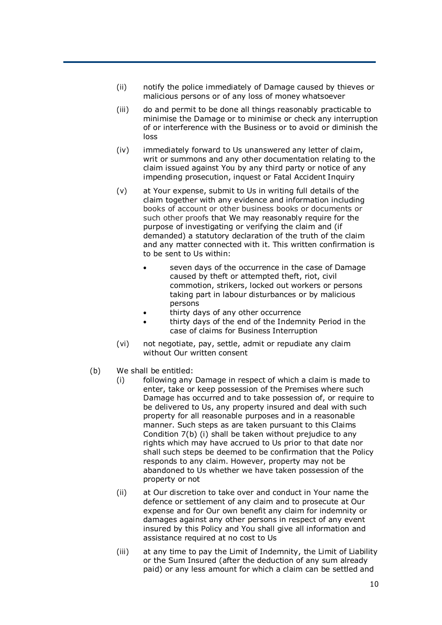- (ii) notify the police immediately of Damage caused by thieves or malicious persons or of any loss of money whatsoever
- (iii) do and permit to be done all things reasonably practicable to minimise the Damage or to minimise or check any interruption of or interference with the Business or to avoid or diminish the loss
- (iv) immediately forward to Us unanswered any letter of claim, writ or summons and any other documentation relating to the claim issued against You by any third party or notice of any impending prosecution, inquest or Fatal Accident Inquiry
- (v) at Your expense, submit to Us in writing full details of the claim together with any evidence and information including books of account or other business books or documents or such other proofs that We may reasonably require for the purpose of investigating or verifying the claim and (if demanded) a statutory declaration of the truth of the claim and any matter connected with it. This written confirmation is to be sent to Us within:
	- seven days of the occurrence in the case of Damage caused by theft or attempted theft, riot, civil commotion, strikers, locked out workers or persons taking part in labour disturbances or by malicious persons
	- thirty days of any other occurrence
	- thirty days of the end of the Indemnity Period in the case of claims for Business Interruption
- (vi) not negotiate, pay, settle, admit or repudiate any claim without Our written consent
- (b) We shall be entitled:
	- (i) following any Damage in respect of which a claim is made to enter, take or keep possession of the Premises where such Damage has occurred and to take possession of, or require to be delivered to Us, any property insured and deal with such property for all reasonable purposes and in a reasonable manner. Such steps as are taken pursuant to this Claims Condition 7(b) (i) shall be taken without prejudice to any rights which may have accrued to Us prior to that date nor shall such steps be deemed to be confirmation that the Policy responds to any claim. However, property may not be abandoned to Us whether we have taken possession of the property or not
	- (ii) at Our discretion to take over and conduct in Your name the defence or settlement of any claim and to prosecute at Our expense and for Our own benefit any claim for indemnity or damages against any other persons in respect of any event insured by this Policy and You shall give all information and assistance required at no cost to Us
	- (iii) at any time to pay the Limit of Indemnity, the Limit of Liability or the Sum Insured (after the deduction of any sum already paid) or any less amount for which a claim can be settled and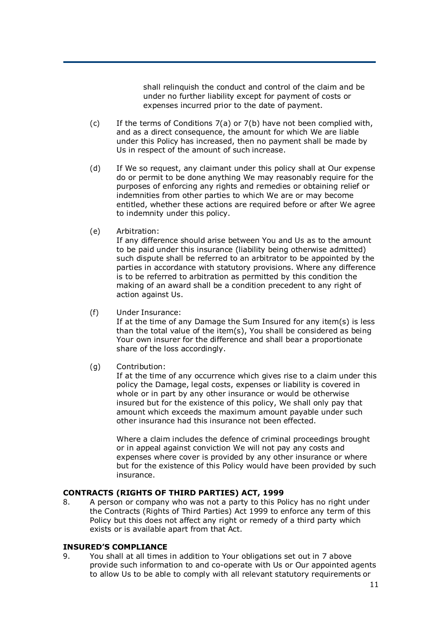shall relinquish the conduct and control of the claim and be under no further liability except for payment of costs or expenses incurred prior to the date of payment.

- (c) If the terms of Conditions 7(a) or 7(b) have not been complied with, and as a direct consequence, the amount for which We are liable under this Policy has increased, then no payment shall be made by Us in respect of the amount of such increase.
- (d) If We so request, any claimant under this policy shall at Our expense do or permit to be done anything We may reasonably require for the purposes of enforcing any rights and remedies or obtaining relief or indemnities from other parties to which We are or may become entitled, whether these actions are required before or after We agree to indemnity under this policy.
- (e) Arbitration:

If any difference should arise between You and Us as to the amount to be paid under this insurance (liability being otherwise admitted) such dispute shall be referred to an arbitrator to be appointed by the parties in accordance with statutory provisions. Where any difference is to be referred to arbitration as permitted by this condition the making of an award shall be a condition precedent to any right of action against Us.

(f) Under Insurance:

If at the time of any Damage the Sum Insured for any item(s) is less than the total value of the item(s), You shall be considered as being Your own insurer for the difference and shall bear a proportionate share of the loss accordingly.

(g) Contribution:

If at the time of any occurrence which gives rise to a claim under this policy the Damage, legal costs, expenses or liability is covered in whole or in part by any other insurance or would be otherwise insured but for the existence of this policy, We shall only pay that amount which exceeds the maximum amount payable under such other insurance had this insurance not been effected.

Where a claim includes the defence of criminal proceedings brought or in appeal against conviction We will not pay any costs and expenses where cover is provided by any other insurance or where but for the existence of this Policy would have been provided by such insurance.

## **CONTRACTS (RIGHTS OF THIRD PARTIES) ACT, 1999**

8. A person or company who was not a party to this Policy has no right under the Contracts (Rights of Third Parties) Act 1999 to enforce any term of this Policy but this does not affect any right or remedy of a third party which exists or is available apart from that Act.

#### **INSURED'S COMPLIANCE**

9. You shall at all times in addition to Your obligations set out in 7 above provide such information to and co-operate with Us or Our appointed agents to allow Us to be able to comply with all relevant statutory requirements or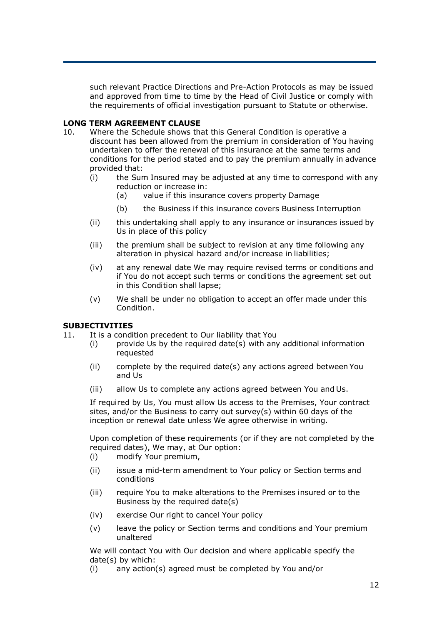such relevant Practice Directions and Pre-Action Protocols as may be issued and approved from time to time by the Head of Civil Justice or comply with the requirements of official investigation pursuant to Statute or otherwise.

## **LONG TERM AGREEMENT CLAUSE**

- 10. Where the Schedule shows that this General Condition is operative a discount has been allowed from the premium in consideration of You having undertaken to offer the renewal of this insurance at the same terms and conditions for the period stated and to pay the premium annually in advance provided that:
	- (i) the Sum Insured may be adjusted at any time to correspond with any reduction or increase in:
		- (a) value if this insurance covers property Damage
		- (b) the Business if this insurance covers Business Interruption
	- (ii) this undertaking shall apply to any insurance or insurances issued by Us in place of this policy
	- (iii) the premium shall be subject to revision at any time following any alteration in physical hazard and/or increase in liabilities;
	- (iv) at any renewal date We may require revised terms or conditions and if You do not accept such terms or conditions the agreement set out in this Condition shall lapse;
	- (v) We shall be under no obligation to accept an offer made under this Condition.

#### **SUBJECTIVITIES**

- 11. It is a condition precedent to Our liability that You
	- $(i)$  provide Us by the required date(s) with any additional information requested
		- (ii) complete by the required date(s) any actions agreed between You and Us
		- (iii) allow Us to complete any actions agreed between You and Us.

If required by Us, You must allow Us access to the Premises, Your contract sites, and/or the Business to carry out survey(s) within 60 days of the inception or renewal date unless We agree otherwise in writing.

Upon completion of these requirements (or if they are not completed by the required dates), We may, at Our option:

- (i) modify Your premium,
- (ii) issue a mid-term amendment to Your policy or Section terms and conditions
- (iii) require You to make alterations to the Premises insured or to the Business by the required date(s)
- (iv) exercise Our right to cancel Your policy
- (v) leave the policy or Section terms and conditions and Your premium unaltered

We will contact You with Our decision and where applicable specify the date(s) by which:

(i) any action(s) agreed must be completed by You and/or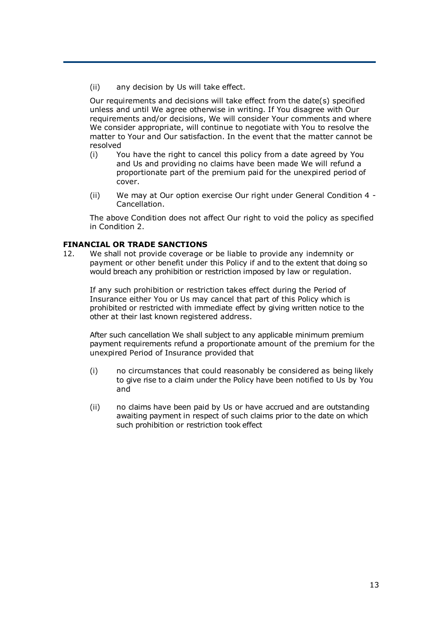(ii) any decision by Us will take effect.

Our requirements and decisions will take effect from the date(s) specified unless and until We agree otherwise in writing. If You disagree with Our requirements and/or decisions, We will consider Your comments and where We consider appropriate, will continue to negotiate with You to resolve the matter to Your and Our satisfaction. In the event that the matter cannot be resolved

- (i) You have the right to cancel this policy from a date agreed by You and Us and providing no claims have been made We will refund a proportionate part of the premium paid for the unexpired period of cover.
- (ii) We may at Our option exercise Our right under General Condition 4 Cancellation.

The above Condition does not affect Our right to void the policy as specified in Condition 2.

## **FINANCIAL OR TRADE SANCTIONS**

12. We shall not provide coverage or be liable to provide any indemnity or payment or other benefit under this Policy if and to the extent that doing so would breach any prohibition or restriction imposed by law or regulation.

If any such prohibition or restriction takes effect during the Period of Insurance either You or Us may cancel that part of this Policy which is prohibited or restricted with immediate effect by giving written notice to the other at their last known registered address.

After such cancellation We shall subject to any applicable minimum premium payment requirements refund a proportionate amount of the premium for the unexpired Period of Insurance provided that

- (i) no circumstances that could reasonably be considered as being likely to give rise to a claim under the Policy have been notified to Us by You and
- (ii) no claims have been paid by Us or have accrued and are outstanding awaiting payment in respect of such claims prior to the date on which such prohibition or restriction took effect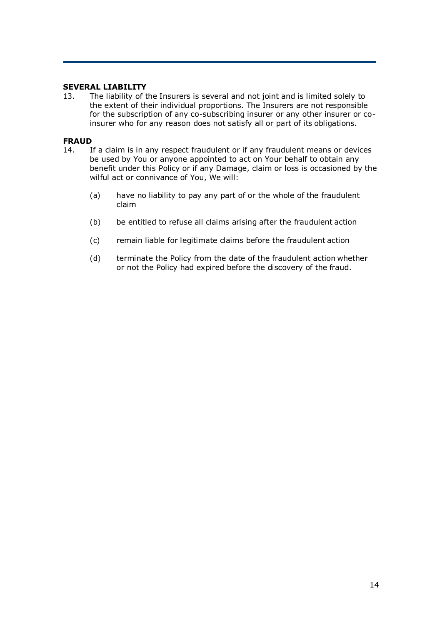### **SEVERAL LIABILITY**

13. The liability of the Insurers is several and not joint and is limited solely to the extent of their individual proportions. The Insurers are not responsible for the subscription of any co-subscribing insurer or any other insurer or coinsurer who for any reason does not satisfy all or part of its obligations.

#### **FRAUD**

- 14. If a claim is in any respect fraudulent or if any fraudulent means or devices be used by You or anyone appointed to act on Your behalf to obtain any benefit under this Policy or if any Damage, claim or loss is occasioned by the wilful act or connivance of You, We will:
	- (a) have no liability to pay any part of or the whole of the fraudulent claim
	- (b) be entitled to refuse all claims arising after the fraudulent action
	- (c) remain liable for legitimate claims before the fraudulent action
	- (d) terminate the Policy from the date of the fraudulent action whether or not the Policy had expired before the discovery of the fraud.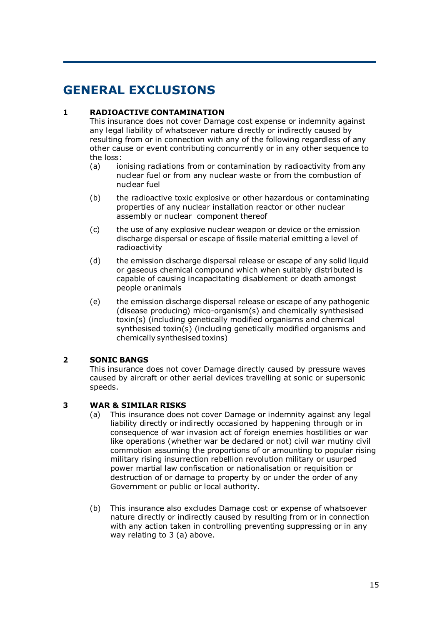# **GENERAL EXCLUSIONS**

## **1 RADIOACTIVE CONTAMINATION**

This insurance does not cover Damage cost expense or indemnity against any legal liability of whatsoever nature directly or indirectly caused by resulting from or in connection with any of the following regardless of any other cause or event contributing concurrently or in any other sequence to the loss:

- (a) ionising radiations from or contamination by radioactivity from any nuclear fuel or from any nuclear waste or from the combustion of nuclear fuel
- (b) the radioactive toxic explosive or other hazardous or contaminating properties of any nuclear installation reactor or other nuclear assembly or nuclear component thereof
- (c) the use of any explosive nuclear weapon or device or the emission discharge dispersal or escape of fissile material emitting a level of radioactivity
- (d) the emission discharge dispersal release or escape of any solid liquid or gaseous chemical compound which when suitably distributed is capable of causing incapacitating disablement or death amongst people or animals
- (e) the emission discharge dispersal release or escape of any pathogenic (disease producing) mico-organism(s) and chemically synthesised toxin(s) (including genetically modified organisms and chemical synthesised toxin(s) (including genetically modified organisms and chemically synthesised toxins)

## **2 SONIC BANGS**

This insurance does not cover Damage directly caused by pressure waves caused by aircraft or other aerial devices travelling at sonic or supersonic speeds.

## **3 WAR & SIMILAR RISKS**

- (a) This insurance does not cover Damage or indemnity against any legal liability directly or indirectly occasioned by happening through or in consequence of war invasion act of foreign enemies hostilities or war like operations (whether war be declared or not) civil war mutiny civil commotion assuming the proportions of or amounting to popular rising military rising insurrection rebellion revolution military or usurped power martial law confiscation or nationalisation or requisition or destruction of or damage to property by or under the order of any Government or public or local authority.
- (b) This insurance also excludes Damage cost or expense of whatsoever nature directly or indirectly caused by resulting from or in connection with any action taken in controlling preventing suppressing or in any way relating to 3 (a) above.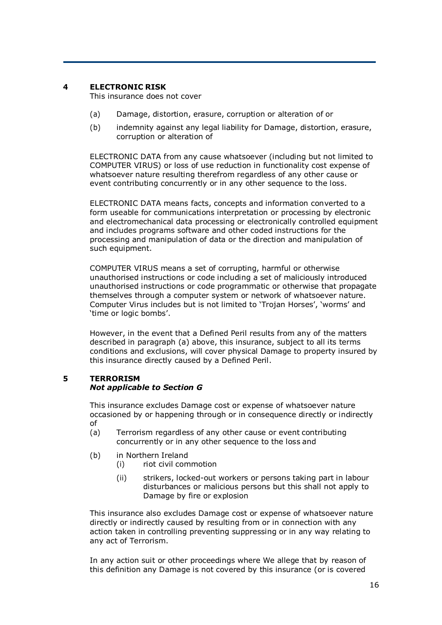## **4 ELECTRONIC RISK**

This insurance does not cover

- (a) Damage, distortion, erasure, corruption or alteration of or
- (b) indemnity against any legal liability for Damage, distortion, erasure, corruption or alteration of

ELECTRONIC DATA from any cause whatsoever (including but not limited to COMPUTER VIRUS) or loss of use reduction in functionality cost expense of whatsoever nature resulting therefrom regardless of any other cause or event contributing concurrently or in any other sequence to the loss.

ELECTRONIC DATA means facts, concepts and information converted to a form useable for communications interpretation or processing by electronic and electromechanical data processing or electronically controlled equipment and includes programs software and other coded instructions for the processing and manipulation of data or the direction and manipulation of such equipment.

COMPUTER VIRUS means a set of corrupting, harmful or otherwise unauthorised instructions or code including a set of maliciously introduced unauthorised instructions or code programmatic or otherwise that propagate themselves through a computer system or network of whatsoever nature. Computer Virus includes but is not limited to 'Trojan Horses', 'worms' and 'time or logic bombs'.

However, in the event that a Defined Peril results from any of the matters described in paragraph (a) above, this insurance, subject to all its terms conditions and exclusions, will cover physical Damage to property insured by this insurance directly caused by a Defined Peril.

#### **5 TERRORISM** *Not applicable to Section G*

This insurance excludes Damage cost or expense of whatsoever nature occasioned by or happening through or in consequence directly or indirectly of

- (a) Terrorism regardless of any other cause or event contributing concurrently or in any other sequence to the loss and
- (b) in Northern Ireland
	- (i) riot civil commotion
	- (ii) strikers, locked-out workers or persons taking part in labour disturbances or malicious persons but this shall not apply to Damage by fire or explosion

This insurance also excludes Damage cost or expense of whatsoever nature directly or indirectly caused by resulting from or in connection with any action taken in controlling preventing suppressing or in any way relating to any act of Terrorism.

In any action suit or other proceedings where We allege that by reason of this definition any Damage is not covered by this insurance (or is covered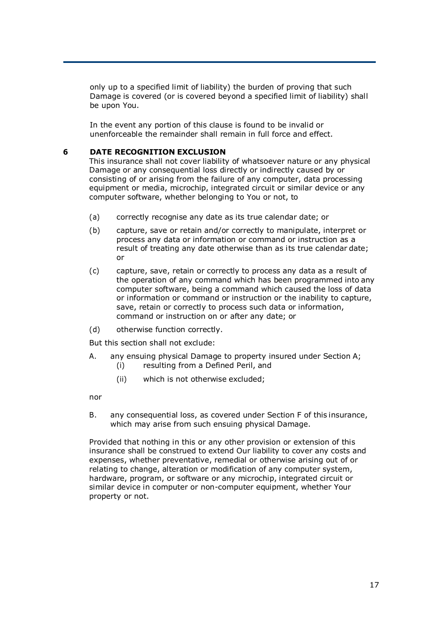only up to a specified limit of liability) the burden of proving that such Damage is covered (or is covered beyond a specified limit of liability) shall be upon You.

In the event any portion of this clause is found to be invalid or unenforceable the remainder shall remain in full force and effect.

## **6 DATE RECOGNITION EXCLUSION**

This insurance shall not cover liability of whatsoever nature or any physical Damage or any consequential loss directly or indirectly caused by or consisting of or arising from the failure of any computer, data processing equipment or media, microchip, integrated circuit or similar device or any computer software, whether belonging to You or not, to

- (a) correctly recognise any date as its true calendar date; or
- (b) capture, save or retain and/or correctly to manipulate, interpret or process any data or information or command or instruction as a result of treating any date otherwise than as its true calendar date; or
- (c) capture, save, retain or correctly to process any data as a result of the operation of any command which has been programmed into any computer software, being a command which caused the loss of data or information or command or instruction or the inability to capture, save, retain or correctly to process such data or information, command or instruction on or after any date; or
- (d) otherwise function correctly.

But this section shall not exclude:

- A. any ensuing physical Damage to property insured under Section A; (i) resulting from a Defined Peril, and
	- (ii) which is not otherwise excluded;

nor

B. any consequential loss, as covered under Section F of this insurance, which may arise from such ensuing physical Damage.

Provided that nothing in this or any other provision or extension of this insurance shall be construed to extend Our liability to cover any costs and expenses, whether preventative, remedial or otherwise arising out of or relating to change, alteration or modification of any computer system, hardware, program, or software or any microchip, integrated circuit or similar device in computer or non-computer equipment, whether Your property or not.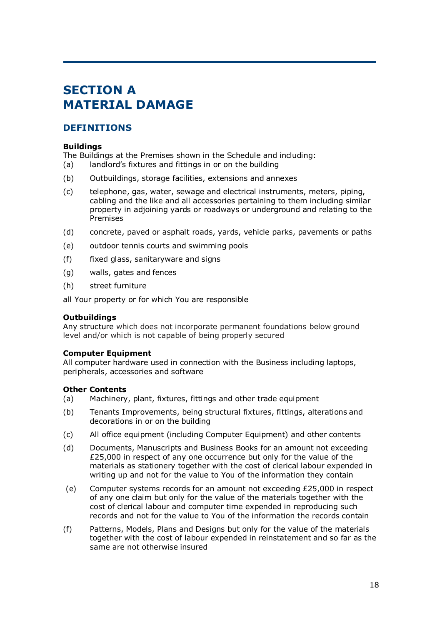# **SECTION A MATERIAL DAMAGE**

## **DEFINITIONS**

## **Buildings**

The Buildings at the Premises shown in the Schedule and including:

- (a) landlord's fixtures and fittings in or on the building
- (b) Outbuildings, storage facilities, extensions and annexes
- (c) telephone, gas, water, sewage and electrical instruments, meters, piping, cabling and the like and all accessories pertaining to them including similar property in adjoining yards or roadways or underground and relating to the Premises
- (d) concrete, paved or asphalt roads, yards, vehicle parks, pavements or paths
- (e) outdoor tennis courts and swimming pools
- (f) fixed glass, sanitaryware and signs
- (g) walls, gates and fences
- (h) street furniture

all Your property or for which You are responsible

## **Outbuildings**

Any structure which does not incorporate permanent foundations below ground level and/or which is not capable of being properly secured

#### **Computer Equipment**

All computer hardware used in connection with the Business including laptops, peripherals, accessories and software

## **Other Contents**

- (a) Machinery, plant, fixtures, fittings and other trade equipment
- (b) Tenants Improvements, being structural fixtures, fittings, alterations and decorations in or on the building
- (c) All office equipment (including Computer Equipment) and other contents
- (d) Documents, Manuscripts and Business Books for an amount not exceeding £25,000 in respect of any one occurrence but only for the value of the materials as stationery together with the cost of clerical labour expended in writing up and not for the value to You of the information they contain
- (e) Computer systems records for an amount not exceeding £25,000 in respect of any one claim but only for the value of the materials together with the cost of clerical labour and computer time expended in reproducing such records and not for the value to You of the information the records contain
- (f) Patterns, Models, Plans and Designs but only for the value of the materials together with the cost of labour expended in reinstatement and so far as the same are not otherwise insured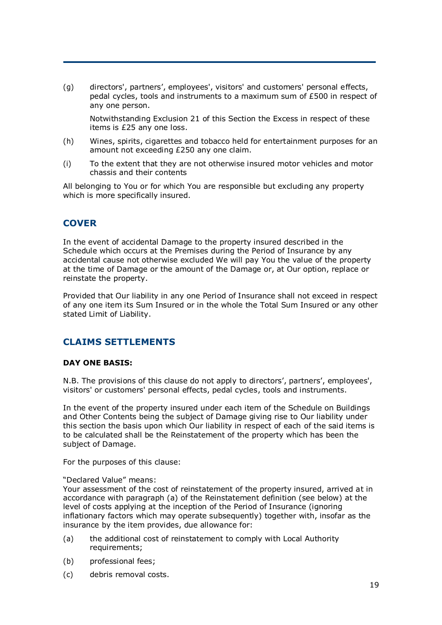(g) directors', partners', employees', visitors' and customers' personal effects, pedal cycles, tools and instruments to a maximum sum of £500 in respect of any one person.

Notwithstanding Exclusion 21 of this Section the Excess in respect of these items is £25 any one loss.

- (h) Wines, spirits, cigarettes and tobacco held for entertainment purposes for an amount not exceeding £250 any one claim.
- (i) To the extent that they are not otherwise insured motor vehicles and motor chassis and their contents

All belonging to You or for which You are responsible but excluding any property which is more specifically insured.

## **COVER**

In the event of accidental Damage to the property insured described in the Schedule which occurs at the Premises during the Period of Insurance by any accidental cause not otherwise excluded We will pay You the value of the property at the time of Damage or the amount of the Damage or, at Our option, replace or reinstate the property.

Provided that Our liability in any one Period of Insurance shall not exceed in respect of any one item its Sum Insured or in the whole the Total Sum Insured or any other stated Limit of Liability.

## **CLAIMS SETTLEMENTS**

#### **DAY ONE BASIS:**

N.B. The provisions of this clause do not apply to directors', partners', employees', visitors' or customers' personal effects, pedal cycles, tools and instruments.

In the event of the property insured under each item of the Schedule on Buildings and Other Contents being the subject of Damage giving rise to Our liability under this section the basis upon which Our liability in respect of each of the said items is to be calculated shall be the Reinstatement of the property which has been the subject of Damage.

For the purposes of this clause:

#### "Declared Value" means:

Your assessment of the cost of reinstatement of the property insured, arrived at in accordance with paragraph (a) of the Reinstatement definition (see below) at the level of costs applying at the inception of the Period of Insurance (ignoring inflationary factors which may operate subsequently) together with, insofar as the insurance by the item provides, due allowance for:

- (a) the additional cost of reinstatement to comply with Local Authority requirements;
- (b) professional fees;
- (c) debris removal costs.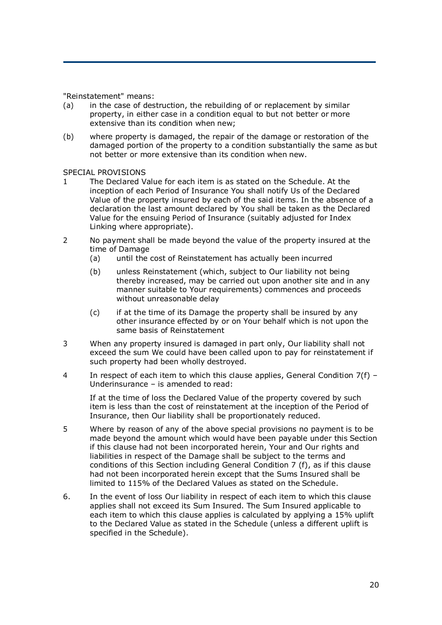"Reinstatement" means:

- (a) in the case of destruction, the rebuilding of or replacement by similar property, in either case in a condition equal to but not better or more extensive than its condition when new;
- (b) where property is damaged, the repair of the damage or restoration of the damaged portion of the property to a condition substantially the same as but not better or more extensive than its condition when new.

#### SPECIAL PROVISIONS

- 1 The Declared Value for each item is as stated on the Schedule. At the inception of each Period of Insurance You shall notify Us of the Declared Value of the property insured by each of the said items. In the absence of a declaration the last amount declared by You shall be taken as the Declared Value for the ensuing Period of Insurance (suitably adjusted for Index Linking where appropriate).
- 2 No payment shall be made beyond the value of the property insured at the time of Damage
	- (a) until the cost of Reinstatement has actually been incurred
	- (b) unless Reinstatement (which, subject to Our liability not being thereby increased, may be carried out upon another site and in any manner suitable to Your requirements) commences and proceeds without unreasonable delay
	- (c) if at the time of its Damage the property shall be insured by any other insurance effected by or on Your behalf which is not upon the same basis of Reinstatement
- 3 When any property insured is damaged in part only, Our liability shall not exceed the sum We could have been called upon to pay for reinstatement if such property had been wholly destroyed.
- 4 In respect of each item to which this clause applies, General Condition  $7(f)$  Underinsurance – is amended to read:

If at the time of loss the Declared Value of the property covered by such item is less than the cost of reinstatement at the inception of the Period of Insurance, then Our liability shall be proportionately reduced.

- 5 Where by reason of any of the above special provisions no payment is to be made beyond the amount which would have been payable under this Section if this clause had not been incorporated herein, Your and Our rights and liabilities in respect of the Damage shall be subject to the terms and conditions of this Section including General Condition 7 (f), as if this clause had not been incorporated herein except that the Sums Insured shall be limited to 115% of the Declared Values as stated on the Schedule.
- 6. In the event of loss Our liability in respect of each item to which this clause applies shall not exceed its Sum Insured. The Sum Insured applicable to each item to which this clause applies is calculated by applying a 15% uplift to the Declared Value as stated in the Schedule (unless a different uplift is specified in the Schedule).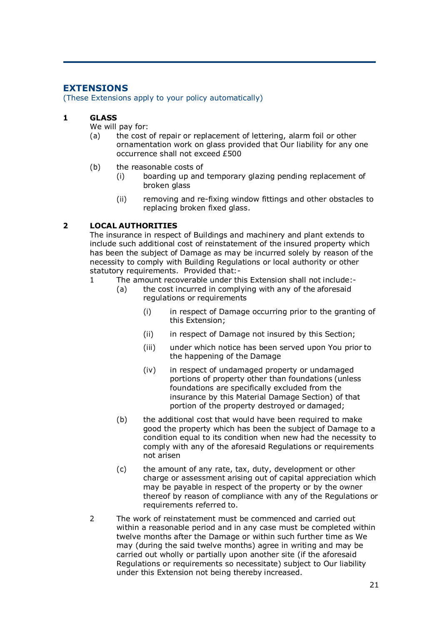## **EXTENSIONS**

(These Extensions apply to your policy automatically)

### **1 GLASS**

We will pay for:

- (a) the cost of repair or replacement of lettering, alarm foil or other ornamentation work on glass provided that Our liability for any one occurrence shall not exceed £500
- (b) the reasonable costs of
	- (i) boarding up and temporary glazing pending replacement of broken glass
	- (ii) removing and re-fixing window fittings and other obstacles to replacing broken fixed glass.

## **2 LOCAL AUTHORITIES**

The insurance in respect of Buildings and machinery and plant extends to include such additional cost of reinstatement of the insured property which has been the subject of Damage as may be incurred solely by reason of the necessity to comply with Building Regulations or local authority or other statutory requirements. Provided that:-

- 1 The amount recoverable under this Extension shall not include:-
	- (a) the cost incurred in complying with any of the aforesaid regulations or requirements
		- (i) in respect of Damage occurring prior to the granting of this Extension;
		- (ii) in respect of Damage not insured by this Section;
		- (iii) under which notice has been served upon You prior to the happening of the Damage
		- (iv) in respect of undamaged property or undamaged portions of property other than foundations (unless foundations are specifically excluded from the insurance by this Material Damage Section) of that portion of the property destroyed or damaged;
	- (b) the additional cost that would have been required to make good the property which has been the subject of Damage to a condition equal to its condition when new had the necessity to comply with any of the aforesaid Regulations or requirements not arisen
	- (c) the amount of any rate, tax, duty, development or other charge or assessment arising out of capital appreciation which may be payable in respect of the property or by the owner thereof by reason of compliance with any of the Regulations or requirements referred to.
- 2 The work of reinstatement must be commenced and carried out within a reasonable period and in any case must be completed within twelve months after the Damage or within such further time as We may (during the said twelve months) agree in writing and may be carried out wholly or partially upon another site (if the aforesaid Regulations or requirements so necessitate) subject to Our liability under this Extension not being thereby increased.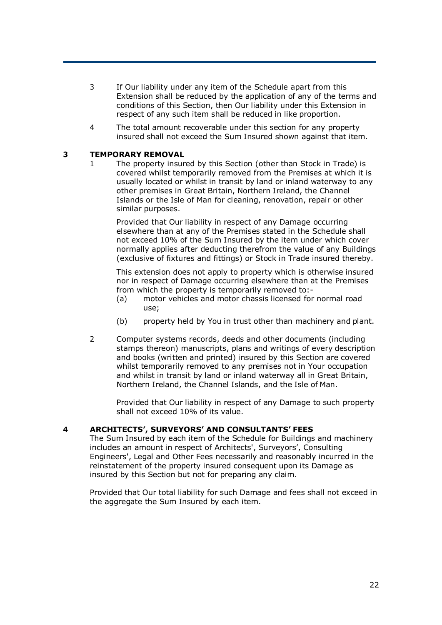- 3 If Our liability under any item of the Schedule apart from this Extension shall be reduced by the application of any of the terms and conditions of this Section, then Our liability under this Extension in respect of any such item shall be reduced in like proportion.
- 4 The total amount recoverable under this section for any property insured shall not exceed the Sum Insured shown against that item.

### **3 TEMPORARY REMOVAL**

1 The property insured by this Section (other than Stock in Trade) is covered whilst temporarily removed from the Premises at which it is usually located or whilst in transit by land or inland waterway to any other premises in Great Britain, Northern Ireland, the Channel Islands or the Isle of Man for cleaning, renovation, repair or other similar purposes.

Provided that Our liability in respect of any Damage occurring elsewhere than at any of the Premises stated in the Schedule shall not exceed 10% of the Sum Insured by the item under which cover normally applies after deducting therefrom the value of any Buildings (exclusive of fixtures and fittings) or Stock in Trade insured thereby.

This extension does not apply to property which is otherwise insured nor in respect of Damage occurring elsewhere than at the Premises from which the property is temporarily removed to:-

- (a) motor vehicles and motor chassis licensed for normal road use;
- (b) property held by You in trust other than machinery and plant.
- 2 Computer systems records, deeds and other documents (including stamps thereon) manuscripts, plans and writings of every description and books (written and printed) insured by this Section are covered whilst temporarily removed to any premises not in Your occupation and whilst in transit by land or inland waterway all in Great Britain, Northern Ireland, the Channel Islands, and the Isle of Man.

Provided that Our liability in respect of any Damage to such property shall not exceed 10% of its value.

#### **4 ARCHITECTS', SURVEYORS' AND CONSULTANTS' FEES**

The Sum Insured by each item of the Schedule for Buildings and machinery includes an amount in respect of Architects', Surveyors', Consulting Engineers', Legal and Other Fees necessarily and reasonably incurred in the reinstatement of the property insured consequent upon its Damage as insured by this Section but not for preparing any claim.

Provided that Our total liability for such Damage and fees shall not exceed in the aggregate the Sum Insured by each item.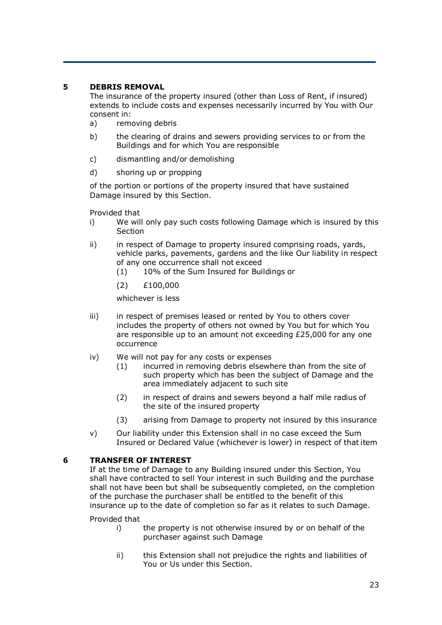## **5 DEBRIS REMOVAL**

The insurance of the property insured (other than Loss of Rent, if insured) extends to include costs and expenses necessarily incurred by You with Our consent in:

- a) removing debris
- b) the clearing of drains and sewers providing services to or from the Buildings and for which You are responsible
- c) dismantling and/or demolishing
- d) shoring up or propping

of the portion or portions of the property insured that have sustained Damage insured by this Section.

Provided that

- i) We will only pay such costs following Damage which is insured by this **Section**
- ii) in respect of Damage to property insured comprising roads, yards, vehicle parks, pavements, gardens and the like Our liability in respect of any one occurrence shall not exceed
	- (1) 10% of the Sum Insured for Buildings or
	- (2) £100,000

whichever is less

- iii) in respect of premises leased or rented by You to others cover includes the property of others not owned by You but for which You are responsible up to an amount not exceeding £25,000 for any one occurrence
- iv) We will not pay for any costs or expenses
	- (1) incurred in removing debris elsewhere than from the site of such property which has been the subject of Damage and the area immediately adjacent to such site
	- (2) in respect of drains and sewers beyond a half mile radius of the site of the insured property
	- (3) arising from Damage to property not insured by this insurance
- v) Our liability under this Extension shall in no case exceed the Sum Insured or Declared Value (whichever is lower) in respect of that item

## **6 TRANSFER OF INTEREST**

If at the time of Damage to any Building insured under this Section, You shall have contracted to sell Your interest in such Building and the purchase shall not have been but shall be subsequently completed, on the completion of the purchase the purchaser shall be entitled to the benefit of this insurance up to the date of completion so far as it relates to such Damage.

Provided that

- i) the property is not otherwise insured by or on behalf of the purchaser against such Damage
- ii) this Extension shall not prejudice the rights and liabilities of You or Us under this Section.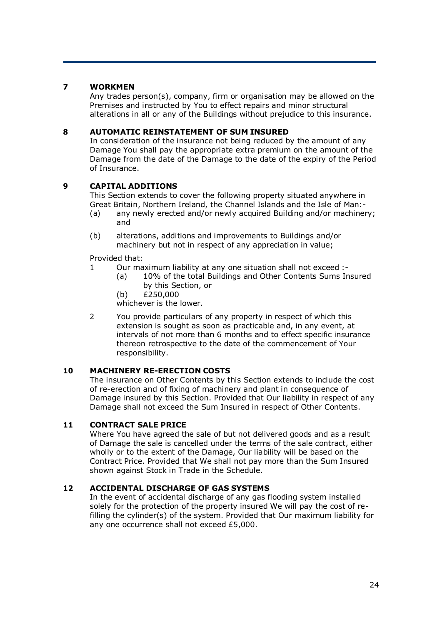## **7 WORKMEN**

Any trades person(s), company, firm or organisation may be allowed on the Premises and instructed by You to effect repairs and minor structural alterations in all or any of the Buildings without prejudice to this insurance.

## **8 AUTOMATIC REINSTATEMENT OF SUM INSURED**

In consideration of the insurance not being reduced by the amount of any Damage You shall pay the appropriate extra premium on the amount of the Damage from the date of the Damage to the date of the expiry of the Period of Insurance.

## **9 CAPITAL ADDITIONS**

This Section extends to cover the following property situated anywhere in Great Britain, Northern Ireland, the Channel Islands and the Isle of Man:-

- (a) any newly erected and/or newly acquired Building and/or machinery; and
- (b) alterations, additions and improvements to Buildings and/or machinery but not in respect of any appreciation in value;

Provided that:

- 1 Our maximum liability at any one situation shall not exceed :-
	- (a) 10% of the total Buildings and Other Contents Sums Insured by this Section, or
	- (b) £250,000

whichever is the lower.

2 You provide particulars of any property in respect of which this extension is sought as soon as practicable and, in any event, at intervals of not more than 6 months and to effect specific insurance thereon retrospective to the date of the commencement of Your responsibility.

## **10 MACHINERY RE-ERECTION COSTS**

The insurance on Other Contents by this Section extends to include the cost of re-erection and of fixing of machinery and plant in consequence of Damage insured by this Section. Provided that Our liability in respect of any Damage shall not exceed the Sum Insured in respect of Other Contents.

## **11 CONTRACT SALE PRICE**

Where You have agreed the sale of but not delivered goods and as a result of Damage the sale is cancelled under the terms of the sale contract, either wholly or to the extent of the Damage, Our liability will be based on the Contract Price. Provided that We shall not pay more than the Sum Insured shown against Stock in Trade in the Schedule.

## **12 ACCIDENTAL DISCHARGE OF GAS SYSTEMS**

In the event of accidental discharge of any gas flooding system installed solely for the protection of the property insured We will pay the cost of refilling the cylinder(s) of the system. Provided that Our maximum liability for any one occurrence shall not exceed £5,000.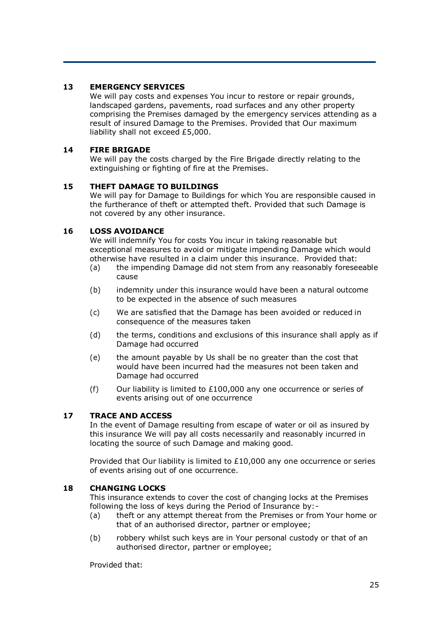## **13 EMERGENCY SERVICES**

We will pay costs and expenses You incur to restore or repair grounds, landscaped gardens, pavements, road surfaces and any other property comprising the Premises damaged by the emergency services attending as a result of insured Damage to the Premises. Provided that Our maximum liability shall not exceed £5,000.

## **14 FIRE BRIGADE**

We will pay the costs charged by the Fire Brigade directly relating to the extinguishing or fighting of fire at the Premises.

## **15 THEFT DAMAGE TO BUILDINGS**

We will pay for Damage to Buildings for which You are responsible caused in the furtherance of theft or attempted theft. Provided that such Damage is not covered by any other insurance.

### **16 LOSS AVOIDANCE**

We will indemnify You for costs You incur in taking reasonable but exceptional measures to avoid or mitigate impending Damage which would otherwise have resulted in a claim under this insurance. Provided that:

- (a) the impending Damage did not stem from any reasonably foreseeable cause
- (b) indemnity under this insurance would have been a natural outcome to be expected in the absence of such measures
- (c) We are satisfied that the Damage has been avoided or reduced in consequence of the measures taken
- (d) the terms, conditions and exclusions of this insurance shall apply as if Damage had occurred
- (e) the amount payable by Us shall be no greater than the cost that would have been incurred had the measures not been taken and Damage had occurred
- (f) Our liability is limited to  $£100,000$  any one occurrence or series of events arising out of one occurrence

## **17 TRACE AND ACCESS**

In the event of Damage resulting from escape of water or oil as insured by this insurance We will pay all costs necessarily and reasonably incurred in locating the source of such Damage and making good.

Provided that Our liability is limited to £10,000 any one occurrence or series of events arising out of one occurrence.

#### **18 CHANGING LOCKS**

This insurance extends to cover the cost of changing locks at the Premises following the loss of keys during the Period of Insurance by:-

- (a) theft or any attempt thereat from the Premises or from Your home or that of an authorised director, partner or employee;
- (b) robbery whilst such keys are in Your personal custody or that of an authorised director, partner or employee;

Provided that: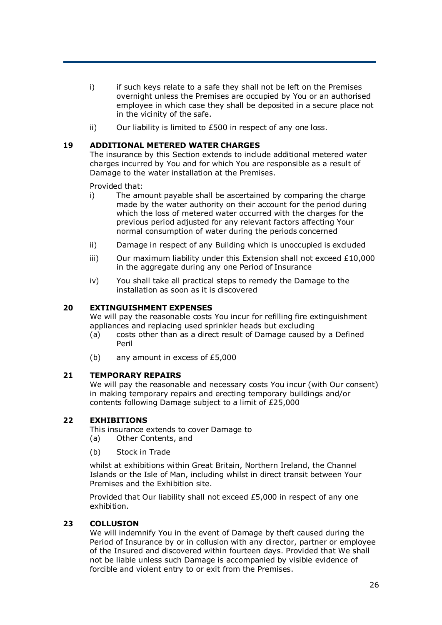- i) if such keys relate to a safe they shall not be left on the Premises overnight unless the Premises are occupied by You or an authorised employee in which case they shall be deposited in a secure place not in the vicinity of the safe.
- ii) Our liability is limited to £500 in respect of any one loss.

### **19 ADDITIONAL METERED WATER CHARGES**

The insurance by this Section extends to include additional metered water charges incurred by You and for which You are responsible as a result of Damage to the water installation at the Premises.

Provided that:

- i) The amount payable shall be ascertained by comparing the charge made by the water authority on their account for the period during which the loss of metered water occurred with the charges for the previous period adjusted for any relevant factors affecting Your normal consumption of water during the periods concerned
- ii) Damage in respect of any Building which is unoccupied is excluded
- iii) Our maximum liability under this Extension shall not exceed  $£10,000$ in the aggregate during any one Period of Insurance
- iv) You shall take all practical steps to remedy the Damage to the installation as soon as it is discovered

### **20 EXTINGUISHMENT EXPENSES**

We will pay the reasonable costs You incur for refilling fire extinguishment appliances and replacing used sprinkler heads but excluding

- (a) costs other than as a direct result of Damage caused by a Defined Peril
- (b) any amount in excess of £5,000

#### **21 TEMPORARY REPAIRS**

We will pay the reasonable and necessary costs You incur (with Our consent) in making temporary repairs and erecting temporary buildings and/or contents following Damage subject to a limit of £25,000

## **22 EXHIBITIONS**

This insurance extends to cover Damage to (a) Other Contents, and

(b) Stock in Trade

whilst at exhibitions within Great Britain, Northern Ireland, the Channel Islands or the Isle of Man, including whilst in direct transit between Your Premises and the Exhibition site.

Provided that Our liability shall not exceed £5,000 in respect of any one exhibition.

## **23 COLLUSION**

We will indemnify You in the event of Damage by theft caused during the Period of Insurance by or in collusion with any director, partner or employee of the Insured and discovered within fourteen days. Provided that We shall not be liable unless such Damage is accompanied by visible evidence of forcible and violent entry to or exit from the Premises.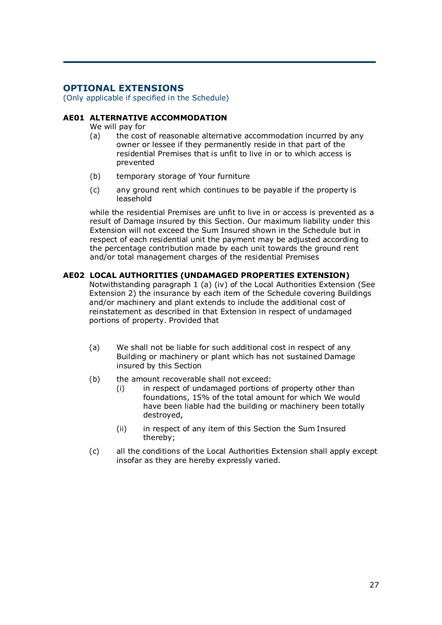## **OPTIONAL EXTENSIONS**

(Only applicable if specified in the Schedule)

## **AE01 ALTERNATIVE ACCOMMODATION**

We will pay for

- (a) the cost of reasonable alternative accommodation incurred by any owner or lessee if they permanently reside in that part of the residential Premises that is unfit to live in or to which access is prevented
- (b) temporary storage of Your furniture
- (c) any ground rent which continues to be payable if the property is leasehold

while the residential Premises are unfit to live in or access is prevented as a result of Damage insured by this Section. Our maximum liability under this Extension will not exceed the Sum Insured shown in the Schedule but in respect of each residential unit the payment may be adjusted according to the percentage contribution made by each unit towards the ground rent and/or total management charges of the residential Premises

### **AE02 LOCAL AUTHORITIES (UNDAMAGED PROPERTIES EXTENSION)**

Notwithstanding paragraph 1 (a) (iv) of the Local Authorities Extension (See Extension 2) the insurance by each item of the Schedule covering Buildings and/or machinery and plant extends to include the additional cost of reinstatement as described in that Extension in respect of undamaged portions of property. Provided that

- (a) We shall not be liable for such additional cost in respect of any Building or machinery or plant which has not sustained Damage insured by this Section
- (b) the amount recoverable shall not exceed:
	- (i) in respect of undamaged portions of property other than foundations, 15% of the total amount for which We would have been liable had the building or machinery been totally destroyed,
	- (ii) in respect of any item of this Section the Sum Insured thereby;
- (c) all the conditions of the Local Authorities Extension shall apply except insofar as they are hereby expressly varied.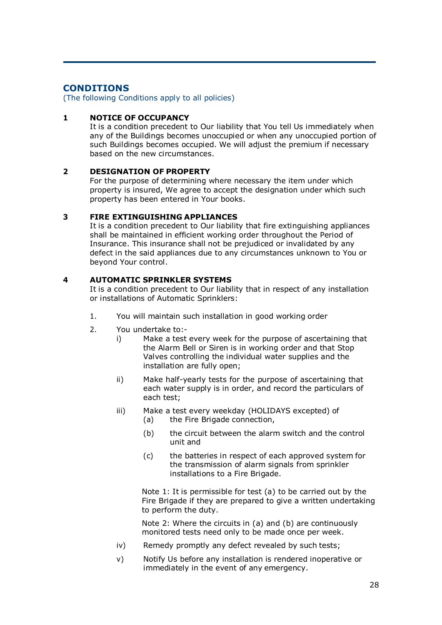## **CONDITIONS**

(The following Conditions apply to all policies)

## **1 NOTICE OF OCCUPANCY**

It is a condition precedent to Our liability that You tell Us immediately when any of the Buildings becomes unoccupied or when any unoccupied portion of such Buildings becomes occupied. We will adjust the premium if necessary based on the new circumstances.

## **2 DESIGNATION OF PROPERTY**

For the purpose of determining where necessary the item under which property is insured, We agree to accept the designation under which such property has been entered in Your books.

## **3 FIRE EXTINGUISHING APPLIANCES**

It is a condition precedent to Our liability that fire extinguishing appliances shall be maintained in efficient working order throughout the Period of Insurance. This insurance shall not be prejudiced or invalidated by any defect in the said appliances due to any circumstances unknown to You or beyond Your control.

## **4 AUTOMATIC SPRINKLER SYSTEMS**

It is a condition precedent to Our liability that in respect of any installation or installations of Automatic Sprinklers:

- 1. You will maintain such installation in good working order
- 2. You undertake to:
	- i) Make a test every week for the purpose of ascertaining that the Alarm Bell or Siren is in working order and that Stop Valves controlling the individual water supplies and the installation are fully open;
	- ii) Make half-yearly tests for the purpose of ascertaining that each water supply is in order, and record the particulars of each test;
	- iii) Make a test every weekday (HOLIDAYS excepted) of
		- (a) the Fire Brigade connection,
		- (b) the circuit between the alarm switch and the control unit and
		- (c) the batteries in respect of each approved system for the transmission of alarm signals from sprinkler installations to a Fire Brigade.

Note 1: It is permissible for test (a) to be carried out by the Fire Brigade if they are prepared to give a written undertaking to perform the duty.

Note 2: Where the circuits in (a) and (b) are continuously monitored tests need only to be made once per week.

- iv) Remedy promptly any defect revealed by such tests;
- v) Notify Us before any installation is rendered inoperative or immediately in the event of any emergency.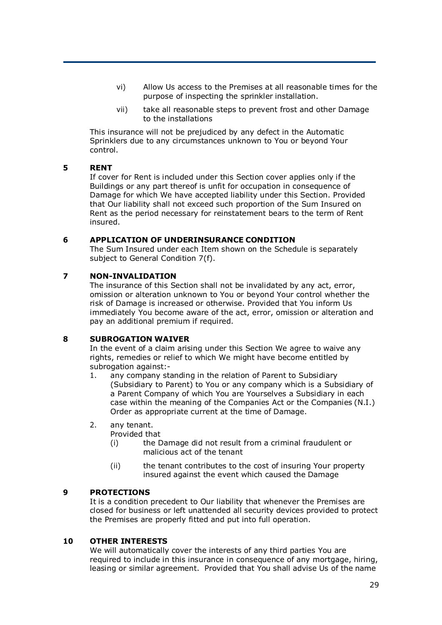- vi) Allow Us access to the Premises at all reasonable times for the purpose of inspecting the sprinkler installation.
- vii) take all reasonable steps to prevent frost and other Damage to the installations

This insurance will not be prejudiced by any defect in the Automatic Sprinklers due to any circumstances unknown to You or beyond Your control.

### **5 RENT**

If cover for Rent is included under this Section cover applies only if the Buildings or any part thereof is unfit for occupation in consequence of Damage for which We have accepted liability under this Section. Provided that Our liability shall not exceed such proportion of the Sum Insured on Rent as the period necessary for reinstatement bears to the term of Rent insured.

#### **6 APPLICATION OF UNDERINSURANCE CONDITION**

The Sum Insured under each Item shown on the Schedule is separately subject to General Condition 7(f).

### **7 NON-INVALIDATION**

The insurance of this Section shall not be invalidated by any act, error, omission or alteration unknown to You or beyond Your control whether the risk of Damage is increased or otherwise. Provided that You inform Us immediately You become aware of the act, error, omission or alteration and pay an additional premium if required.

#### **8 SUBROGATION WAIVER**

In the event of a claim arising under this Section We agree to waive any rights, remedies or relief to which We might have become entitled by subrogation against:-

- 1. any company standing in the relation of Parent to Subsidiary (Subsidiary to Parent) to You or any company which is a Subsidiary of a Parent Company of which You are Yourselves a Subsidiary in each case within the meaning of the Companies Act or the Companies (N.I.) Order as appropriate current at the time of Damage.
- 2. any tenant.

Provided that

- (i) the Damage did not result from a criminal fraudulent or malicious act of the tenant
- (ii) the tenant contributes to the cost of insuring Your property insured against the event which caused the Damage

#### **9 PROTECTIONS**

It is a condition precedent to Our liability that whenever the Premises are closed for business or left unattended all security devices provided to protect the Premises are properly fitted and put into full operation.

#### **10 OTHER INTERESTS**

We will automatically cover the interests of any third parties You are required to include in this insurance in consequence of any mortgage, hiring, leasing or similar agreement. Provided that You shall advise Us of the name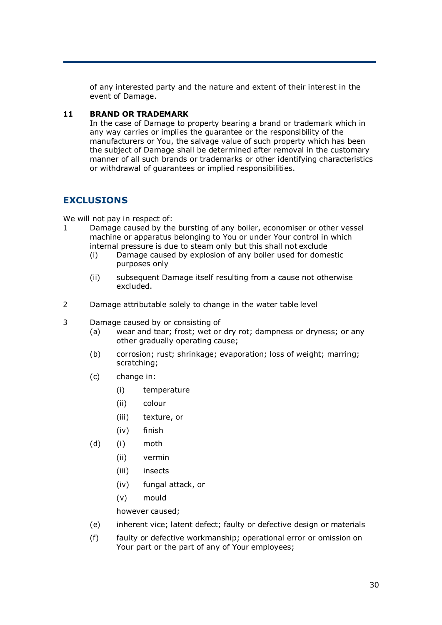of any interested party and the nature and extent of their interest in the event of Damage.

## **11 BRAND OR TRADEMARK**

In the case of Damage to property bearing a brand or trademark which in any way carries or implies the guarantee or the responsibility of the manufacturers or You, the salvage value of such property which has been the subject of Damage shall be determined after removal in the customary manner of all such brands or trademarks or other identifying characteristics or withdrawal of guarantees or implied responsibilities.

## **EXCLUSIONS**

We will not pay in respect of:

- 1 Damage caused by the bursting of any boiler, economiser or other vessel machine or apparatus belonging to You or under Your control in which internal pressure is due to steam only but this shall not exclude
	- (i) Damage caused by explosion of any boiler used for domestic purposes only
	- (ii) subsequent Damage itself resulting from a cause not otherwise excluded.
- 2 Damage attributable solely to change in the water table level
- 3 Damage caused by or consisting of
	- (a) wear and tear; frost; wet or dry rot; dampness or dryness; or any other gradually operating cause;
	- (b) corrosion; rust; shrinkage; evaporation; loss of weight; marring; scratching;
	- (c) change in:
		- (i) temperature
		- (ii) colour
		- (iii) texture, or
		- (iv) finish
	- (d) (i) moth
		- (ii) vermin
		- (iii) insects
		- (iv) fungal attack, or
		- (v) mould

however caused;

- (e) inherent vice; latent defect; faulty or defective design or materials
- (f) faulty or defective workmanship; operational error or omission on Your part or the part of any of Your employees;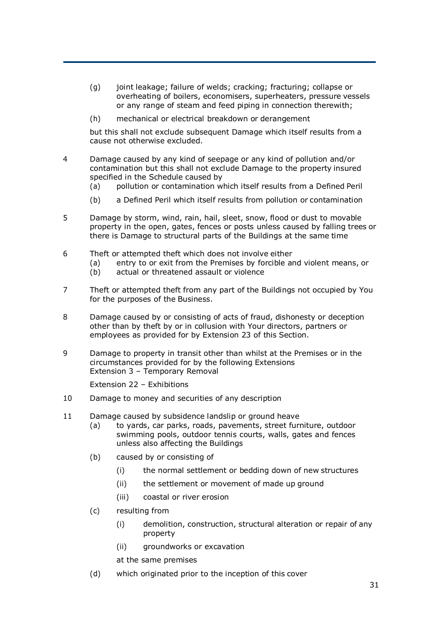- (g) joint leakage; failure of welds; cracking; fracturing; collapse or overheating of boilers, economisers, superheaters, pressure vessels or any range of steam and feed piping in connection therewith;
- (h) mechanical or electrical breakdown or derangement

but this shall not exclude subsequent Damage which itself results from a cause not otherwise excluded.

- 4 Damage caused by any kind of seepage or any kind of pollution and/or contamination but this shall not exclude Damage to the property insured specified in the Schedule caused by
	- (a) pollution or contamination which itself results from a Defined Peril
	- (b) a Defined Peril which itself results from pollution or contamination
- 5 Damage by storm, wind, rain, hail, sleet, snow, flood or dust to movable property in the open, gates, fences or posts unless caused by falling trees or there is Damage to structural parts of the Buildings at the same time
- 6 Theft or attempted theft which does not involve either
	- (a) entry to or exit from the Premises by forcible and violent means, or
	- (b) actual or threatened assault or violence
- 7 Theft or attempted theft from any part of the Buildings not occupied by You for the purposes of the Business.
- 8 Damage caused by or consisting of acts of fraud, dishonesty or deception other than by theft by or in collusion with Your directors, partners or employees as provided for by Extension 23 of this Section.
- 9 Damage to property in transit other than whilst at the Premises or in the circumstances provided for by the following Extensions Extension 3 – Temporary Removal

Extension 22 – Exhibitions

- 10 Damage to money and securities of any description
- 11 Damage caused by subsidence landslip or ground heave
	- (a) to yards, car parks, roads, pavements, street furniture, outdoor swimming pools, outdoor tennis courts, walls, gates and fences unless also affecting the Buildings
	- (b) caused by or consisting of
		- (i) the normal settlement or bedding down of new structures
		- (ii) the settlement or movement of made up ground
		- (iii) coastal or river erosion
	- (c) resulting from
		- (i) demolition, construction, structural alteration or repair of any property
		- (ii) groundworks or excavation
		- at the same premises
	- (d) which originated prior to the inception of this cover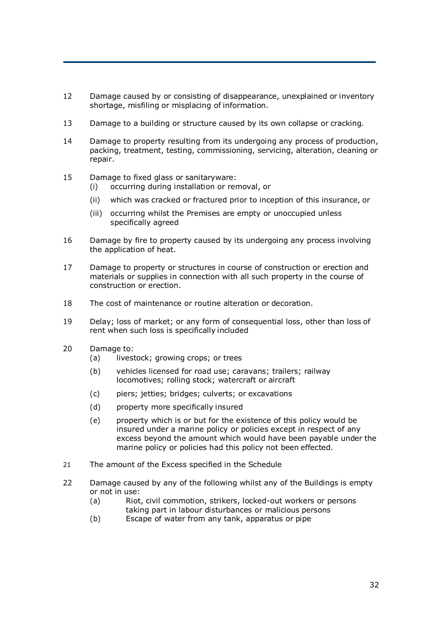- 12 Damage caused by or consisting of disappearance, unexplained or inventory shortage, misfiling or misplacing of information.
- 13 Damage to a building or structure caused by its own collapse or cracking.
- 14 Damage to property resulting from its undergoing any process of production, packing, treatment, testing, commissioning, servicing, alteration, cleaning or repair.
- 15 Damage to fixed glass or sanitaryware:
	- (i) occurring during installation or removal, or
	- (ii) which was cracked or fractured prior to inception of this insurance, or
	- (iii) occurring whilst the Premises are empty or unoccupied unless specifically agreed
- 16 Damage by fire to property caused by its undergoing any process involving the application of heat.
- 17 Damage to property or structures in course of construction or erection and materials or supplies in connection with all such property in the course of construction or erection.
- 18 The cost of maintenance or routine alteration or decoration.
- 19 Delay; loss of market; or any form of consequential loss, other than loss of rent when such loss is specifically included
- 20 Damage to:
	- (a) livestock; growing crops; or trees
	- (b) vehicles licensed for road use; caravans; trailers; railway locomotives; rolling stock; watercraft or aircraft
	- (c) piers; jetties; bridges; culverts; or excavations
	- (d) property more specifically insured
	- (e) property which is or but for the existence of this policy would be insured under a marine policy or policies except in respect of any excess beyond the amount which would have been payable under the marine policy or policies had this policy not been effected.
- 21 The amount of the Excess specified in the Schedule
- 22 Damage caused by any of the following whilst any of the Buildings is empty or not in use:
	- (a) Riot, civil commotion, strikers, locked-out workers or persons taking part in labour disturbances or malicious persons
	- (b) Escape of water from any tank, apparatus or pipe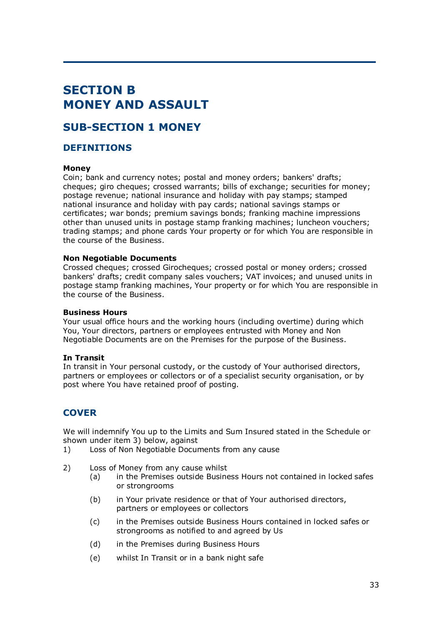# **SECTION B MONEY AND ASSAULT**

## **SUB-SECTION 1 MONEY**

## **DEFINITIONS**

### **Money**

Coin; bank and currency notes; postal and money orders; bankers' drafts; cheques; giro cheques; crossed warrants; bills of exchange; securities for money; postage revenue; national insurance and holiday with pay stamps; stamped national insurance and holiday with pay cards; national savings stamps or certificates; war bonds; premium savings bonds; franking machine impressions other than unused units in postage stamp franking machines; luncheon vouchers; trading stamps; and phone cards Your property or for which You are responsible in the course of the Business.

#### **Non Negotiable Documents**

Crossed cheques; crossed Girocheques; crossed postal or money orders; crossed bankers' drafts; credit company sales vouchers; VAT invoices; and unused units in postage stamp franking machines, Your property or for which You are responsible in the course of the Business.

#### **Business Hours**

Your usual office hours and the working hours (including overtime) during which You, Your directors, partners or employees entrusted with Money and Non Negotiable Documents are on the Premises for the purpose of the Business.

#### **In Transit**

In transit in Your personal custody, or the custody of Your authorised directors, partners or employees or collectors or of a specialist security organisation, or by post where You have retained proof of posting.

## **COVER**

We will indemnify You up to the Limits and Sum Insured stated in the Schedule or shown under item 3) below, against

- 1) Loss of Non Negotiable Documents from any cause
- 2) Loss of Money from any cause whilst
	- (a) in the Premises outside Business Hours not contained in locked safes or strongrooms
	- (b) in Your private residence or that of Your authorised directors, partners or employees or collectors
	- (c) in the Premises outside Business Hours contained in locked safes or strongrooms as notified to and agreed by Us
	- (d) in the Premises during Business Hours
	- (e) whilst In Transit or in a bank night safe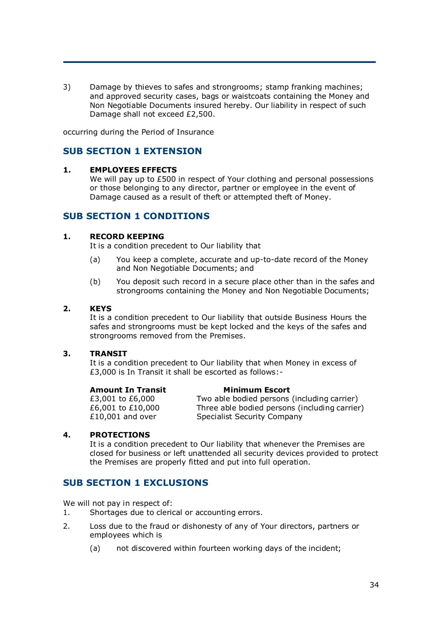3) Damage by thieves to safes and strongrooms; stamp franking machines; and approved security cases, bags or waistcoats containing the Money and Non Negotiable Documents insured hereby. Our liability in respect of such Damage shall not exceed £2,500.

occurring during the Period of Insurance

## **SUB SECTION 1 EXTENSION**

### **1. EMPLOYEES EFFECTS**

We will pay up to £500 in respect of Your clothing and personal possessions or those belonging to any director, partner or employee in the event of Damage caused as a result of theft or attempted theft of Money.

## **SUB SECTION 1 CONDITIONS**

#### **1. RECORD KEEPING**

It is a condition precedent to Our liability that

- (a) You keep a complete, accurate and up-to-date record of the Money and Non Negotiable Documents; and
- (b) You deposit such record in a secure place other than in the safes and strongrooms containing the Money and Non Negotiable Documents;

#### **2. KEYS**

It is a condition precedent to Our liability that outside Business Hours the safes and strongrooms must be kept locked and the keys of the safes and strongrooms removed from the Premises.

#### **3. TRANSIT**

It is a condition precedent to Our liability that when Money in excess of £3,000 is In Transit it shall be escorted as follows:-

| <b>Amount In Transit</b> | <b>Minimum Escort</b>                         |
|--------------------------|-----------------------------------------------|
| £3,001 to £6,000         | Two able bodied persons (including carrier)   |
| £6,001 to £10,000        | Three able bodied persons (including carrier) |
| $£10,001$ and over       | <b>Specialist Security Company</b>            |

## **4. PROTECTIONS**

It is a condition precedent to Our liability that whenever the Premises are closed for business or left unattended all security devices provided to protect the Premises are properly fitted and put into full operation.

## **SUB SECTION 1 EXCLUSIONS**

We will not pay in respect of:

- 1. Shortages due to clerical or accounting errors.
- 2. Loss due to the fraud or dishonesty of any of Your directors, partners or employees which is
	- (a) not discovered within fourteen working days of the incident;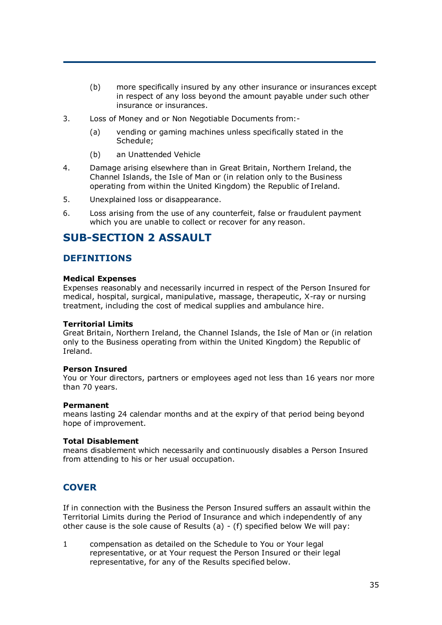- (b) more specifically insured by any other insurance or insurances except in respect of any loss beyond the amount payable under such other insurance or insurances.
- 3. Loss of Money and or Non Negotiable Documents from:-
	- (a) vending or gaming machines unless specifically stated in the Schedule;
	- (b) an Unattended Vehicle
- 4. Damage arising elsewhere than in Great Britain, Northern Ireland, the Channel Islands, the Isle of Man or (in relation only to the Business operating from within the United Kingdom) the Republic of Ireland.
- 5. Unexplained loss or disappearance.
- 6. Loss arising from the use of any counterfeit, false or fraudulent payment which you are unable to collect or recover for any reason.

## **SUB-SECTION 2 ASSAULT**

## **DEFINITIONS**

### **Medical Expenses**

Expenses reasonably and necessarily incurred in respect of the Person Insured for medical, hospital, surgical, manipulative, massage, therapeutic, X-ray or nursing treatment, including the cost of medical supplies and ambulance hire.

#### **Territorial Limits**

Great Britain, Northern Ireland, the Channel Islands, the Isle of Man or (in relation only to the Business operating from within the United Kingdom) the Republic of Ireland.

#### **Person Insured**

You or Your directors, partners or employees aged not less than 16 years nor more than 70 years.

#### **Permanent**

means lasting 24 calendar months and at the expiry of that period being beyond hope of improvement.

#### **Total Disablement**

means disablement which necessarily and continuously disables a Person Insured from attending to his or her usual occupation.

## **COVER**

If in connection with the Business the Person Insured suffers an assault within the Territorial Limits during the Period of Insurance and which independently of any other cause is the sole cause of Results (a) - (f) specified below We will pay:

1 compensation as detailed on the Schedule to You or Your legal representative, or at Your request the Person Insured or their legal representative, for any of the Results specified below.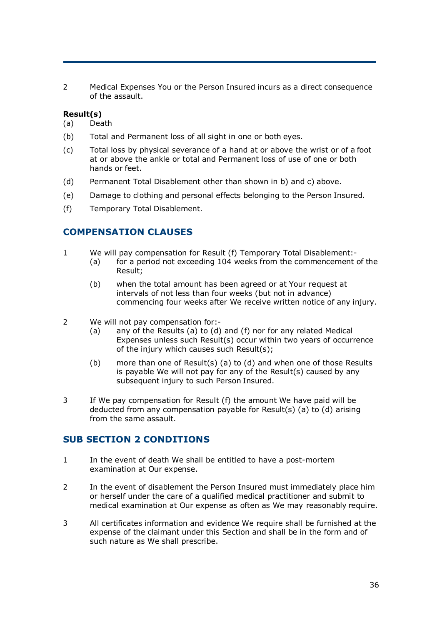2 Medical Expenses You or the Person Insured incurs as a direct consequence of the assault.

## **Result(s)**

(a) Death

- (b) Total and Permanent loss of all sight in one or both eyes.
- (c) Total loss by physical severance of a hand at or above the wrist or of a foot at or above the ankle or total and Permanent loss of use of one or both hands or feet.
- (d) Permanent Total Disablement other than shown in b) and c) above.
- (e) Damage to clothing and personal effects belonging to the Person Insured.
- (f) Temporary Total Disablement.

## **COMPENSATION CLAUSES**

- 1 We will pay compensation for Result (f) Temporary Total Disablement:-
	- (a) for a period not exceeding 104 weeks from the commencement of the Result;
	- (b) when the total amount has been agreed or at Your request at intervals of not less than four weeks (but not in advance) commencing four weeks after We receive written notice of any injury.
- 2 We will not pay compensation for:-
	- (a) any of the Results (a) to (d) and (f) nor for any related Medical Expenses unless such Result(s) occur within two years of occurrence of the injury which causes such Result(s);
	- (b) more than one of Result(s) (a) to (d) and when one of those Results is payable We will not pay for any of the Result(s) caused by any subsequent injury to such Person Insured.
- 3 If We pay compensation for Result (f) the amount We have paid will be deducted from any compensation payable for Result(s) (a) to (d) arising from the same assault.

## **SUB SECTION 2 CONDITIONS**

- 1 In the event of death We shall be entitled to have a post-mortem examination at Our expense.
- 2 In the event of disablement the Person Insured must immediately place him or herself under the care of a qualified medical practitioner and submit to medical examination at Our expense as often as We may reasonably require.
- 3 All certificates information and evidence We require shall be furnished at the expense of the claimant under this Section and shall be in the form and of such nature as We shall prescribe.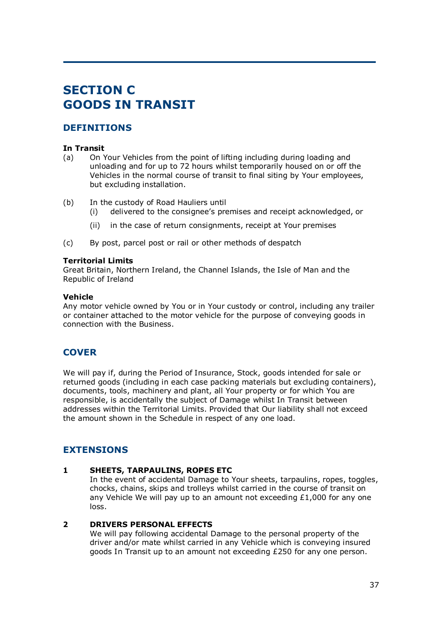# **SECTION C GOODS IN TRANSIT**

# **DEFINITIONS**

## **In Transit**

- (a) On Your Vehicles from the point of lifting including during loading and unloading and for up to 72 hours whilst temporarily housed on or off the Vehicles in the normal course of transit to final siting by Your employees, but excluding installation.
- (b) In the custody of Road Hauliers until
	- (i) delivered to the consignee's premises and receipt acknowledged, or
	- (ii) in the case of return consignments, receipt at Your premises
- (c) By post, parcel post or rail or other methods of despatch

#### **Territorial Limits**

Great Britain, Northern Ireland, the Channel Islands, the Isle of Man and the Republic of Ireland

#### **Vehicle**

Any motor vehicle owned by You or in Your custody or control, including any trailer or container attached to the motor vehicle for the purpose of conveying goods in connection with the Business.

# **COVER**

We will pay if, during the Period of Insurance, Stock, goods intended for sale or returned goods (including in each case packing materials but excluding containers), documents, tools, machinery and plant, all Your property or for which You are responsible, is accidentally the subject of Damage whilst In Transit between addresses within the Territorial Limits. Provided that Our liability shall not exceed the amount shown in the Schedule in respect of any one load.

# **EXTENSIONS**

## **1 SHEETS, TARPAULINS, ROPES ETC**

In the event of accidental Damage to Your sheets, tarpaulins, ropes, toggles, chocks, chains, skips and trolleys whilst carried in the course of transit on any Vehicle We will pay up to an amount not exceeding  $£1,000$  for any one loss.

## **2 DRIVERS PERSONAL EFFECTS**

We will pay following accidental Damage to the personal property of the driver and/or mate whilst carried in any Vehicle which is conveying insured goods In Transit up to an amount not exceeding £250 for any one person.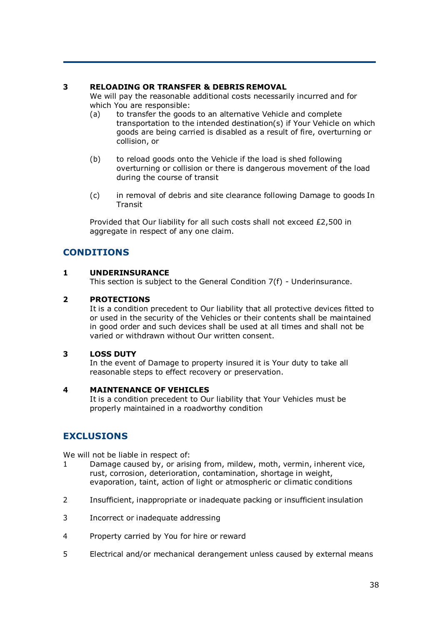## **3 RELOADING OR TRANSFER & DEBRIS REMOVAL**

We will pay the reasonable additional costs necessarily incurred and for which You are responsible:

- (a) to transfer the goods to an alternative Vehicle and complete transportation to the intended destination(s) if Your Vehicle on which goods are being carried is disabled as a result of fire, overturning or collision, or
- (b) to reload goods onto the Vehicle if the load is shed following overturning or collision or there is dangerous movement of the load during the course of transit
- (c) in removal of debris and site clearance following Damage to goods In Transit

Provided that Our liability for all such costs shall not exceed £2,500 in aggregate in respect of any one claim.

# **CONDITIONS**

## **1 UNDERINSURANCE**

This section is subject to the General Condition 7(f) - Underinsurance.

## **2 PROTECTIONS**

It is a condition precedent to Our liability that all protective devices fitted to or used in the security of the Vehicles or their contents shall be maintained in good order and such devices shall be used at all times and shall not be varied or withdrawn without Our written consent.

## **3 LOSS DUTY**

In the event of Damage to property insured it is Your duty to take all reasonable steps to effect recovery or preservation.

#### **4 MAINTENANCE OF VEHICLES**

It is a condition precedent to Our liability that Your Vehicles must be properly maintained in a roadworthy condition

# **EXCLUSIONS**

We will not be liable in respect of:

- 1 Damage caused by, or arising from, mildew, moth, vermin, inherent vice, rust, corrosion, deterioration, contamination, shortage in weight, evaporation, taint, action of light or atmospheric or climatic conditions
- 2 Insufficient, inappropriate or inadequate packing or insufficient insulation
- 3 Incorrect or inadequate addressing
- 4 Property carried by You for hire or reward
- 5 Electrical and/or mechanical derangement unless caused by external means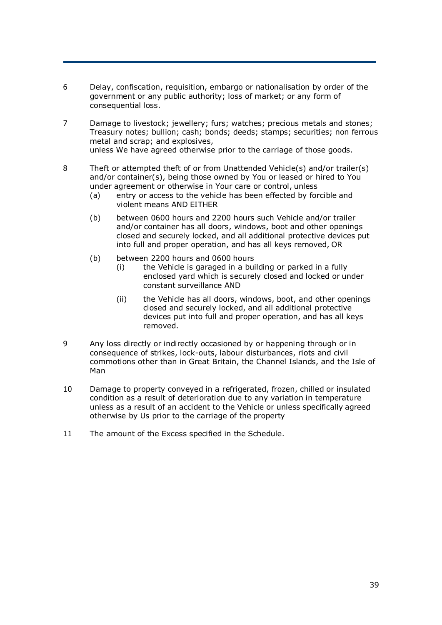- 6 Delay, confiscation, requisition, embargo or nationalisation by order of the government or any public authority; loss of market; or any form of consequential loss.
- 7 Damage to livestock; jewellery; furs; watches; precious metals and stones; Treasury notes; bullion; cash; bonds; deeds; stamps; securities; non ferrous metal and scrap; and explosives, unless We have agreed otherwise prior to the carriage of those goods.
- 8 Theft or attempted theft of or from Unattended Vehicle(s) and/or trailer(s) and/or container(s), being those owned by You or leased or hired to You under agreement or otherwise in Your care or control, unless
	- (a) entry or access to the vehicle has been effected by forcible and violent means AND EITHER
	- (b) between 0600 hours and 2200 hours such Vehicle and/or trailer and/or container has all doors, windows, boot and other openings closed and securely locked, and all additional protective devices put into full and proper operation, and has all keys removed, OR
	- (b) between 2200 hours and 0600 hours
		- (i) the Vehicle is garaged in a building or parked in a fully enclosed yard which is securely closed and locked or under constant surveillance AND
		- (ii) the Vehicle has all doors, windows, boot, and other openings closed and securely locked, and all additional protective devices put into full and proper operation, and has all keys removed.
- 9 Any loss directly or indirectly occasioned by or happening through or in consequence of strikes, lock-outs, labour disturbances, riots and civil commotions other than in Great Britain, the Channel Islands, and the Isle of Man
- 10 Damage to property conveyed in a refrigerated, frozen, chilled or insulated condition as a result of deterioration due to any variation in temperature unless as a result of an accident to the Vehicle or unless specifically agreed otherwise by Us prior to the carriage of the property
- 11 The amount of the Excess specified in the Schedule.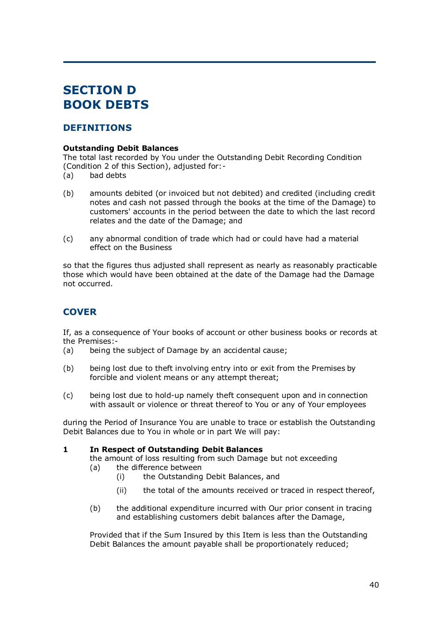# **SECTION D BOOK DEBTS**

# **DEFINITIONS**

## **Outstanding Debit Balances**

The total last recorded by You under the Outstanding Debit Recording Condition (Condition 2 of this Section), adjusted for:-

- (a) bad debts
- (b) amounts debited (or invoiced but not debited) and credited (including credit notes and cash not passed through the books at the time of the Damage) to customers' accounts in the period between the date to which the last record relates and the date of the Damage; and
- (c) any abnormal condition of trade which had or could have had a material effect on the Business

so that the figures thus adjusted shall represent as nearly as reasonably practicable those which would have been obtained at the date of the Damage had the Damage not occurred.

# **COVER**

If, as a consequence of Your books of account or other business books or records at the Premises:-

- (a) being the subject of Damage by an accidental cause;
- (b) being lost due to theft involving entry into or exit from the Premises by forcible and violent means or any attempt thereat;
- (c) being lost due to hold-up namely theft consequent upon and in connection with assault or violence or threat thereof to You or any of Your employees

during the Period of Insurance You are unable to trace or establish the Outstanding Debit Balances due to You in whole or in part We will pay:

## **1 In Respect of Outstanding Debit Balances**

the amount of loss resulting from such Damage but not exceeding (a) the difference between

- (i) the Outstanding Debit Balances, and
- (ii) the total of the amounts received or traced in respect thereof,
- (b) the additional expenditure incurred with Our prior consent in tracing and establishing customers debit balances after the Damage,

Provided that if the Sum Insured by this Item is less than the Outstanding Debit Balances the amount payable shall be proportionately reduced;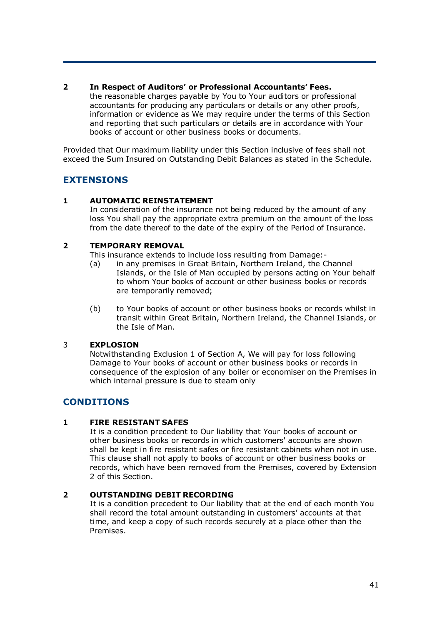## **2 In Respect of Auditors' or Professional Accountants' Fees.**

the reasonable charges payable by You to Your auditors or professional accountants for producing any particulars or details or any other proofs, information or evidence as We may require under the terms of this Section and reporting that such particulars or details are in accordance with Your books of account or other business books or documents.

Provided that Our maximum liability under this Section inclusive of fees shall not exceed the Sum Insured on Outstanding Debit Balances as stated in the Schedule.

# **EXTENSIONS**

## **1 AUTOMATIC REINSTATEMENT**

In consideration of the insurance not being reduced by the amount of any loss You shall pay the appropriate extra premium on the amount of the loss from the date thereof to the date of the expiry of the Period of Insurance.

#### **2 TEMPORARY REMOVAL**

This insurance extends to include loss resulting from Damage:-

- (a) in any premises in Great Britain, Northern Ireland, the Channel Islands, or the Isle of Man occupied by persons acting on Your behalf to whom Your books of account or other business books or records are temporarily removed;
- (b) to Your books of account or other business books or records whilst in transit within Great Britain, Northern Ireland, the Channel Islands, or the Isle of Man.

## 3 **EXPLOSION**

Notwithstanding Exclusion 1 of Section A, We will pay for loss following Damage to Your books of account or other business books or records in consequence of the explosion of any boiler or economiser on the Premises in which internal pressure is due to steam only

# **CONDITIONS**

## **1 FIRE RESISTANT SAFES**

It is a condition precedent to Our liability that Your books of account or other business books or records in which customers' accounts are shown shall be kept in fire resistant safes or fire resistant cabinets when not in use. This clause shall not apply to books of account or other business books or records, which have been removed from the Premises, covered by Extension 2 of this Section.

#### **2 OUTSTANDING DEBIT RECORDING**

It is a condition precedent to Our liability that at the end of each month You shall record the total amount outstanding in customers' accounts at that time, and keep a copy of such records securely at a place other than the Premises.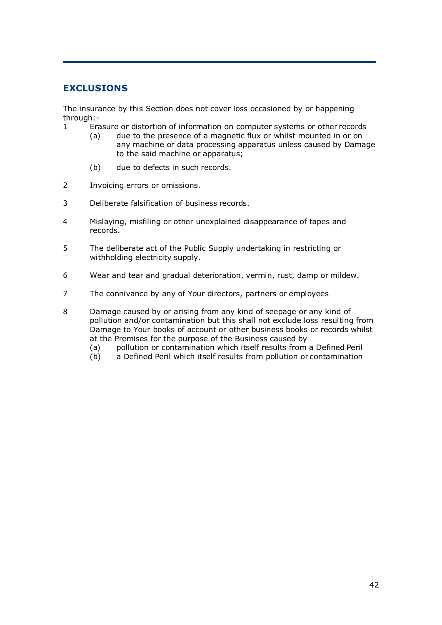# **EXCLUSIONS**

The insurance by this Section does not cover loss occasioned by or happening through:-

- 1 Erasure or distortion of information on computer systems or other records
	- (a) due to the presence of a magnetic flux or whilst mounted in or on any machine or data processing apparatus unless caused by Damage to the said machine or apparatus;
	- (b) due to defects in such records.
- 2 Invoicing errors or omissions.
- 3 Deliberate falsification of business records.
- 4 Mislaying, misfiling or other unexplained disappearance of tapes and records.
- 5 The deliberate act of the Public Supply undertaking in restricting or withholding electricity supply.
- 6 Wear and tear and gradual deterioration, vermin, rust, damp or mildew.
- 7 The connivance by any of Your directors, partners or employees

8 Damage caused by or arising from any kind of seepage or any kind of pollution and/or contamination but this shall not exclude loss resulting from Damage to Your books of account or other business books or records whilst at the Premises for the purpose of the Business caused by

- (a) pollution or contamination which itself results from a Defined Peril
- (b) a Defined Peril which itself results from pollution or contamination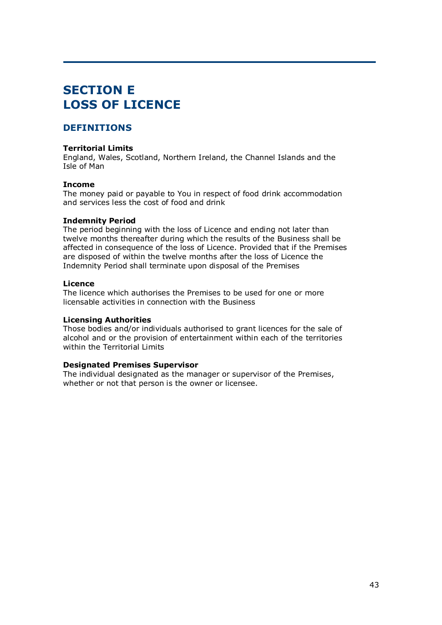# **SECTION E LOSS OF LICENCE**

# **DEFINITIONS**

#### **Territorial Limits**

England, Wales, Scotland, Northern Ireland, the Channel Islands and the Isle of Man

#### **Income**

The money paid or payable to You in respect of food drink accommodation and services less the cost of food and drink

#### **Indemnity Period**

The period beginning with the loss of Licence and ending not later than twelve months thereafter during which the results of the Business shall be affected in consequence of the loss of Licence. Provided that if the Premises are disposed of within the twelve months after the loss of Licence the Indemnity Period shall terminate upon disposal of the Premises

#### **Licence**

The licence which authorises the Premises to be used for one or more licensable activities in connection with the Business

#### **Licensing Authorities**

Those bodies and/or individuals authorised to grant licences for the sale of alcohol and or the provision of entertainment within each of the territories within the Territorial Limits

## **Designated Premises Supervisor**

The individual designated as the manager or supervisor of the Premises, whether or not that person is the owner or licensee.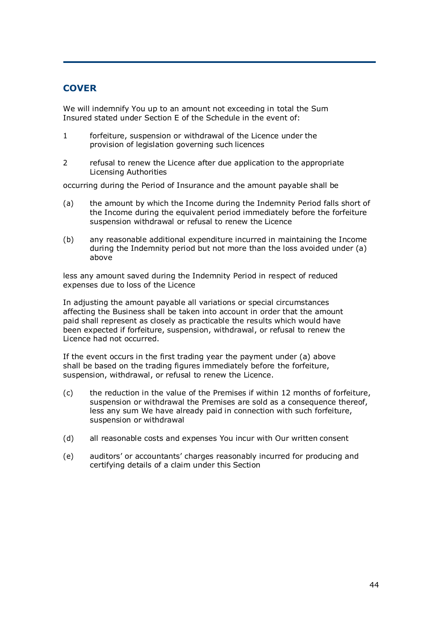# **COVER**

We will indemnify You up to an amount not exceeding in total the Sum Insured stated under Section E of the Schedule in the event of:

- 1 forfeiture, suspension or withdrawal of the Licence under the provision of legislation governing such licences
- 2 refusal to renew the Licence after due application to the appropriate Licensing Authorities

occurring during the Period of Insurance and the amount payable shall be

- (a) the amount by which the Income during the Indemnity Period falls short of the Income during the equivalent period immediately before the forfeiture suspension withdrawal or refusal to renew the Licence
- (b) any reasonable additional expenditure incurred in maintaining the Income during the Indemnity period but not more than the loss avoided under (a) above

less any amount saved during the Indemnity Period in respect of reduced expenses due to loss of the Licence

In adjusting the amount payable all variations or special circumstances affecting the Business shall be taken into account in order that the amount paid shall represent as closely as practicable the results which would have been expected if forfeiture, suspension, withdrawal, or refusal to renew the Licence had not occurred.

If the event occurs in the first trading year the payment under (a) above shall be based on the trading figures immediately before the forfeiture, suspension, withdrawal, or refusal to renew the Licence.

- (c) the reduction in the value of the Premises if within 12 months of forfeiture, suspension or withdrawal the Premises are sold as a consequence thereof, less any sum We have already paid in connection with such forfeiture, suspension or withdrawal
- (d) all reasonable costs and expenses You incur with Our written consent
- (e) auditors' or accountants' charges reasonably incurred for producing and certifying details of a claim under this Section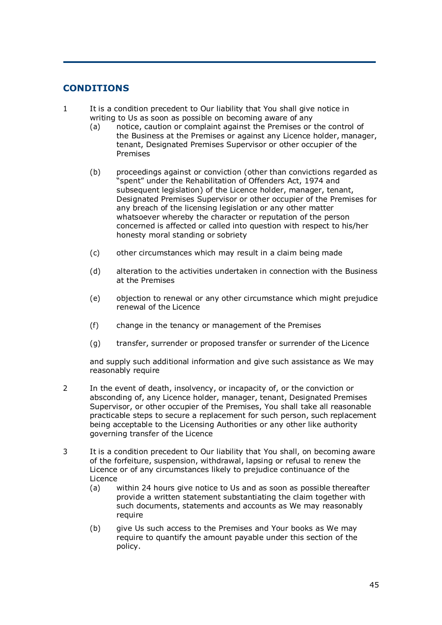# **CONDITIONS**

- 1 It is a condition precedent to Our liability that You shall give notice in writing to Us as soon as possible on becoming aware of any
	- (a) notice, caution or complaint against the Premises or the control of the Business at the Premises or against any Licence holder, manager, tenant, Designated Premises Supervisor or other occupier of the Premises
	- (b) proceedings against or conviction (other than convictions regarded as "spent" under the Rehabilitation of Offenders Act, 1974 and subsequent legislation) of the Licence holder, manager, tenant, Designated Premises Supervisor or other occupier of the Premises for any breach of the licensing legislation or any other matter whatsoever whereby the character or reputation of the person concerned is affected or called into question with respect to his/her honesty moral standing or sobriety
	- (c) other circumstances which may result in a claim being made
	- (d) alteration to the activities undertaken in connection with the Business at the Premises
	- (e) objection to renewal or any other circumstance which might prejudice renewal of the Licence
	- (f) change in the tenancy or management of the Premises
	- (g) transfer, surrender or proposed transfer or surrender of the Licence

and supply such additional information and give such assistance as We may reasonably require

- 2 In the event of death, insolvency, or incapacity of, or the conviction or absconding of, any Licence holder, manager, tenant, Designated Premises Supervisor, or other occupier of the Premises, You shall take all reasonable practicable steps to secure a replacement for such person, such replacement being acceptable to the Licensing Authorities or any other like authority governing transfer of the Licence
- 3 It is a condition precedent to Our liability that You shall, on becoming aware of the forfeiture, suspension, withdrawal, lapsing or refusal to renew the Licence or of any circumstances likely to prejudice continuance of the Licence
	- (a) within 24 hours give notice to Us and as soon as possible thereafter provide a written statement substantiating the claim together with such documents, statements and accounts as We may reasonably require
	- (b) give Us such access to the Premises and Your books as We may require to quantify the amount payable under this section of the policy.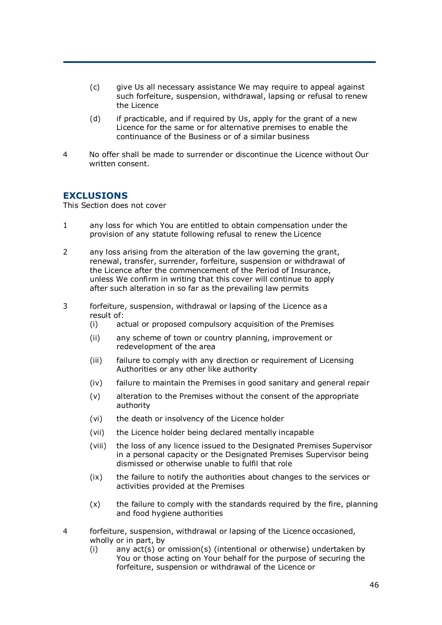- (c) give Us all necessary assistance We may require to appeal against such forfeiture, suspension, withdrawal, lapsing or refusal to renew the Licence
- (d) if practicable, and if required by Us, apply for the grant of a new Licence for the same or for alternative premises to enable the continuance of the Business or of a similar business
- 4 No offer shall be made to surrender or discontinue the Licence without Our written consent.

## **EXCLUSIONS**

This Section does not cover

- 1 any loss for which You are entitled to obtain compensation under the provision of any statute following refusal to renew the Licence
- 2 any loss arising from the alteration of the law governing the grant, renewal, transfer, surrender, forfeiture, suspension or withdrawal of the Licence after the commencement of the Period of Insurance, unless We confirm in writing that this cover will continue to apply after such alteration in so far as the prevailing law permits
- 3 forfeiture, suspension, withdrawal or lapsing of the Licence as a result of:
	- (i) actual or proposed compulsory acquisition of the Premises
	- (ii) any scheme of town or country planning, improvement or redevelopment of the area
	- (iii) failure to comply with any direction or requirement of Licensing Authorities or any other like authority
	- (iv) failure to maintain the Premises in good sanitary and general repair
	- (v) alteration to the Premises without the consent of the appropriate authority
	- (vi) the death or insolvency of the Licence holder
	- (vii) the Licence holder being declared mentally incapable
	- (viii) the loss of any licence issued to the Designated Premises Supervisor in a personal capacity or the Designated Premises Supervisor being dismissed or otherwise unable to fulfil that role
	- (ix) the failure to notify the authorities about changes to the services or activities provided at the Premises
	- (x) the failure to comply with the standards required by the fire, planning and food hygiene authorities
- 4 forfeiture, suspension, withdrawal or lapsing of the Licence occasioned, wholly or in part, by
	- (i) any act(s) or omission(s) (intentional or otherwise) undertaken by You or those acting on Your behalf for the purpose of securing the forfeiture, suspension or withdrawal of the Licence or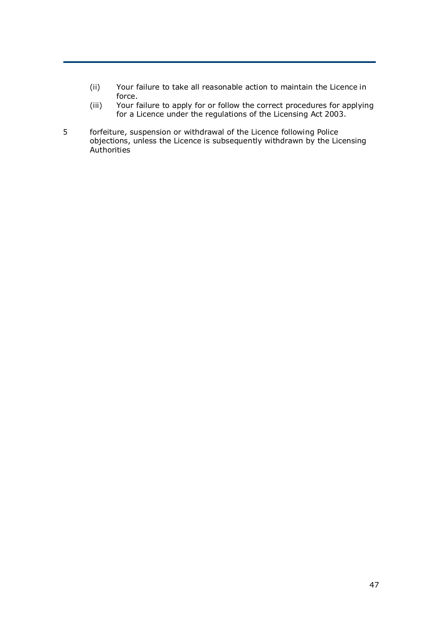- (ii) Your failure to take all reasonable action to maintain the Licence in force.
- (iii) Your failure to apply for or follow the correct procedures for applying for a Licence under the regulations of the Licensing Act 2003.
- 5 forfeiture, suspension or withdrawal of the Licence following Police objections, unless the Licence is subsequently withdrawn by the Licensing **Authorities**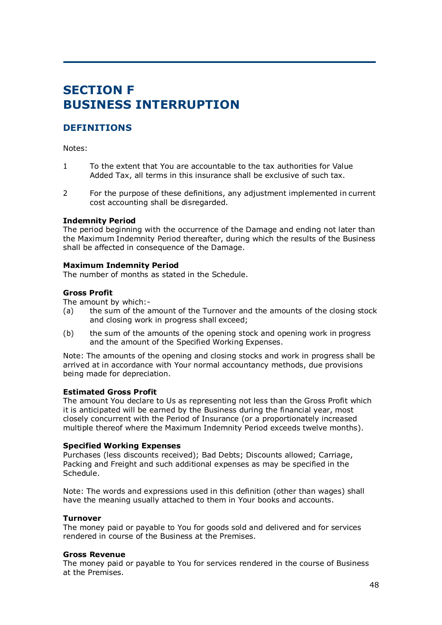# **SECTION F BUSINESS INTERRUPTION**

# **DEFINITIONS**

Notes:

- 1 To the extent that You are accountable to the tax authorities for Value Added Tax, all terms in this insurance shall be exclusive of such tax.
- 2 For the purpose of these definitions, any adjustment implemented in current cost accounting shall be disregarded.

#### **Indemnity Period**

The period beginning with the occurrence of the Damage and ending not later than the Maximum Indemnity Period thereafter, during which the results of the Business shall be affected in consequence of the Damage.

#### **Maximum Indemnity Period**

The number of months as stated in the Schedule.

#### **Gross Profit**

The amount by which:-

- (a) the sum of the amount of the Turnover and the amounts of the closing stock and closing work in progress shall exceed;
- (b) the sum of the amounts of the opening stock and opening work in progress and the amount of the Specified Working Expenses.

Note: The amounts of the opening and closing stocks and work in progress shall be arrived at in accordance with Your normal accountancy methods, due provisions being made for depreciation.

#### **Estimated Gross Profit**

The amount You declare to Us as representing not less than the Gross Profit which it is anticipated will be earned by the Business during the financial year, most closely concurrent with the Period of Insurance (or a proportionately increased multiple thereof where the Maximum Indemnity Period exceeds twelve months).

#### **Specified Working Expenses**

Purchases (less discounts received); Bad Debts; Discounts allowed; Carriage, Packing and Freight and such additional expenses as may be specified in the Schedule.

Note: The words and expressions used in this definition (other than wages) shall have the meaning usually attached to them in Your books and accounts.

#### **Turnover**

The money paid or payable to You for goods sold and delivered and for services rendered in course of the Business at the Premises.

#### **Gross Revenue**

The money paid or payable to You for services rendered in the course of Business at the Premises.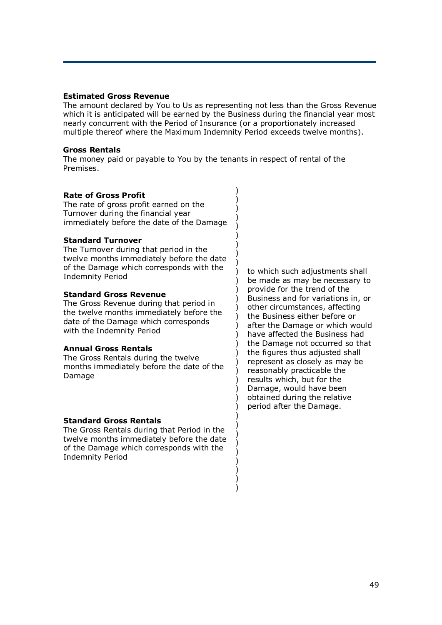#### **Estimated Gross Revenue**

The amount declared by You to Us as representing not less than the Gross Revenue which it is anticipated will be earned by the Business during the financial year most nearly concurrent with the Period of Insurance (or a proportionately increased multiple thereof where the Maximum Indemnity Period exceeds twelve months).

> ) ) ) ) )

> ) ) ) ) ) )

> ) ) ) ) ) )

> ) ) ) ) ) ) ) )

> ) ) ) ) ) ) ) ) )

#### **Gross Rentals**

The money paid or payable to You by the tenants in respect of rental of the Premises.

#### **Rate of Gross Profit**

The rate of gross profit earned on the Turnover during the financial year immediately before the date of the Damage

#### **Standard Turnover**

The Turnover during that period in the twelve months immediately before the date of the Damage which corresponds with the Indemnity Period

#### **Standard Gross Revenue**

The Gross Revenue during that period in the twelve months immediately before the date of the Damage which corresponds with the Indemnity Period

#### **Annual Gross Rentals**

The Gross Rentals during the twelve months immediately before the date of the Damage

#### **Standard Gross Rentals**

The Gross Rentals during that Period in the twelve months immediately before the date of the Damage which corresponds with the Indemnity Period

to which such adjustments shall be made as may be necessary to provide for the trend of the Business and for variations in, or other circumstances, affecting the Business either before or after the Damage or which would have affected the Business had the Damage not occurred so that the figures thus adjusted shall represent as closely as may be reasonably practicable the results which, but for the Damage, would have been obtained during the relative period after the Damage.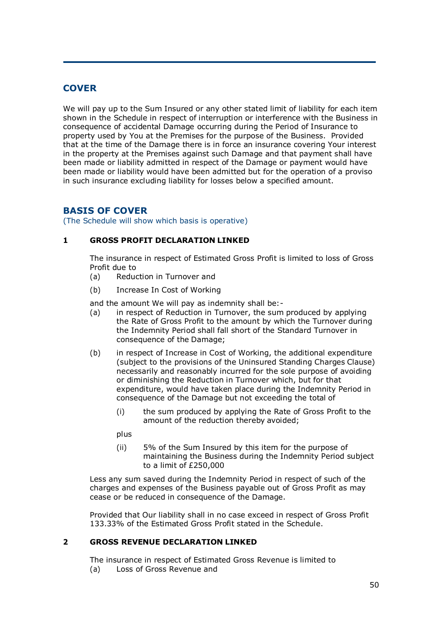# **COVER**

We will pay up to the Sum Insured or any other stated limit of liability for each item shown in the Schedule in respect of interruption or interference with the Business in consequence of accidental Damage occurring during the Period of Insurance to property used by You at the Premises for the purpose of the Business. Provided that at the time of the Damage there is in force an insurance covering Your interest in the property at the Premises against such Damage and that payment shall have been made or liability admitted in respect of the Damage or payment would have been made or liability would have been admitted but for the operation of a proviso in such insurance excluding liability for losses below a specified amount.

# **BASIS OF COVER**

(The Schedule will show which basis is operative)

## **1 GROSS PROFIT DECLARATION LINKED**

The insurance in respect of Estimated Gross Profit is limited to loss of Gross Profit due to

- (a) Reduction in Turnover and
- (b) Increase In Cost of Working

and the amount We will pay as indemnity shall be:-

- (a) in respect of Reduction in Turnover, the sum produced by applying the Rate of Gross Profit to the amount by which the Turnover during the Indemnity Period shall fall short of the Standard Turnover in consequence of the Damage;
- (b) in respect of Increase in Cost of Working, the additional expenditure (subject to the provisions of the Uninsured Standing Charges Clause) necessarily and reasonably incurred for the sole purpose of avoiding or diminishing the Reduction in Turnover which, but for that expenditure, would have taken place during the Indemnity Period in consequence of the Damage but not exceeding the total of
	- (i) the sum produced by applying the Rate of Gross Profit to the amount of the reduction thereby avoided;

plus

(ii) 5% of the Sum Insured by this item for the purpose of maintaining the Business during the Indemnity Period subject to a limit of £250,000

Less any sum saved during the Indemnity Period in respect of such of the charges and expenses of the Business payable out of Gross Profit as may cease or be reduced in consequence of the Damage.

Provided that Our liability shall in no case exceed in respect of Gross Profit 133.33% of the Estimated Gross Profit stated in the Schedule.

## **2 GROSS REVENUE DECLARATION LINKED**

The insurance in respect of Estimated Gross Revenue is limited to (a) Loss of Gross Revenue and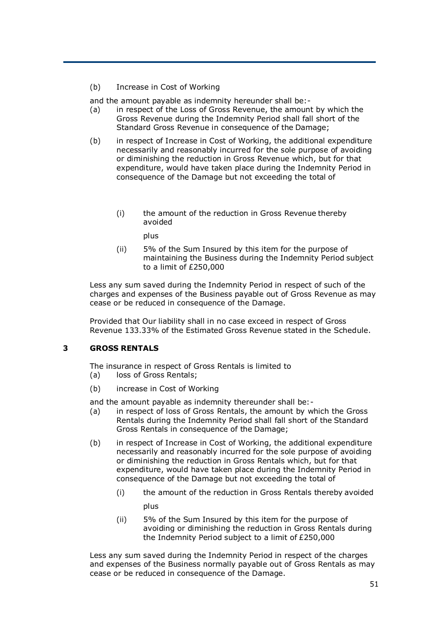(b) Increase in Cost of Working

and the amount payable as indemnity hereunder shall be:-

- (a) in respect of the Loss of Gross Revenue, the amount by which the Gross Revenue during the Indemnity Period shall fall short of the Standard Gross Revenue in consequence of the Damage;
- (b) in respect of Increase in Cost of Working, the additional expenditure necessarily and reasonably incurred for the sole purpose of avoiding or diminishing the reduction in Gross Revenue which, but for that expenditure, would have taken place during the Indemnity Period in consequence of the Damage but not exceeding the total of
	- (i) the amount of the reduction in Gross Revenue thereby avoided

plus

(ii) 5% of the Sum Insured by this item for the purpose of maintaining the Business during the Indemnity Period subject to a limit of £250,000

Less any sum saved during the Indemnity Period in respect of such of the charges and expenses of the Business payable out of Gross Revenue as may cease or be reduced in consequence of the Damage.

Provided that Our liability shall in no case exceed in respect of Gross Revenue 133.33% of the Estimated Gross Revenue stated in the Schedule.

#### **3 GROSS RENTALS**

The insurance in respect of Gross Rentals is limited to (a) loss of Gross Rentals;

(b) increase in Cost of Working

and the amount payable as indemnity thereunder shall be:-

- (a) in respect of loss of Gross Rentals, the amount by which the Gross Rentals during the Indemnity Period shall fall short of the Standard Gross Rentals in consequence of the Damage;
- (b) in respect of Increase in Cost of Working, the additional expenditure necessarily and reasonably incurred for the sole purpose of avoiding or diminishing the reduction in Gross Rentals which, but for that expenditure, would have taken place during the Indemnity Period in consequence of the Damage but not exceeding the total of
	- (i) the amount of the reduction in Gross Rentals thereby avoided

plus

(ii) 5% of the Sum Insured by this item for the purpose of avoiding or diminishing the reduction in Gross Rentals during the Indemnity Period subject to a limit of £250,000

Less any sum saved during the Indemnity Period in respect of the charges and expenses of the Business normally payable out of Gross Rentals as may cease or be reduced in consequence of the Damage.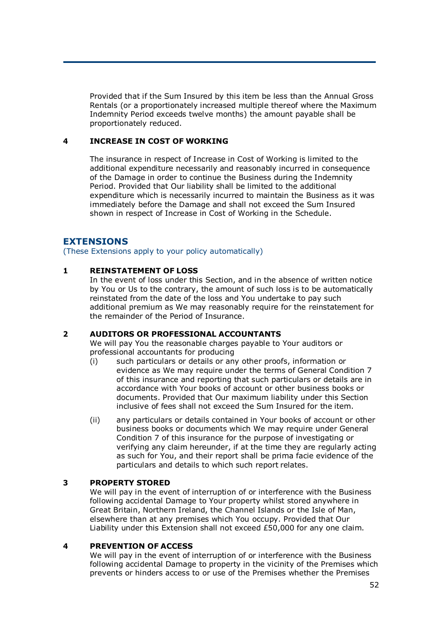Provided that if the Sum Insured by this item be less than the Annual Gross Rentals (or a proportionately increased multiple thereof where the Maximum Indemnity Period exceeds twelve months) the amount payable shall be proportionately reduced.

## **4 INCREASE IN COST OF WORKING**

The insurance in respect of Increase in Cost of Working is limited to the additional expenditure necessarily and reasonably incurred in consequence of the Damage in order to continue the Business during the Indemnity Period. Provided that Our liability shall be limited to the additional expenditure which is necessarily incurred to maintain the Business as it was immediately before the Damage and shall not exceed the Sum Insured shown in respect of Increase in Cost of Working in the Schedule.

# **EXTENSIONS**

(These Extensions apply to your policy automatically)

## **1 REINSTATEMENT OF LOSS**

In the event of loss under this Section, and in the absence of written notice by You or Us to the contrary, the amount of such loss is to be automatically reinstated from the date of the loss and You undertake to pay such additional premium as We may reasonably require for the reinstatement for the remainder of the Period of Insurance.

## **2 AUDITORS OR PROFESSIONAL ACCOUNTANTS**

We will pay You the reasonable charges payable to Your auditors or professional accountants for producing

- (i) such particulars or details or any other proofs, information or evidence as We may require under the terms of General Condition 7 of this insurance and reporting that such particulars or details are in accordance with Your books of account or other business books or documents. Provided that Our maximum liability under this Section inclusive of fees shall not exceed the Sum Insured for the item.
- (ii) any particulars or details contained in Your books of account or other business books or documents which We may require under General Condition 7 of this insurance for the purpose of investigating or verifying any claim hereunder, if at the time they are regularly acting as such for You, and their report shall be prima facie evidence of the particulars and details to which such report relates.

## **3 PROPERTY STORED**

We will pay in the event of interruption of or interference with the Business following accidental Damage to Your property whilst stored anywhere in Great Britain, Northern Ireland, the Channel Islands or the Isle of Man, elsewhere than at any premises which You occupy. Provided that Our Liability under this Extension shall not exceed £50,000 for any one claim.

## **4 PREVENTION OF ACCESS**

We will pay in the event of interruption of or interference with the Business following accidental Damage to property in the vicinity of the Premises which prevents or hinders access to or use of the Premises whether the Premises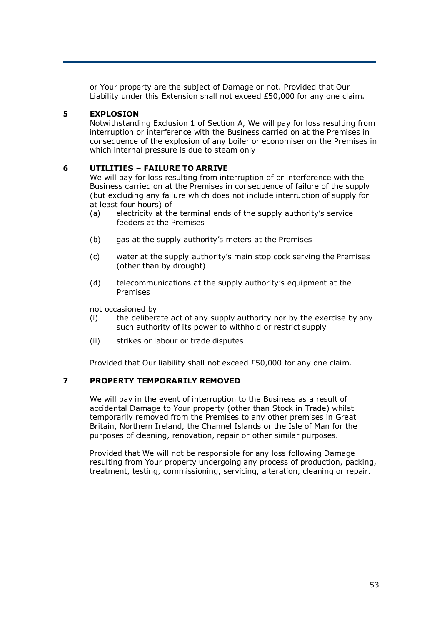or Your property are the subject of Damage or not. Provided that Our Liability under this Extension shall not exceed £50,000 for any one claim.

## **5 EXPLOSION**

Notwithstanding Exclusion 1 of Section A, We will pay for loss resulting from interruption or interference with the Business carried on at the Premises in consequence of the explosion of any boiler or economiser on the Premises in which internal pressure is due to steam only

#### **6 UTILITIES – FAILURE TO ARRIVE**

We will pay for loss resulting from interruption of or interference with the Business carried on at the Premises in consequence of failure of the supply (but excluding any failure which does not include interruption of supply for at least four hours) of

- (a) electricity at the terminal ends of the supply authority's service feeders at the Premises
- (b) gas at the supply authority's meters at the Premises
- (c) water at the supply authority's main stop cock serving the Premises (other than by drought)
- (d) telecommunications at the supply authority's equipment at the Premises

not occasioned by

- (i) the deliberate act of any supply authority nor by the exercise by any such authority of its power to withhold or restrict supply
- (ii) strikes or labour or trade disputes

Provided that Our liability shall not exceed £50,000 for any one claim.

#### **7 PROPERTY TEMPORARILY REMOVED**

We will pay in the event of interruption to the Business as a result of accidental Damage to Your property (other than Stock in Trade) whilst temporarily removed from the Premises to any other premises in Great Britain, Northern Ireland, the Channel Islands or the Isle of Man for the purposes of cleaning, renovation, repair or other similar purposes.

Provided that We will not be responsible for any loss following Damage resulting from Your property undergoing any process of production, packing, treatment, testing, commissioning, servicing, alteration, cleaning or repair.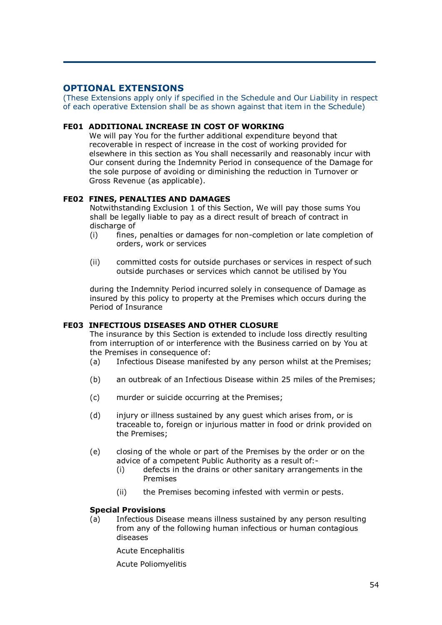# **OPTIONAL EXTENSIONS**

(These Extensions apply only if specified in the Schedule and Our Liability in respect of each operative Extension shall be as shown against that item in the Schedule)

#### **FE01 ADDITIONAL INCREASE IN COST OF WORKING**

We will pay You for the further additional expenditure beyond that recoverable in respect of increase in the cost of working provided for elsewhere in this section as You shall necessarily and reasonably incur with Our consent during the Indemnity Period in consequence of the Damage for the sole purpose of avoiding or diminishing the reduction in Turnover or Gross Revenue (as applicable).

#### **FE02 FINES, PENALTIES AND DAMAGES**

Notwithstanding Exclusion 1 of this Section, We will pay those sums You shall be legally liable to pay as a direct result of breach of contract in discharge of

- (i) fines, penalties or damages for non-completion or late completion of orders, work or services
- (ii) committed costs for outside purchases or services in respect of such outside purchases or services which cannot be utilised by You

during the Indemnity Period incurred solely in consequence of Damage as insured by this policy to property at the Premises which occurs during the Period of Insurance

#### **FE03 INFECTIOUS DISEASES AND OTHER CLOSURE**

The insurance by this Section is extended to include loss directly resulting from interruption of or interference with the Business carried on by You at the Premises in consequence of:

- (a) Infectious Disease manifested by any person whilst at the Premises;
- (b) an outbreak of an Infectious Disease within 25 miles of the Premises;
- (c) murder or suicide occurring at the Premises;
- (d) injury or illness sustained by any guest which arises from, or is traceable to, foreign or injurious matter in food or drink provided on the Premises;
- (e) closing of the whole or part of the Premises by the order or on the advice of a competent Public Authority as a result of:-
	- (i) defects in the drains or other sanitary arrangements in the Premises
	- (ii) the Premises becoming infested with vermin or pests.

## **Special Provisions**

(a) Infectious Disease means illness sustained by any person resulting from any of the following human infectious or human contagious diseases

Acute Encephalitis

Acute Poliomyelitis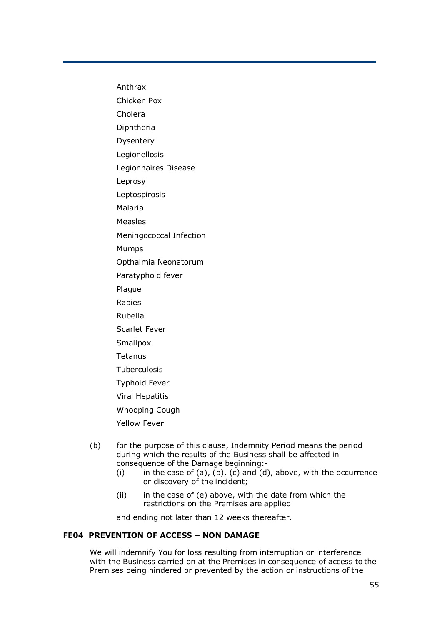Anthrax

Chicken Pox

Cholera

Diphtheria

Dysentery

Legionellosis

Legionnaires Disease

Leprosy

Leptospirosis

Malaria

Measles

Meningococcal Infection

Mumps

Opthalmia Neonatorum

Paratyphoid fever

Plague

Rabies

Rubella

Scarlet Fever

**Smallpox** 

Tetanus

Tuberculosis

Typhoid Fever

Viral Hepatitis

Whooping Cough

Yellow Fever

- (b) for the purpose of this clause, Indemnity Period means the period during which the results of the Business shall be affected in consequence of the Damage beginning:-
	- (i) in the case of  $(a)$ ,  $(b)$ ,  $(c)$  and  $(d)$ , above, with the occurrence or discovery of the incident;
	- $(ii)$  in the case of  $(e)$  above, with the date from which the restrictions on the Premises are applied

and ending not later than 12 weeks thereafter.

#### **FE04 PREVENTION OF ACCESS – NON DAMAGE**

We will indemnify You for loss resulting from interruption or interference with the Business carried on at the Premises in consequence of access to the Premises being hindered or prevented by the action or instructions of the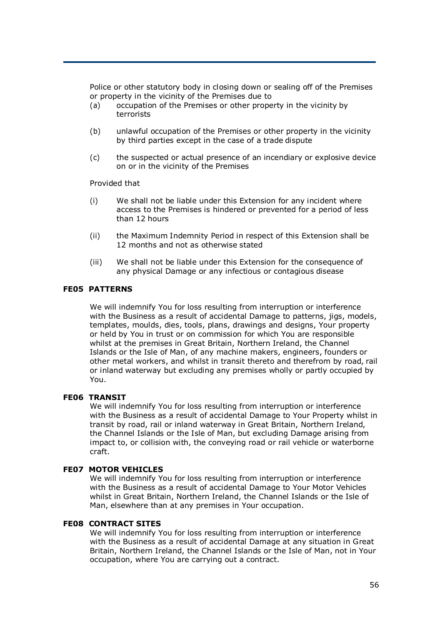Police or other statutory body in closing down or sealing off of the Premises or property in the vicinity of the Premises due to

- (a) occupation of the Premises or other property in the vicinity by terrorists
- (b) unlawful occupation of the Premises or other property in the vicinity by third parties except in the case of a trade dispute
- (c) the suspected or actual presence of an incendiary or explosive device on or in the vicinity of the Premises

Provided that

- (i) We shall not be liable under this Extension for any incident where access to the Premises is hindered or prevented for a period of less than 12 hours
- (ii) the Maximum Indemnity Period in respect of this Extension shall be 12 months and not as otherwise stated
- (iii) We shall not be liable under this Extension for the consequence of any physical Damage or any infectious or contagious disease

#### **FE05 PATTERNS**

We will indemnify You for loss resulting from interruption or interference with the Business as a result of accidental Damage to patterns, jigs, models, templates, moulds, dies, tools, plans, drawings and designs, Your property or held by You in trust or on commission for which You are responsible whilst at the premises in Great Britain, Northern Ireland, the Channel Islands or the Isle of Man, of any machine makers, engineers, founders or other metal workers, and whilst in transit thereto and therefrom by road, rail or inland waterway but excluding any premises wholly or partly occupied by You.

#### **FE06 TRANSIT**

We will indemnify You for loss resulting from interruption or interference with the Business as a result of accidental Damage to Your Property whilst in transit by road, rail or inland waterway in Great Britain, Northern Ireland, the Channel Islands or the Isle of Man, but excluding Damage arising from impact to, or collision with, the conveying road or rail vehicle or waterborne craft.

#### **FE07 MOTOR VEHICLES**

We will indemnify You for loss resulting from interruption or interference with the Business as a result of accidental Damage to Your Motor Vehicles whilst in Great Britain, Northern Ireland, the Channel Islands or the Isle of Man, elsewhere than at any premises in Your occupation.

#### **FE08 CONTRACT SITES**

We will indemnify You for loss resulting from interruption or interference with the Business as a result of accidental Damage at any situation in Great Britain, Northern Ireland, the Channel Islands or the Isle of Man, not in Your occupation, where You are carrying out a contract.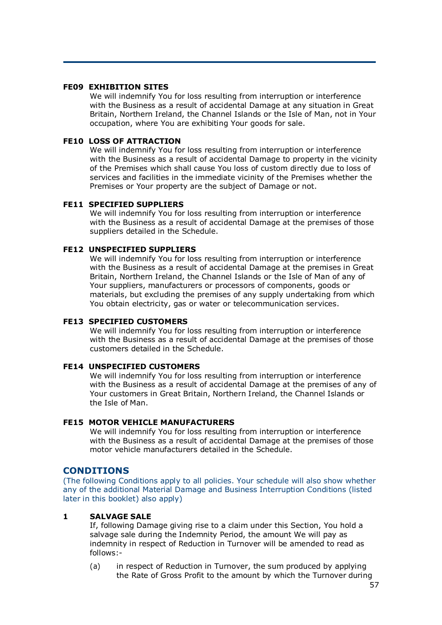#### **FE09 EXHIBITION SITES**

We will indemnify You for loss resulting from interruption or interference with the Business as a result of accidental Damage at any situation in Great Britain, Northern Ireland, the Channel Islands or the Isle of Man, not in Your occupation, where You are exhibiting Your goods for sale.

#### **FE10 LOSS OF ATTRACTION**

We will indemnify You for loss resulting from interruption or interference with the Business as a result of accidental Damage to property in the vicinity of the Premises which shall cause You loss of custom directly due to loss of services and facilities in the immediate vicinity of the Premises whether the Premises or Your property are the subject of Damage or not.

#### **FE11 SPECIFIED SUPPLIERS**

We will indemnify You for loss resulting from interruption or interference with the Business as a result of accidental Damage at the premises of those suppliers detailed in the Schedule.

#### **FE12 UNSPECIFIED SUPPLIERS**

We will indemnify You for loss resulting from interruption or interference with the Business as a result of accidental Damage at the premises in Great Britain, Northern Ireland, the Channel Islands or the Isle of Man of any of Your suppliers, manufacturers or processors of components, goods or materials, but excluding the premises of any supply undertaking from which You obtain electricity, gas or water or telecommunication services.

#### **FE13 SPECIFIED CUSTOMERS**

We will indemnify You for loss resulting from interruption or interference with the Business as a result of accidental Damage at the premises of those customers detailed in the Schedule.

#### **FE14 UNSPECIFIED CUSTOMERS**

We will indemnify You for loss resulting from interruption or interference with the Business as a result of accidental Damage at the premises of any of Your customers in Great Britain, Northern Ireland, the Channel Islands or the Isle of Man.

#### **FE15 MOTOR VEHICLE MANUFACTURERS**

We will indemnify You for loss resulting from interruption or interference with the Business as a result of accidental Damage at the premises of those motor vehicle manufacturers detailed in the Schedule.

#### **CONDITIONS**

(The following Conditions apply to all policies. Your schedule will also show whether any of the additional Material Damage and Business Interruption Conditions (listed later in this booklet) also apply)

#### **1 SALVAGE SALE**

If, following Damage giving rise to a claim under this Section, You hold a salvage sale during the Indemnity Period, the amount We will pay as indemnity in respect of Reduction in Turnover will be amended to read as follows:-

(a) in respect of Reduction in Turnover, the sum produced by applying the Rate of Gross Profit to the amount by which the Turnover during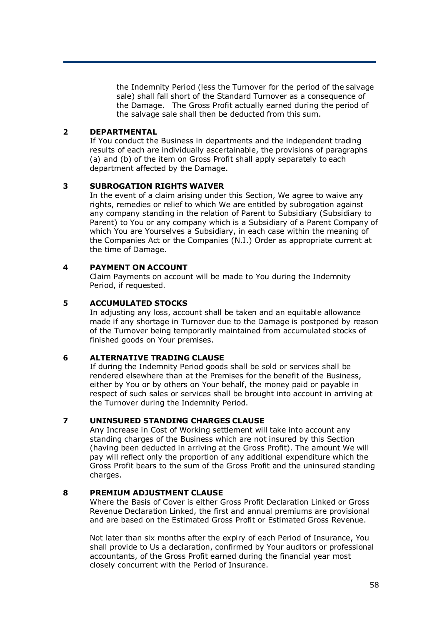the Indemnity Period (less the Turnover for the period of the salvage sale) shall fall short of the Standard Turnover as a consequence of the Damage. The Gross Profit actually earned during the period of the salvage sale shall then be deducted from this sum.

#### **2 DEPARTMENTAL**

If You conduct the Business in departments and the independent trading results of each are individually ascertainable, the provisions of paragraphs (a) and (b) of the item on Gross Profit shall apply separately to each department affected by the Damage.

#### **3 SUBROGATION RIGHTS WAIVER**

In the event of a claim arising under this Section, We agree to waive any rights, remedies or relief to which We are entitled by subrogation against any company standing in the relation of Parent to Subsidiary (Subsidiary to Parent) to You or any company which is a Subsidiary of a Parent Company of which You are Yourselves a Subsidiary, in each case within the meaning of the Companies Act or the Companies (N.I.) Order as appropriate current at the time of Damage.

## **4 PAYMENT ON ACCOUNT**

Claim Payments on account will be made to You during the Indemnity Period, if requested.

#### **5 ACCUMULATED STOCKS**

In adjusting any loss, account shall be taken and an equitable allowance made if any shortage in Turnover due to the Damage is postponed by reason of the Turnover being temporarily maintained from accumulated stocks of finished goods on Your premises.

## **6 ALTERNATIVE TRADING CLAUSE**

If during the Indemnity Period goods shall be sold or services shall be rendered elsewhere than at the Premises for the benefit of the Business, either by You or by others on Your behalf, the money paid or payable in respect of such sales or services shall be brought into account in arriving at the Turnover during the Indemnity Period.

## **7 UNINSURED STANDING CHARGES CLAUSE**

Any Increase in Cost of Working settlement will take into account any standing charges of the Business which are not insured by this Section (having been deducted in arriving at the Gross Profit). The amount We will pay will reflect only the proportion of any additional expenditure which the Gross Profit bears to the sum of the Gross Profit and the uninsured standing charges.

#### **8 PREMIUM ADJUSTMENT CLAUSE**

Where the Basis of Cover is either Gross Profit Declaration Linked or Gross Revenue Declaration Linked, the first and annual premiums are provisional and are based on the Estimated Gross Profit or Estimated Gross Revenue.

Not later than six months after the expiry of each Period of Insurance, You shall provide to Us a declaration, confirmed by Your auditors or professional accountants, of the Gross Profit earned during the financial year most closely concurrent with the Period of Insurance.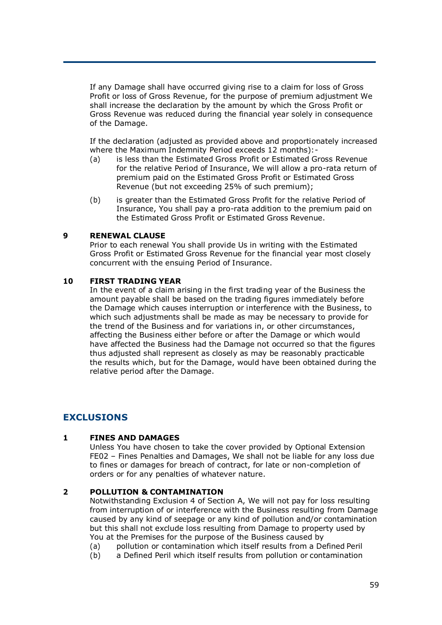If any Damage shall have occurred giving rise to a claim for loss of Gross Profit or loss of Gross Revenue, for the purpose of premium adjustment We shall increase the declaration by the amount by which the Gross Profit or Gross Revenue was reduced during the financial year solely in consequence of the Damage.

If the declaration (adjusted as provided above and proportionately increased where the Maximum Indemnity Period exceeds 12 months):-

- (a) is less than the Estimated Gross Profit or Estimated Gross Revenue for the relative Period of Insurance, We will allow a pro-rata return of premium paid on the Estimated Gross Profit or Estimated Gross Revenue (but not exceeding 25% of such premium);
- (b) is greater than the Estimated Gross Profit for the relative Period of Insurance, You shall pay a pro-rata addition to the premium paid on the Estimated Gross Profit or Estimated Gross Revenue.

#### **9 RENEWAL CLAUSE**

Prior to each renewal You shall provide Us in writing with the Estimated Gross Profit or Estimated Gross Revenue for the financial year most closely concurrent with the ensuing Period of Insurance.

#### **10 FIRST TRADING YEAR**

In the event of a claim arising in the first trading year of the Business the amount payable shall be based on the trading figures immediately before the Damage which causes interruption or interference with the Business, to which such adjustments shall be made as may be necessary to provide for the trend of the Business and for variations in, or other circumstances, affecting the Business either before or after the Damage or which would have affected the Business had the Damage not occurred so that the figures thus adjusted shall represent as closely as may be reasonably practicable the results which, but for the Damage, would have been obtained during the relative period after the Damage.

# **EXCLUSIONS**

## **1 FINES AND DAMAGES**

Unless You have chosen to take the cover provided by Optional Extension FE02 – Fines Penalties and Damages, We shall not be liable for any loss due to fines or damages for breach of contract, for late or non-completion of orders or for any penalties of whatever nature.

#### **2 POLLUTION & CONTAMINATION**

Notwithstanding Exclusion 4 of Section A, We will not pay for loss resulting from interruption of or interference with the Business resulting from Damage caused by any kind of seepage or any kind of pollution and/or contamination but this shall not exclude loss resulting from Damage to property used by You at the Premises for the purpose of the Business caused by

- (a) pollution or contamination which itself results from a Defined Peril
- (b) a Defined Peril which itself results from pollution or contamination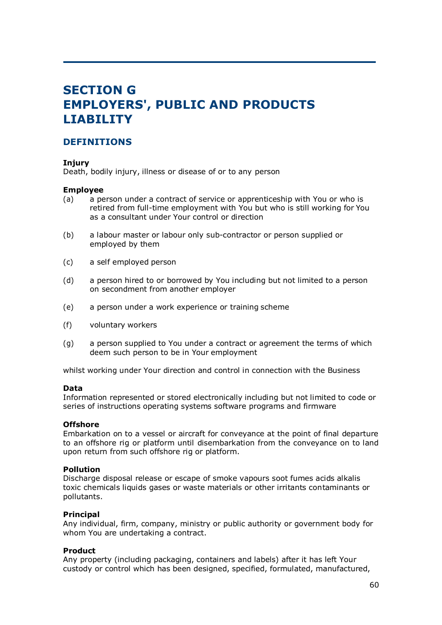# **SECTION G EMPLOYERS', PUBLIC AND PRODUCTS LIABILITY**

# **DEFINITIONS**

## **Injury**

Death, bodily injury, illness or disease of or to any person

#### **Employee**

- (a) a person under a contract of service or apprenticeship with You or who is retired from full-time employment with You but who is still working for You as a consultant under Your control or direction
- (b) a labour master or labour only sub-contractor or person supplied or employed by them
- (c) a self employed person
- (d) a person hired to or borrowed by You including but not limited to a person on secondment from another employer
- (e) a person under a work experience or training scheme
- (f) voluntary workers
- (g) a person supplied to You under a contract or agreement the terms of which deem such person to be in Your employment

whilst working under Your direction and control in connection with the Business

#### **Data**

Information represented or stored electronically including but not limited to code or series of instructions operating systems software programs and firmware

#### **Offshore**

Embarkation on to a vessel or aircraft for conveyance at the point of final departure to an offshore rig or platform until disembarkation from the conveyance on to land upon return from such offshore rig or platform.

#### **Pollution**

Discharge disposal release or escape of smoke vapours soot fumes acids alkalis toxic chemicals liquids gases or waste materials or other irritants contaminants or pollutants.

#### **Principal**

Any individual, firm, company, ministry or public authority or government body for whom You are undertaking a contract.

#### **Product**

Any property (including packaging, containers and labels) after it has left Your custody or control which has been designed, specified, formulated, manufactured,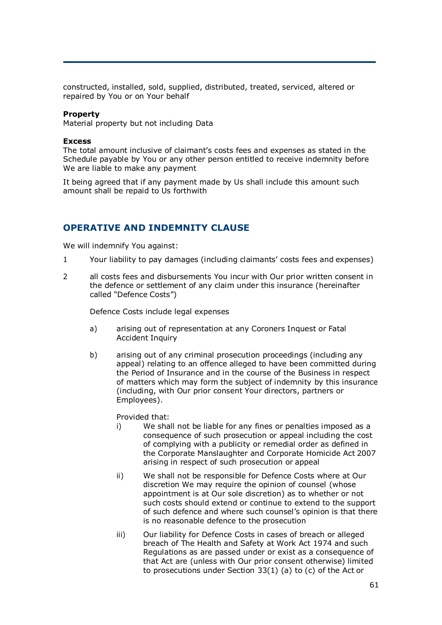constructed, installed, sold, supplied, distributed, treated, serviced, altered or repaired by You or on Your behalf

#### **Property**

Material property but not including Data

#### **Excess**

The total amount inclusive of claimant's costs fees and expenses as stated in the Schedule payable by You or any other person entitled to receive indemnity before We are liable to make any payment

It being agreed that if any payment made by Us shall include this amount such amount shall be repaid to Us forthwith

# **OPERATIVE AND INDEMNITY CLAUSE**

We will indemnify You against:

- 1 Your liability to pay damages (including claimants' costs fees and expenses)
- 2 all costs fees and disbursements You incur with Our prior written consent in the defence or settlement of any claim under this insurance (hereinafter called "Defence Costs")

Defence Costs include legal expenses

- a) arising out of representation at any Coroners Inquest or Fatal Accident Inquiry
- b) arising out of any criminal prosecution proceedings (including any appeal) relating to an offence alleged to have been committed during the Period of Insurance and in the course of the Business in respect of matters which may form the subject of indemnity by this insurance (including, with Our prior consent Your directors, partners or Employees).

Provided that:

- i) We shall not be liable for any fines or penalties imposed as a consequence of such prosecution or appeal including the cost of complying with a publicity or remedial order as defined in the Corporate Manslaughter and Corporate Homicide Act 2007 arising in respect of such prosecution or appeal
- ii) We shall not be responsible for Defence Costs where at Our discretion We may require the opinion of counsel (whose appointment is at Our sole discretion) as to whether or not such costs should extend or continue to extend to the support of such defence and where such counsel's opinion is that there is no reasonable defence to the prosecution
- iii) Our liability for Defence Costs in cases of breach or alleged breach of The Health and Safety at Work Act 1974 and such Regulations as are passed under or exist as a consequence of that Act are (unless with Our prior consent otherwise) limited to prosecutions under Section 33(1) (a) to (c) of the Act or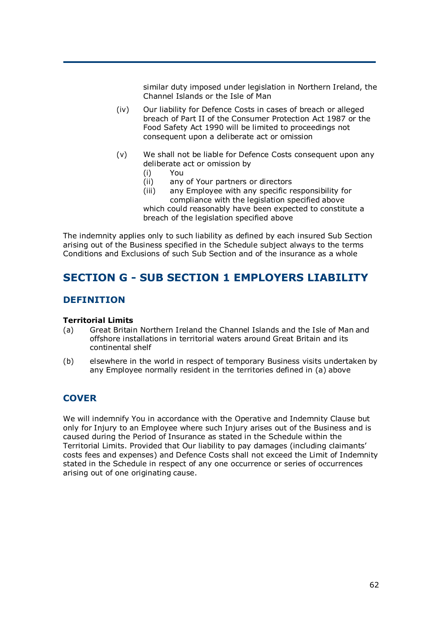similar duty imposed under legislation in Northern Ireland, the Channel Islands or the Isle of Man

- (iv) Our liability for Defence Costs in cases of breach or alleged breach of Part II of the Consumer Protection Act 1987 or the Food Safety Act 1990 will be limited to proceedings not consequent upon a deliberate act or omission
- (v) We shall not be liable for Defence Costs consequent upon any deliberate act or omission by
	- (i) You
	- (ii) any of Your partners or directors
	- (iii) any Employee with any specific responsibility for compliance with the legislation specified above

which could reasonably have been expected to constitute a breach of the legislation specified above

The indemnity applies only to such liability as defined by each insured Sub Section arising out of the Business specified in the Schedule subject always to the terms Conditions and Exclusions of such Sub Section and of the insurance as a whole

# **SECTION G - SUB SECTION 1 EMPLOYERS LIABILITY**

# **DEFINITION**

## **Territorial Limits**

- (a) Great Britain Northern Ireland the Channel Islands and the Isle of Man and offshore installations in territorial waters around Great Britain and its continental shelf
- (b) elsewhere in the world in respect of temporary Business visits undertaken by any Employee normally resident in the territories defined in (a) above

# **COVER**

We will indemnify You in accordance with the Operative and Indemnity Clause but only for Injury to an Employee where such Injury arises out of the Business and is caused during the Period of Insurance as stated in the Schedule within the Territorial Limits. Provided that Our liability to pay damages (including claimants' costs fees and expenses) and Defence Costs shall not exceed the Limit of Indemnity stated in the Schedule in respect of any one occurrence or series of occurrences arising out of one originating cause.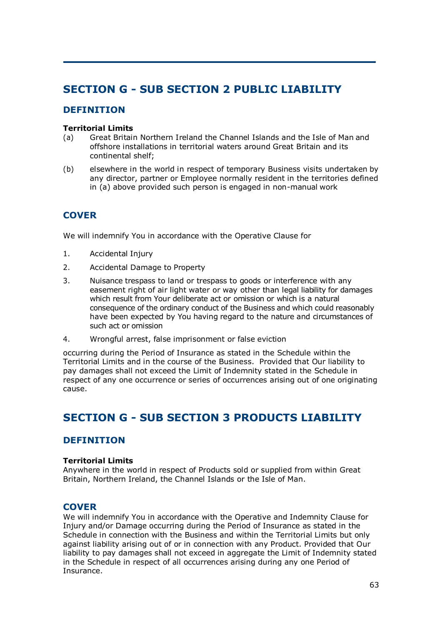# **SECTION G - SUB SECTION 2 PUBLIC LIABILITY**

# **DEFINITION**

## **Territorial Limits**

- (a) Great Britain Northern Ireland the Channel Islands and the Isle of Man and offshore installations in territorial waters around Great Britain and its continental shelf;
- (b) elsewhere in the world in respect of temporary Business visits undertaken by any director, partner or Employee normally resident in the territories defined in (a) above provided such person is engaged in non-manual work

# **COVER**

We will indemnify You in accordance with the Operative Clause for

- 1. Accidental Injury
- 2. Accidental Damage to Property
- 3. Nuisance trespass to land or trespass to goods or interference with any easement right of air light water or way other than legal liability for damages which result from Your deliberate act or omission or which is a natural consequence of the ordinary conduct of the Business and which could reasonably have been expected by You having regard to the nature and circumstances of such act or omission
- 4. Wrongful arrest, false imprisonment or false eviction

occurring during the Period of Insurance as stated in the Schedule within the Territorial Limits and in the course of the Business. Provided that Our liability to pay damages shall not exceed the Limit of Indemnity stated in the Schedule in respect of any one occurrence or series of occurrences arising out of one originating cause.

# **SECTION G - SUB SECTION 3 PRODUCTS LIABILITY**

# **DEFINITION**

## **Territorial Limits**

Anywhere in the world in respect of Products sold or supplied from within Great Britain, Northern Ireland, the Channel Islands or the Isle of Man.

# **COVER**

We will indemnify You in accordance with the Operative and Indemnity Clause for Injury and/or Damage occurring during the Period of Insurance as stated in the Schedule in connection with the Business and within the Territorial Limits but only against liability arising out of or in connection with any Product. Provided that Our liability to pay damages shall not exceed in aggregate the Limit of Indemnity stated in the Schedule in respect of all occurrences arising during any one Period of Insurance.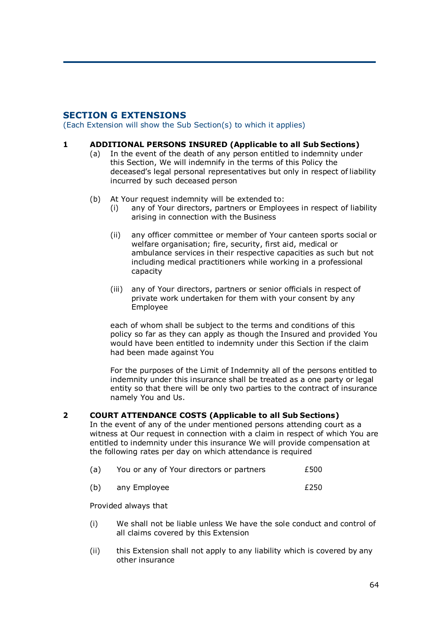# **SECTION G EXTENSIONS**

(Each Extension will show the Sub Section(s) to which it applies)

#### **1 ADDITIONAL PERSONS INSURED (Applicable to all Sub Sections)**

- (a) In the event of the death of any person entitled to indemnity under this Section, We will indemnify in the terms of this Policy the deceased's legal personal representatives but only in respect of liability incurred by such deceased person
- (b) At Your request indemnity will be extended to:
	- (i) any of Your directors, partners or Employees in respect of liability arising in connection with the Business
	- (ii) any officer committee or member of Your canteen sports social or welfare organisation; fire, security, first aid, medical or ambulance services in their respective capacities as such but not including medical practitioners while working in a professional capacity
	- (iii) any of Your directors, partners or senior officials in respect of private work undertaken for them with your consent by any Employee

each of whom shall be subject to the terms and conditions of this policy so far as they can apply as though the Insured and provided You would have been entitled to indemnity under this Section if the claim had been made against You

For the purposes of the Limit of Indemnity all of the persons entitled to indemnity under this insurance shall be treated as a one party or legal entity so that there will be only two parties to the contract of insurance namely You and Us.

## **2 COURT ATTENDANCE COSTS (Applicable to all Sub Sections)**

In the event of any of the under mentioned persons attending court as a witness at Our request in connection with a claim in respect of which You are entitled to indemnity under this insurance We will provide compensation at the following rates per day on which attendance is required

| (a) | You or any of Your directors or partners | £500 |
|-----|------------------------------------------|------|
|-----|------------------------------------------|------|

| (b) | any Employee | £250 |
|-----|--------------|------|
|-----|--------------|------|

Provided always that

- (i) We shall not be liable unless We have the sole conduct and control of all claims covered by this Extension
- (ii) this Extension shall not apply to any liability which is covered by any other insurance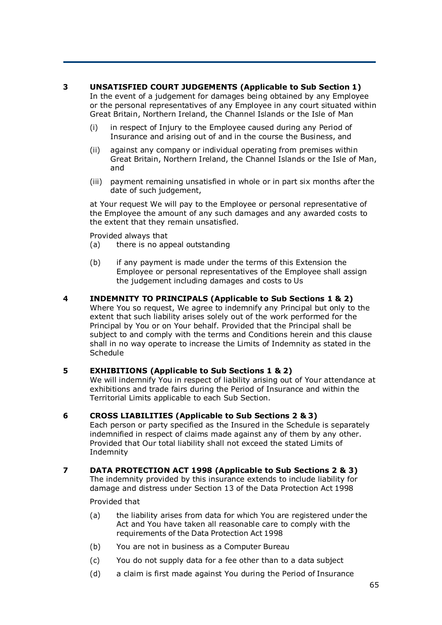## **3 UNSATISFIED COURT JUDGEMENTS (Applicable to Sub Section 1)**

In the event of a judgement for damages being obtained by any Employee or the personal representatives of any Employee in any court situated within Great Britain, Northern Ireland, the Channel Islands or the Isle of Man

- (i) in respect of Injury to the Employee caused during any Period of Insurance and arising out of and in the course the Business, and
- (ii) against any company or individual operating from premises within Great Britain, Northern Ireland, the Channel Islands or the Isle of Man, and
- (iii) payment remaining unsatisfied in whole or in part six months after the date of such judgement,

at Your request We will pay to the Employee or personal representative of the Employee the amount of any such damages and any awarded costs to the extent that they remain unsatisfied.

Provided always that

- (a) there is no appeal outstanding
- (b) if any payment is made under the terms of this Extension the Employee or personal representatives of the Employee shall assign the judgement including damages and costs to Us
- **4 INDEMNITY TO PRINCIPALS (Applicable to Sub Sections 1 & 2)**  Where You so request, We agree to indemnify any Principal but only to the extent that such liability arises solely out of the work performed for the Principal by You or on Your behalf. Provided that the Principal shall be subject to and comply with the terms and Conditions herein and this clause shall in no way operate to increase the Limits of Indemnity as stated in the Schedule

## **5 EXHIBITIONS (Applicable to Sub Sections 1 & 2)**

We will indemnify You in respect of liability arising out of Your attendance at exhibitions and trade fairs during the Period of Insurance and within the Territorial Limits applicable to each Sub Section.

## **6 CROSS LIABILITIES (Applicable to Sub Sections 2 & 3)**

Each person or party specified as the Insured in the Schedule is separately indemnified in respect of claims made against any of them by any other. Provided that Our total liability shall not exceed the stated Limits of Indemnity

# **7 DATA PROTECTION ACT 1998 (Applicable to Sub Sections 2 & 3)**

The indemnity provided by this insurance extends to include liability for damage and distress under Section 13 of the Data Protection Act 1998

Provided that

- (a) the liability arises from data for which You are registered under the Act and You have taken all reasonable care to comply with the requirements of the Data Protection Act 1998
- (b) You are not in business as a Computer Bureau
- (c) You do not supply data for a fee other than to a data subject
- (d) a claim is first made against You during the Period of Insurance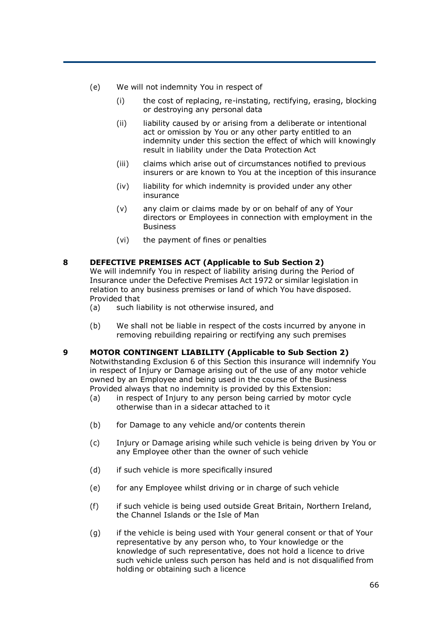- (e) We will not indemnity You in respect of
	- (i) the cost of replacing, re-instating, rectifying, erasing, blocking or destroying any personal data
	- (ii) liability caused by or arising from a deliberate or intentional act or omission by You or any other party entitled to an indemnity under this section the effect of which will knowingly result in liability under the Data Protection Act
	- (iii) claims which arise out of circumstances notified to previous insurers or are known to You at the inception of this insurance
	- (iv) liability for which indemnity is provided under any other insurance
	- (v) any claim or claims made by or on behalf of any of Your directors or Employees in connection with employment in the Business
	- (vi) the payment of fines or penalties

#### **8 DEFECTIVE PREMISES ACT (Applicable to Sub Section 2)**

We will indemnify You in respect of liability arising during the Period of Insurance under the Defective Premises Act 1972 or similar legislation in relation to any business premises or land of which You have disposed. Provided that

- (a) such liability is not otherwise insured, and
- (b) We shall not be liable in respect of the costs incurred by anyone in removing rebuilding repairing or rectifying any such premises
- **9 MOTOR CONTINGENT LIABILITY (Applicable to Sub Section 2)**  Notwithstanding Exclusion 6 of this Section this insurance will indemnify You in respect of Injury or Damage arising out of the use of any motor vehicle owned by an Employee and being used in the course of the Business Provided always that no indemnity is provided by this Extension:
	- (a) in respect of Injury to any person being carried by motor cycle otherwise than in a sidecar attached to it
	- (b) for Damage to any vehicle and/or contents therein
	- (c) Injury or Damage arising while such vehicle is being driven by You or any Employee other than the owner of such vehicle
	- (d) if such vehicle is more specifically insured
	- (e) for any Employee whilst driving or in charge of such vehicle
	- (f) if such vehicle is being used outside Great Britain, Northern Ireland, the Channel Islands or the Isle of Man
	- (g) if the vehicle is being used with Your general consent or that of Your representative by any person who, to Your knowledge or the knowledge of such representative, does not hold a licence to drive such vehicle unless such person has held and is not disqualified from holding or obtaining such a licence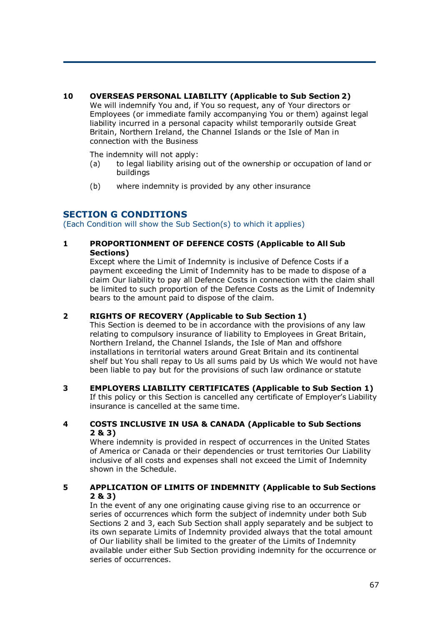## **10 OVERSEAS PERSONAL LIABILITY (Applicable to Sub Section 2)**

We will indemnify You and, if You so request, any of Your directors or Employees (or immediate family accompanying You or them) against legal liability incurred in a personal capacity whilst temporarily outside Great Britain, Northern Ireland, the Channel Islands or the Isle of Man in connection with the Business

The indemnity will not apply:

- (a) to legal liability arising out of the ownership or occupation of land or buildings
- (b) where indemnity is provided by any other insurance

# **SECTION G CONDITIONS**

(Each Condition will show the Sub Section(s) to which it applies)

#### **1 PROPORTIONMENT OF DEFENCE COSTS (Applicable to All Sub Sections)**

Except where the Limit of Indemnity is inclusive of Defence Costs if a payment exceeding the Limit of Indemnity has to be made to dispose of a claim Our liability to pay all Defence Costs in connection with the claim shall be limited to such proportion of the Defence Costs as the Limit of Indemnity bears to the amount paid to dispose of the claim.

## **2 RIGHTS OF RECOVERY (Applicable to Sub Section 1)**

This Section is deemed to be in accordance with the provisions of any law relating to compulsory insurance of liability to Employees in Great Britain, Northern Ireland, the Channel Islands, the Isle of Man and offshore installations in territorial waters around Great Britain and its continental shelf but You shall repay to Us all sums paid by Us which We would not have been liable to pay but for the provisions of such law ordinance or statute

**3 EMPLOYERS LIABILITY CERTIFICATES (Applicable to Sub Section 1)**  If this policy or this Section is cancelled any certificate of Employer's Liability insurance is cancelled at the same time.

#### **4 COSTS INCLUSIVE IN USA & CANADA (Applicable to Sub Sections 2 & 3)**

Where indemnity is provided in respect of occurrences in the United States of America or Canada or their dependencies or trust territories Our Liability inclusive of all costs and expenses shall not exceed the Limit of Indemnity shown in the Schedule.

## **5 APPLICATION OF LIMITS OF INDEMNITY (Applicable to Sub Sections 2 & 3)**

In the event of any one originating cause giving rise to an occurrence or series of occurrences which form the subject of indemnity under both Sub Sections 2 and 3, each Sub Section shall apply separately and be subject to its own separate Limits of Indemnity provided always that the total amount of Our liability shall be limited to the greater of the Limits of Indemnity available under either Sub Section providing indemnity for the occurrence or series of occurrences.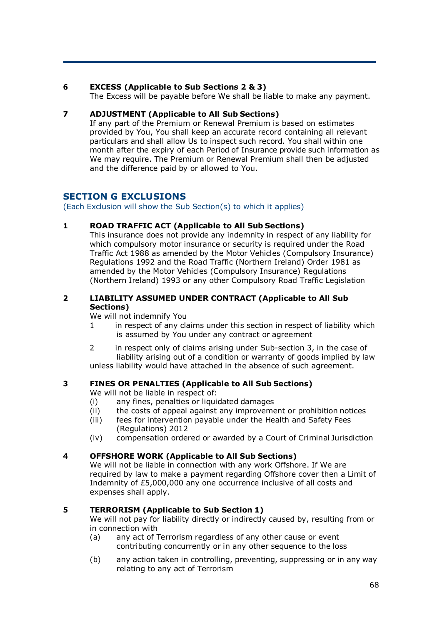## **6 EXCESS (Applicable to Sub Sections 2 & 3)**

The Excess will be payable before We shall be liable to make any payment.

## **7 ADJUSTMENT (Applicable to All Sub Sections)**

If any part of the Premium or Renewal Premium is based on estimates provided by You, You shall keep an accurate record containing all relevant particulars and shall allow Us to inspect such record. You shall within one month after the expiry of each Period of Insurance provide such information as We may require. The Premium or Renewal Premium shall then be adjusted and the difference paid by or allowed to You.

# **SECTION G EXCLUSIONS**

(Each Exclusion will show the Sub Section(s) to which it applies)

## **1 ROAD TRAFFIC ACT (Applicable to All Sub Sections)**

This insurance does not provide any indemnity in respect of any liability for which compulsory motor insurance or security is required under the Road Traffic Act 1988 as amended by the Motor Vehicles (Compulsory Insurance) Regulations 1992 and the Road Traffic (Northern Ireland) Order 1981 as amended by the Motor Vehicles (Compulsory Insurance) Regulations (Northern Ireland) 1993 or any other Compulsory Road Traffic Legislation

## **2 LIABILITY ASSUMED UNDER CONTRACT (Applicable to All Sub Sections)**

We will not indemnify You

- 1 in respect of any claims under this section in respect of liability which is assumed by You under any contract or agreement
- 2 in respect only of claims arising under Sub-section 3, in the case of liability arising out of a condition or warranty of goods implied by law unless liability would have attached in the absence of such agreement.

# **3 FINES OR PENALTIES (Applicable to All Sub Sections)**

We will not be liable in respect of:

- (i) any fines, penalties or liquidated damages
- (ii) the costs of appeal against any improvement or prohibition notices
- (iii) fees for intervention payable under the Health and Safety Fees (Regulations) 2012
- (iv) compensation ordered or awarded by a Court of Criminal Jurisdiction

## **4 OFFSHORE WORK (Applicable to All Sub Sections)**

We will not be liable in connection with any work Offshore. If We are required by law to make a payment regarding Offshore cover then a Limit of Indemnity of £5,000,000 any one occurrence inclusive of all costs and expenses shall apply.

## **5 TERRORISM (Applicable to Sub Section 1)**

We will not pay for liability directly or indirectly caused by, resulting from or in connection with

- (a) any act of Terrorism regardless of any other cause or event contributing concurrently or in any other sequence to the loss
- (b) any action taken in controlling, preventing, suppressing or in any way relating to any act of Terrorism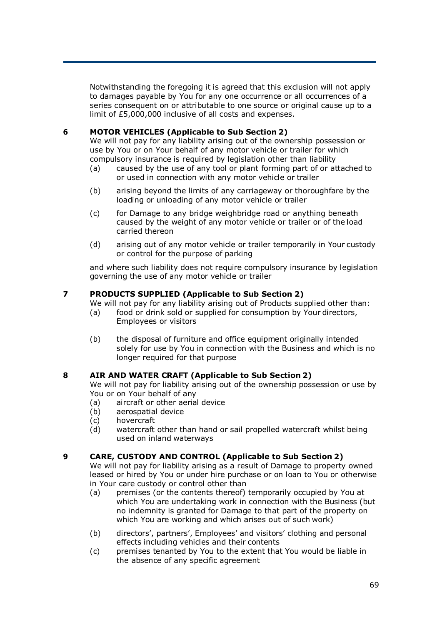Notwithstanding the foregoing it is agreed that this exclusion will not apply to damages payable by You for any one occurrence or all occurrences of a series consequent on or attributable to one source or original cause up to a limit of £5,000,000 inclusive of all costs and expenses.

## **6 MOTOR VEHICLES (Applicable to Sub Section 2)**

We will not pay for any liability arising out of the ownership possession or use by You or on Your behalf of any motor vehicle or trailer for which compulsory insurance is required by legislation other than liability

- (a) caused by the use of any tool or plant forming part of or attached to or used in connection with any motor vehicle or trailer
- (b) arising beyond the limits of any carriageway or thoroughfare by the loading or unloading of any motor vehicle or trailer
- (c) for Damage to any bridge weighbridge road or anything beneath caused by the weight of any motor vehicle or trailer or of the load carried thereon
- (d) arising out of any motor vehicle or trailer temporarily in Your custody or control for the purpose of parking

and where such liability does not require compulsory insurance by legislation governing the use of any motor vehicle or trailer

## **7 PRODUCTS SUPPLIED (Applicable to Sub Section 2)**

We will not pay for any liability arising out of Products supplied other than:

- (a) food or drink sold or supplied for consumption by Your directors, Employees or visitors
- (b) the disposal of furniture and office equipment originally intended solely for use by You in connection with the Business and which is no longer required for that purpose

## **8 AIR AND WATER CRAFT (Applicable to Sub Section 2)**

We will not pay for liability arising out of the ownership possession or use by You or on Your behalf of any<br>(a) aircraft or other aerial

- aircraft or other aerial device
- (b) aerospatial device
- (c) hovercraft
- (d) watercraft other than hand or sail propelled watercraft whilst being used on inland waterways

## **9 CARE, CUSTODY AND CONTROL (Applicable to Sub Section 2)**

We will not pay for liability arising as a result of Damage to property owned leased or hired by You or under hire purchase or on loan to You or otherwise in Your care custody or control other than

- (a) premises (or the contents thereof) temporarily occupied by You at which You are undertaking work in connection with the Business (but no indemnity is granted for Damage to that part of the property on which You are working and which arises out of such work)
- (b) directors', partners', Employees' and visitors' clothing and personal effects including vehicles and their contents
- (c) premises tenanted by You to the extent that You would be liable in the absence of any specific agreement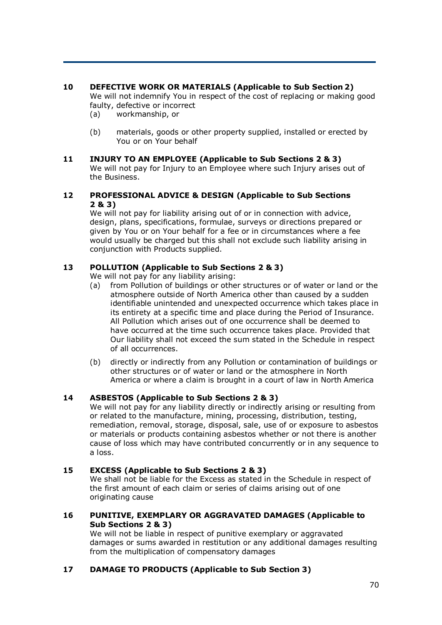# **10 DEFECTIVE WORK OR MATERIALS (Applicable to Sub Section 2)**

We will not indemnify You in respect of the cost of replacing or making good faulty, defective or incorrect

- (a) workmanship, or
- (b) materials, goods or other property supplied, installed or erected by You or on Your behalf
- **11 INJURY TO AN EMPLOYEE (Applicable to Sub Sections 2 & 3)** We will not pay for Injury to an Employee where such Injury arises out of the Business.

#### **12 PROFESSIONAL ADVICE & DESIGN (Applicable to Sub Sections 2 & 3)**

We will not pay for liability arising out of or in connection with advice, design, plans, specifications, formulae, surveys or directions prepared or given by You or on Your behalf for a fee or in circumstances where a fee would usually be charged but this shall not exclude such liability arising in conjunction with Products supplied.

## **13 POLLUTION (Applicable to Sub Sections 2 & 3)**

We will not pay for any liability arising:

- (a) from Pollution of buildings or other structures or of water or land or the atmosphere outside of North America other than caused by a sudden identifiable unintended and unexpected occurrence which takes place in its entirety at a specific time and place during the Period of Insurance. All Pollution which arises out of one occurrence shall be deemed to have occurred at the time such occurrence takes place. Provided that Our liability shall not exceed the sum stated in the Schedule in respect of all occurrences.
- (b) directly or indirectly from any Pollution or contamination of buildings or other structures or of water or land or the atmosphere in North America or where a claim is brought in a court of law in North America

# **14 ASBESTOS (Applicable to Sub Sections 2 & 3)**

We will not pay for any liability directly or indirectly arising or resulting from or related to the manufacture, mining, processing, distribution, testing, remediation, removal, storage, disposal, sale, use of or exposure to asbestos or materials or products containing asbestos whether or not there is another cause of loss which may have contributed concurrently or in any sequence to a loss.

## **15 EXCESS (Applicable to Sub Sections 2 & 3)**

We shall not be liable for the Excess as stated in the Schedule in respect of the first amount of each claim or series of claims arising out of one originating cause

## **16 PUNITIVE, EXEMPLARY OR AGGRAVATED DAMAGES (Applicable to Sub Sections 2 & 3)**

We will not be liable in respect of punitive exemplary or aggravated damages or sums awarded in restitution or any additional damages resulting from the multiplication of compensatory damages

## **17 DAMAGE TO PRODUCTS (Applicable to Sub Section 3)**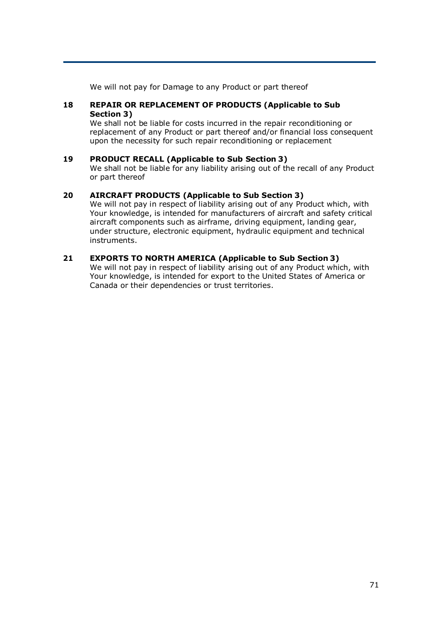We will not pay for Damage to any Product or part thereof

#### **18 REPAIR OR REPLACEMENT OF PRODUCTS (Applicable to Sub Section 3)**

We shall not be liable for costs incurred in the repair reconditioning or replacement of any Product or part thereof and/or financial loss consequent upon the necessity for such repair reconditioning or replacement

## **19 PRODUCT RECALL (Applicable to Sub Section 3)**

We shall not be liable for any liability arising out of the recall of any Product or part thereof

#### **20 AIRCRAFT PRODUCTS (Applicable to Sub Section 3)**

We will not pay in respect of liability arising out of any Product which, with Your knowledge, is intended for manufacturers of aircraft and safety critical aircraft components such as airframe, driving equipment, landing gear, under structure, electronic equipment, hydraulic equipment and technical instruments.

#### **21 EXPORTS TO NORTH AMERICA (Applicable to Sub Section 3)**

We will not pay in respect of liability arising out of any Product which, with Your knowledge, is intended for export to the United States of America or Canada or their dependencies or trust territories.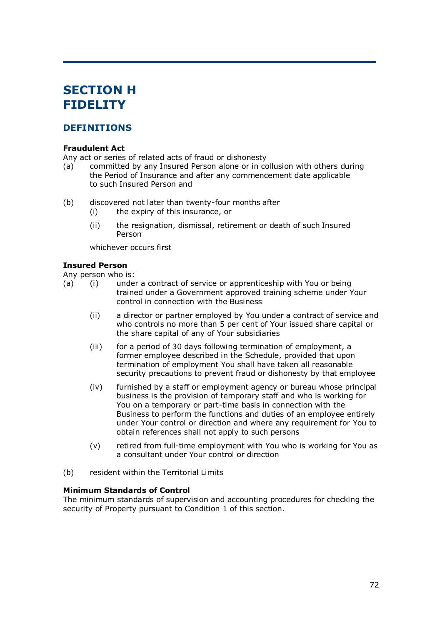# **SECTION H FIDELITY**

# **DEFINITIONS**

#### **Fraudulent Act**

Any act or series of related acts of fraud or dishonesty

- (a) committed by any Insured Person alone or in collusion with others during the Period of Insurance and after any commencement date applicable to such Insured Person and
- (b) discovered not later than twenty-four months after
	- (i) the expiry of this insurance, or
	- (ii) the resignation, dismissal, retirement or death of such Insured Person

whichever occurs first

#### **Insured Person**

Any person who is:

- (a) (i) under a contract of service or apprenticeship with You or being trained under a Government approved training scheme under Your control in connection with the Business
	- (ii) a director or partner employed by You under a contract of service and who controls no more than 5 per cent of Your issued share capital or the share capital of any of Your subsidiaries
	- (iii) for a period of 30 days following termination of employment, a former employee described in the Schedule, provided that upon termination of employment You shall have taken all reasonable security precautions to prevent fraud or dishonesty by that employee
	- (iv) furnished by a staff or employment agency or bureau whose principal business is the provision of temporary staff and who is working for You on a temporary or part-time basis in connection with the Business to perform the functions and duties of an employee entirely under Your control or direction and where any requirement for You to obtain references shall not apply to such persons
	- (v) retired from full-time employment with You who is working for You as a consultant under Your control or direction
- (b) resident within the Territorial Limits

#### **Minimum Standards of Control**

The minimum standards of supervision and accounting procedures for checking the security of Property pursuant to Condition 1 of this section.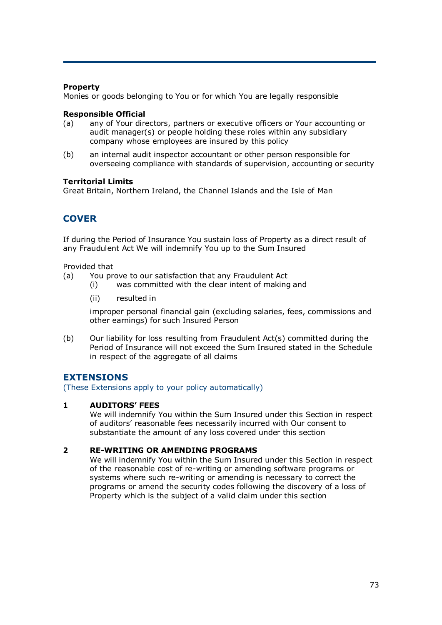### **Property**

Monies or goods belonging to You or for which You are legally responsible

### **Responsible Official**

- (a) any of Your directors, partners or executive officers or Your accounting or audit manager(s) or people holding these roles within any subsidiary company whose employees are insured by this policy
- (b) an internal audit inspector accountant or other person responsible for overseeing compliance with standards of supervision, accounting or security

### **Territorial Limits**

Great Britain, Northern Ireland, the Channel Islands and the Isle of Man

# **COVER**

If during the Period of Insurance You sustain loss of Property as a direct result of any Fraudulent Act We will indemnify You up to the Sum Insured

Provided that

- (a) You prove to our satisfaction that any Fraudulent Act
	- (i) was committed with the clear intent of making and
	- (ii) resulted in

improper personal financial gain (excluding salaries, fees, commissions and other earnings) for such Insured Person

(b) Our liability for loss resulting from Fraudulent Act(s) committed during the Period of Insurance will not exceed the Sum Insured stated in the Schedule in respect of the aggregate of all claims

### **EXTENSIONS**

(These Extensions apply to your policy automatically)

### **1 AUDITORS' FEES**

We will indemnify You within the Sum Insured under this Section in respect of auditors' reasonable fees necessarily incurred with Our consent to substantiate the amount of any loss covered under this section

### **2 RE-WRITING OR AMENDING PROGRAMS**

We will indemnify You within the Sum Insured under this Section in respect of the reasonable cost of re-writing or amending software programs or systems where such re-writing or amending is necessary to correct the programs or amend the security codes following the discovery of a loss of Property which is the subject of a valid claim under this section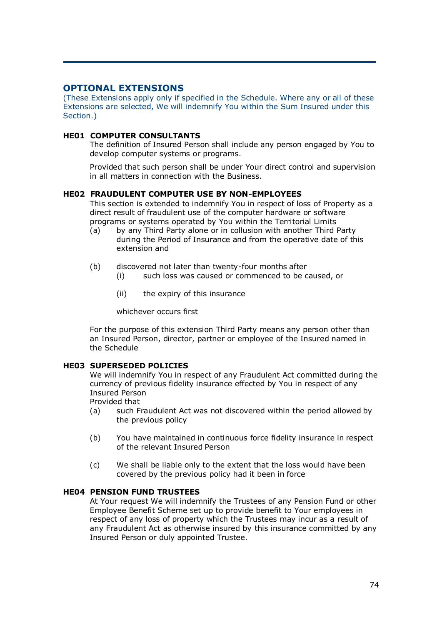# **OPTIONAL EXTENSIONS**

(These Extensions apply only if specified in the Schedule. Where any or all of these Extensions are selected, We will indemnify You within the Sum Insured under this Section.)

### **HE01 COMPUTER CONSULTANTS**

The definition of Insured Person shall include any person engaged by You to develop computer systems or programs.

Provided that such person shall be under Your direct control and supervision in all matters in connection with the Business.

### **HE02 FRAUDULENT COMPUTER USE BY NON-EMPLOYEES**

This section is extended to indemnify You in respect of loss of Property as a direct result of fraudulent use of the computer hardware or software programs or systems operated by You within the Territorial Limits

- (a) by any Third Party alone or in collusion with another Third Party during the Period of Insurance and from the operative date of this extension and
- (b) discovered not later than twenty-four months after
	- (i) such loss was caused or commenced to be caused, or
	- (ii) the expiry of this insurance

whichever occurs first

For the purpose of this extension Third Party means any person other than an Insured Person, director, partner or employee of the Insured named in the Schedule

#### **HE03 SUPERSEDED POLICIES**

We will indemnify You in respect of any Fraudulent Act committed during the currency of previous fidelity insurance effected by You in respect of any Insured Person

Provided that

- (a) such Fraudulent Act was not discovered within the period allowed by the previous policy
- (b) You have maintained in continuous force fidelity insurance in respect of the relevant Insured Person
- (c) We shall be liable only to the extent that the loss would have been covered by the previous policy had it been in force

#### **HE04 PENSION FUND TRUSTEES**

At Your request We will indemnify the Trustees of any Pension Fund or other Employee Benefit Scheme set up to provide benefit to Your employees in respect of any loss of property which the Trustees may incur as a result of any Fraudulent Act as otherwise insured by this insurance committed by any Insured Person or duly appointed Trustee.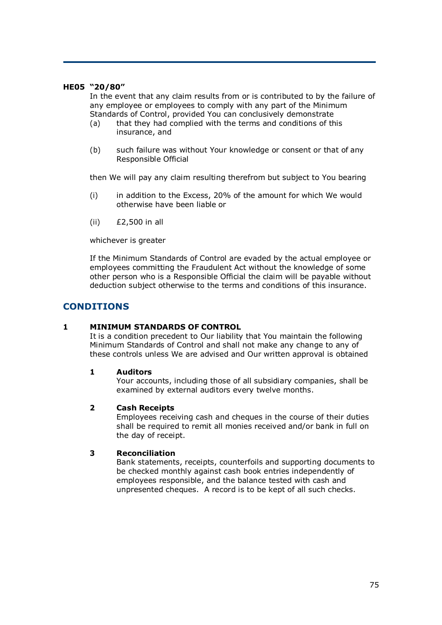#### **HE05 "20/80"**

In the event that any claim results from or is contributed to by the failure of any employee or employees to comply with any part of the Minimum Standards of Control, provided You can conclusively demonstrate

- (a) that they had complied with the terms and conditions of this insurance, and
- (b) such failure was without Your knowledge or consent or that of any Responsible Official

then We will pay any claim resulting therefrom but subject to You bearing

- (i) in addition to the Excess, 20% of the amount for which We would otherwise have been liable or
- (ii) £2,500 in all

whichever is greater

If the Minimum Standards of Control are evaded by the actual employee or employees committing the Fraudulent Act without the knowledge of some other person who is a Responsible Official the claim will be payable without deduction subject otherwise to the terms and conditions of this insurance.

### **CONDITIONS**

#### **1 MINIMUM STANDARDS OF CONTROL**

It is a condition precedent to Our liability that You maintain the following Minimum Standards of Control and shall not make any change to any of these controls unless We are advised and Our written approval is obtained

#### **1 Auditors**

Your accounts, including those of all subsidiary companies, shall be examined by external auditors every twelve months.

#### **2 Cash Receipts**

Employees receiving cash and cheques in the course of their duties shall be required to remit all monies received and/or bank in full on the day of receipt.

#### **3 Reconciliation**

Bank statements, receipts, counterfoils and supporting documents to be checked monthly against cash book entries independently of employees responsible, and the balance tested with cash and unpresented cheques. A record is to be kept of all such checks.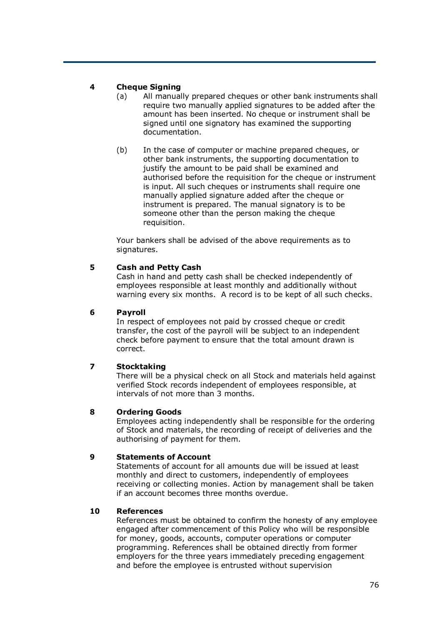### **4 Cheque Signing**

- (a) All manually prepared cheques or other bank instruments shall require two manually applied signatures to be added after the amount has been inserted. No cheque or instrument shall be signed until one signatory has examined the supporting documentation.
- (b) In the case of computer or machine prepared cheques, or other bank instruments, the supporting documentation to justify the amount to be paid shall be examined and authorised before the requisition for the cheque or instrument is input. All such cheques or instruments shall require one manually applied signature added after the cheque or instrument is prepared. The manual signatory is to be someone other than the person making the cheque requisition.

Your bankers shall be advised of the above requirements as to signatures.

### **5 Cash and Petty Cash**

Cash in hand and petty cash shall be checked independently of employees responsible at least monthly and additionally without warning every six months. A record is to be kept of all such checks.

### **6 Payroll**

In respect of employees not paid by crossed cheque or credit transfer, the cost of the payroll will be subject to an independent check before payment to ensure that the total amount drawn is correct.

### **7 Stocktaking**

There will be a physical check on all Stock and materials held against verified Stock records independent of employees responsible, at intervals of not more than 3 months.

### **8 Ordering Goods**

Employees acting independently shall be responsible for the ordering of Stock and materials, the recording of receipt of deliveries and the authorising of payment for them.

### **9 Statements of Account**

Statements of account for all amounts due will be issued at least monthly and direct to customers, independently of employees receiving or collecting monies. Action by management shall be taken if an account becomes three months overdue.

### **10 References**

References must be obtained to confirm the honesty of any employee engaged after commencement of this Policy who will be responsible for money, goods, accounts, computer operations or computer programming. References shall be obtained directly from former employers for the three years immediately preceding engagement and before the employee is entrusted without supervision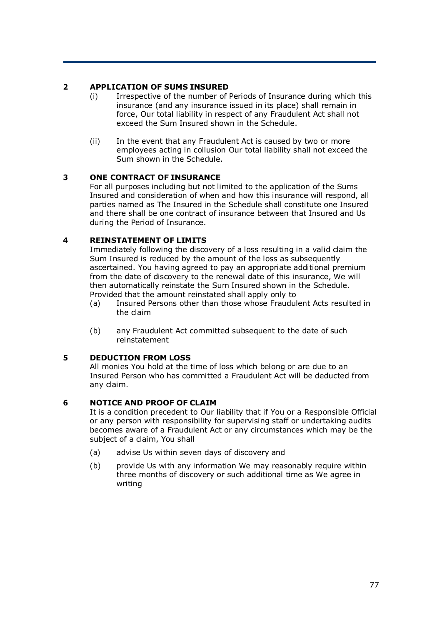### **2 APPLICATION OF SUMS INSURED**

- (i) Irrespective of the number of Periods of Insurance during which this insurance (and any insurance issued in its place) shall remain in force, Our total liability in respect of any Fraudulent Act shall not exceed the Sum Insured shown in the Schedule.
- (ii) In the event that any Fraudulent Act is caused by two or more employees acting in collusion Our total liability shall not exceed the Sum shown in the Schedule.

### **3 ONE CONTRACT OF INSURANCE**

For all purposes including but not limited to the application of the Sums Insured and consideration of when and how this insurance will respond, all parties named as The Insured in the Schedule shall constitute one Insured and there shall be one contract of insurance between that Insured and Us during the Period of Insurance.

### **4 REINSTATEMENT OF LIMITS**

Immediately following the discovery of a loss resulting in a valid claim the Sum Insured is reduced by the amount of the loss as subsequently ascertained. You having agreed to pay an appropriate additional premium from the date of discovery to the renewal date of this insurance, We will then automatically reinstate the Sum Insured shown in the Schedule. Provided that the amount reinstated shall apply only to

- (a) Insured Persons other than those whose Fraudulent Acts resulted in the claim
- (b) any Fraudulent Act committed subsequent to the date of such reinstatement

### **5 DEDUCTION FROM LOSS**

All monies You hold at the time of loss which belong or are due to an Insured Person who has committed a Fraudulent Act will be deducted from any claim.

### **6 NOTICE AND PROOF OF CLAIM**

It is a condition precedent to Our liability that if You or a Responsible Official or any person with responsibility for supervising staff or undertaking audits becomes aware of a Fraudulent Act or any circumstances which may be the subject of a claim, You shall

- (a) advise Us within seven days of discovery and
- (b) provide Us with any information We may reasonably require within three months of discovery or such additional time as We agree in writing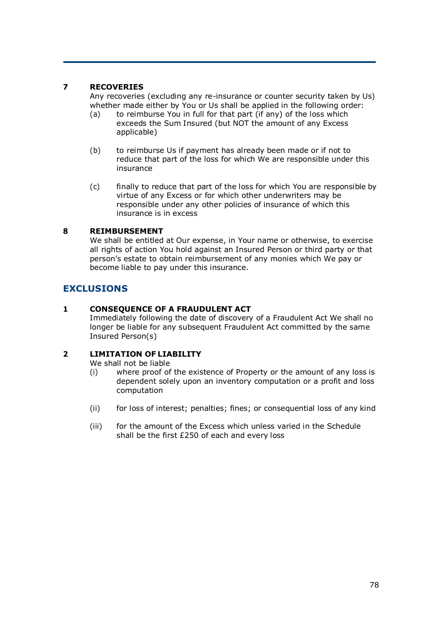### **7 RECOVERIES**

Any recoveries (excluding any re-insurance or counter security taken by Us) whether made either by You or Us shall be applied in the following order:

- (a) to reimburse You in full for that part (if any) of the loss which exceeds the Sum Insured (but NOT the amount of any Excess applicable)
- (b) to reimburse Us if payment has already been made or if not to reduce that part of the loss for which We are responsible under this insurance
- (c) finally to reduce that part of the loss for which You are responsible by virtue of any Excess or for which other underwriters may be responsible under any other policies of insurance of which this insurance is in excess

### **8 REIMBURSEMENT**

We shall be entitled at Our expense, in Your name or otherwise, to exercise all rights of action You hold against an Insured Person or third party or that person's estate to obtain reimbursement of any monies which We pay or become liable to pay under this insurance.

# **EXCLUSIONS**

### **1 CONSEQUENCE OF A FRAUDULENT ACT**

Immediately following the date of discovery of a Fraudulent Act We shall no longer be liable for any subsequent Fraudulent Act committed by the same Insured Person(s)

### **2 LIMITATION OF LIABILITY**

We shall not be liable

- (i) where proof of the existence of Property or the amount of any loss is dependent solely upon an inventory computation or a profit and loss computation
- (ii) for loss of interest; penalties; fines; or consequential loss of any kind
- (iii) for the amount of the Excess which unless varied in the Schedule shall be the first £250 of each and every loss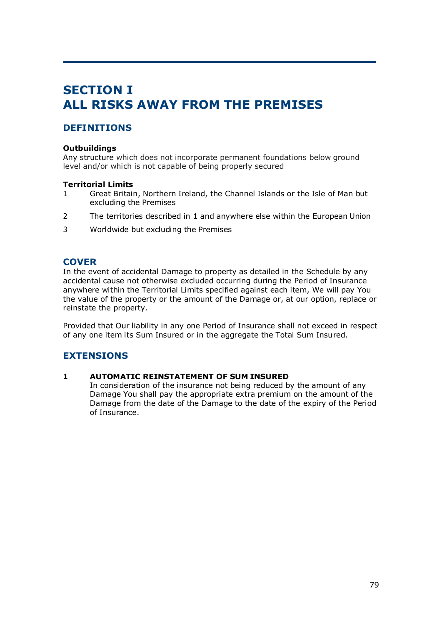# **SECTION I ALL RISKS AWAY FROM THE PREMISES**

# **DEFINITIONS**

### **Outbuildings**

Any structure which does not incorporate permanent foundations below ground level and/or which is not capable of being properly secured

### **Territorial Limits**

- 1 Great Britain, Northern Ireland, the Channel Islands or the Isle of Man but excluding the Premises
- 2 The territories described in 1 and anywhere else within the European Union
- 3 Worldwide but excluding the Premises

## **COVER**

In the event of accidental Damage to property as detailed in the Schedule by any accidental cause not otherwise excluded occurring during the Period of Insurance anywhere within the Territorial Limits specified against each item, We will pay You the value of the property or the amount of the Damage or, at our option, replace or reinstate the property.

Provided that Our liability in any one Period of Insurance shall not exceed in respect of any one item its Sum Insured or in the aggregate the Total Sum Insured.

# **EXTENSIONS**

### **1 AUTOMATIC REINSTATEMENT OF SUM INSURED**

In consideration of the insurance not being reduced by the amount of any Damage You shall pay the appropriate extra premium on the amount of the Damage from the date of the Damage to the date of the expiry of the Period of Insurance.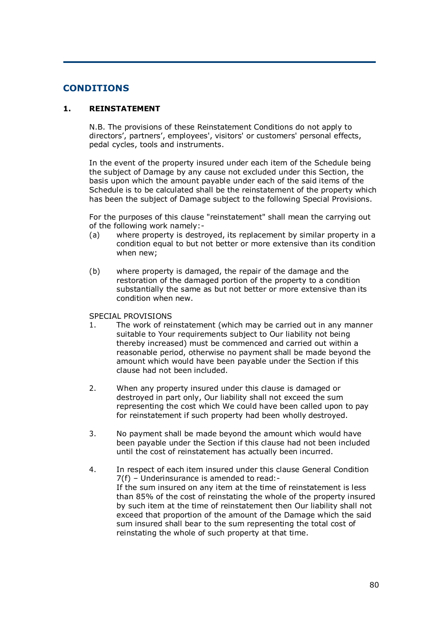## **CONDITIONS**

### **1. REINSTATEMENT**

N.B. The provisions of these Reinstatement Conditions do not apply to directors', partners', employees', visitors' or customers' personal effects, pedal cycles, tools and instruments.

In the event of the property insured under each item of the Schedule being the subject of Damage by any cause not excluded under this Section, the basis upon which the amount payable under each of the said items of the Schedule is to be calculated shall be the reinstatement of the property which has been the subject of Damage subject to the following Special Provisions.

For the purposes of this clause "reinstatement" shall mean the carrying out of the following work namely:-

- (a) where property is destroyed, its replacement by similar property in a condition equal to but not better or more extensive than its condition when new;
- (b) where property is damaged, the repair of the damage and the restoration of the damaged portion of the property to a condition substantially the same as but not better or more extensive than its condition when new.

#### SPECIAL PROVISIONS

- 1. The work of reinstatement (which may be carried out in any manner suitable to Your requirements subject to Our liability not being thereby increased) must be commenced and carried out within a reasonable period, otherwise no payment shall be made beyond the amount which would have been payable under the Section if this clause had not been included.
- 2. When any property insured under this clause is damaged or destroyed in part only, Our liability shall not exceed the sum representing the cost which We could have been called upon to pay for reinstatement if such property had been wholly destroyed.
- 3. No payment shall be made beyond the amount which would have been payable under the Section if this clause had not been included until the cost of reinstatement has actually been incurred.
- 4. In respect of each item insured under this clause General Condition 7(f) – Underinsurance is amended to read:- If the sum insured on any item at the time of reinstatement is less than 85% of the cost of reinstating the whole of the property insured by such item at the time of reinstatement then Our liability shall not exceed that proportion of the amount of the Damage which the said sum insured shall bear to the sum representing the total cost of reinstating the whole of such property at that time.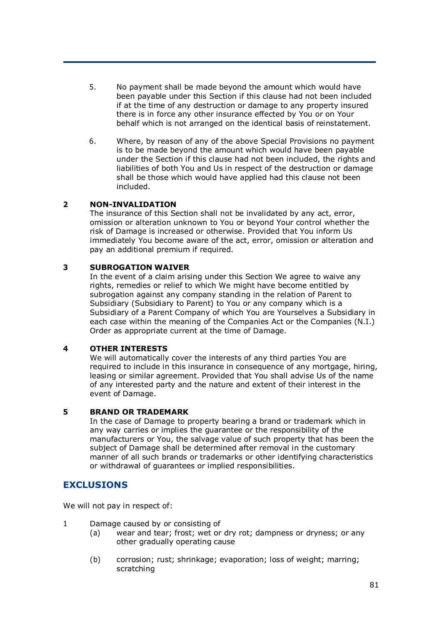- 5. No payment shall be made beyond the amount which would have been payable under this Section if this clause had not been included if at the time of any destruction or damage to any property insured there is in force any other insurance effected by You or on Your behalf which is not arranged on the identical basis of reinstatement.
- 6. Where, by reason of any of the above Special Provisions no payment is to be made beyond the amount which would have been payable under the Section if this clause had not been included, the rights and liabilities of both You and Us in respect of the destruction or damage shall be those which would have applied had this clause not been included.

### **2 NON-INVALIDATION**

The insurance of this Section shall not be invalidated by any act, error, omission or alteration unknown to You or beyond Your control whether the risk of Damage is increased or otherwise. Provided that You inform Us immediately You become aware of the act, error, omission or alteration and pay an additional premium if required.

### **3 SUBROGATION WAIVER**

In the event of a claim arising under this Section We agree to waive any rights, remedies or relief to which We might have become entitled by subrogation against any company standing in the relation of Parent to Subsidiary (Subsidiary to Parent) to You or any company which is a Subsidiary of a Parent Company of which You are Yourselves a Subsidiary in each case within the meaning of the Companies Act or the Companies (N.I.) Order as appropriate current at the time of Damage.

#### **4 OTHER INTERESTS**

We will automatically cover the interests of any third parties You are required to include in this insurance in consequence of any mortgage, hiring, leasing or similar agreement. Provided that You shall advise Us of the name of any interested party and the nature and extent of their interest in the event of Damage.

#### **5 BRAND OR TRADEMARK**

In the case of Damage to property bearing a brand or trademark which in any way carries or implies the guarantee or the responsibility of the manufacturers or You, the salvage value of such property that has been the subject of Damage shall be determined after removal in the customary manner of all such brands or trademarks or other identifying characteristics or withdrawal of guarantees or implied responsibilities.

### **EXCLUSIONS**

We will not pay in respect of:

- 1 Damage caused by or consisting of
	- (a) wear and tear; frost; wet or dry rot; dampness or dryness; or any other gradually operating cause
	- (b) corrosion; rust; shrinkage; evaporation; loss of weight; marring; scratching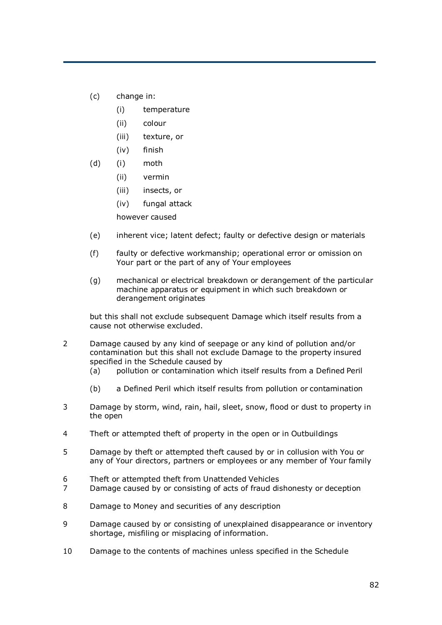- (c) change in:
	- (i) temperature
	- (ii) colour
	- (iii) texture, or
	- (iv) finish
- (d) (i) moth
	- (ii) vermin
	- (iii) insects, or
	- (iv) fungal attack
	- however caused
- (e) inherent vice; latent defect; faulty or defective design or materials
- (f) faulty or defective workmanship; operational error or omission on Your part or the part of any of Your employees
- (g) mechanical or electrical breakdown or derangement of the particular machine apparatus or equipment in which such breakdown or derangement originates

but this shall not exclude subsequent Damage which itself results from a cause not otherwise excluded.

- 2 Damage caused by any kind of seepage or any kind of pollution and/or contamination but this shall not exclude Damage to the property insured specified in the Schedule caused by
	- (a) pollution or contamination which itself results from a Defined Peril
	- (b) a Defined Peril which itself results from pollution or contamination
- 3 Damage by storm, wind, rain, hail, sleet, snow, flood or dust to property in the open
- 4 Theft or attempted theft of property in the open or in Outbuildings
- 5 Damage by theft or attempted theft caused by or in collusion with You or any of Your directors, partners or employees or any member of Your family
- 6 Theft or attempted theft from Unattended Vehicles
- 7 Damage caused by or consisting of acts of fraud dishonesty or deception
- 8 Damage to Money and securities of any description
- 9 Damage caused by or consisting of unexplained disappearance or inventory shortage, misfiling or misplacing of information.
- 10 Damage to the contents of machines unless specified in the Schedule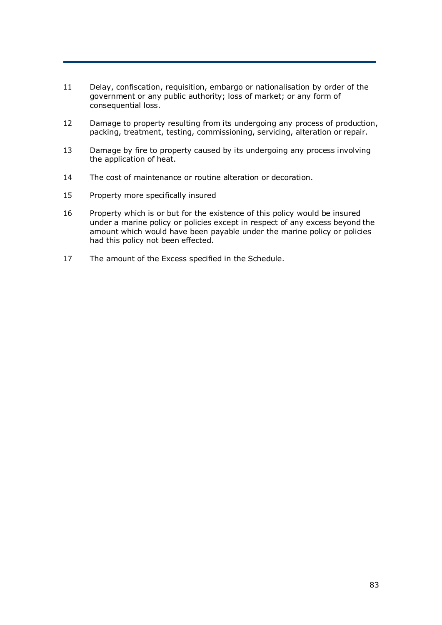- 11 Delay, confiscation, requisition, embargo or nationalisation by order of the government or any public authority; loss of market; or any form of consequential loss.
- 12 Damage to property resulting from its undergoing any process of production, packing, treatment, testing, commissioning, servicing, alteration or repair.
- 13 Damage by fire to property caused by its undergoing any process involving the application of heat.
- 14 The cost of maintenance or routine alteration or decoration.
- 15 Property more specifically insured
- 16 Property which is or but for the existence of this policy would be insured under a marine policy or policies except in respect of any excess beyond the amount which would have been payable under the marine policy or policies had this policy not been effected.
- 17 The amount of the Excess specified in the Schedule.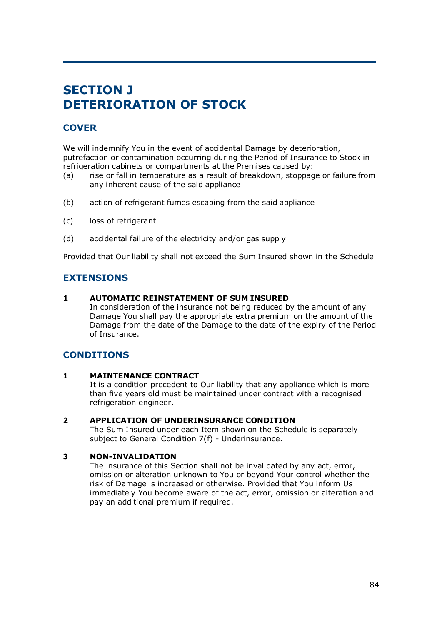# **SECTION J DETERIORATION OF STOCK**

# **COVER**

We will indemnify You in the event of accidental Damage by deterioration, putrefaction or contamination occurring during the Period of Insurance to Stock in refrigeration cabinets or compartments at the Premises caused by:

- (a) rise or fall in temperature as a result of breakdown, stoppage or failure from any inherent cause of the said appliance
- (b) action of refrigerant fumes escaping from the said appliance
- (c) loss of refrigerant
- (d) accidental failure of the electricity and/or gas supply

Provided that Our liability shall not exceed the Sum Insured shown in the Schedule

# **EXTENSIONS**

### **1 AUTOMATIC REINSTATEMENT OF SUM INSURED**

In consideration of the insurance not being reduced by the amount of any Damage You shall pay the appropriate extra premium on the amount of the Damage from the date of the Damage to the date of the expiry of the Period of Insurance.

# **CONDITIONS**

### **1 MAINTENANCE CONTRACT**

It is a condition precedent to Our liability that any appliance which is more than five years old must be maintained under contract with a recognised refrigeration engineer.

#### **2 APPLICATION OF UNDERINSURANCE CONDITION**

The Sum Insured under each Item shown on the Schedule is separately subject to General Condition 7(f) - Underinsurance.

### **3 NON-INVALIDATION**

The insurance of this Section shall not be invalidated by any act, error, omission or alteration unknown to You or beyond Your control whether the risk of Damage is increased or otherwise. Provided that You inform Us immediately You become aware of the act, error, omission or alteration and pay an additional premium if required.